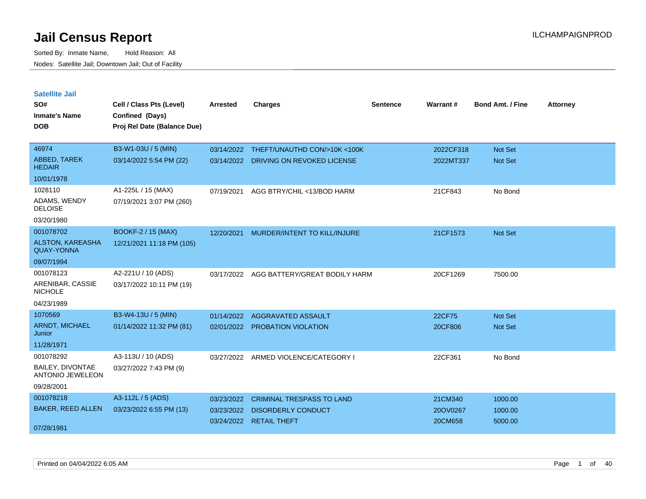| <b>Satellite Jail</b>                        |                             |            |                                  |          |           |                         |                 |
|----------------------------------------------|-----------------------------|------------|----------------------------------|----------|-----------|-------------------------|-----------------|
| SO#                                          | Cell / Class Pts (Level)    | Arrested   | <b>Charges</b>                   | Sentence | Warrant#  | <b>Bond Amt. / Fine</b> | <b>Attorney</b> |
| Inmate's Name                                | Confined (Days)             |            |                                  |          |           |                         |                 |
| <b>DOB</b>                                   | Proj Rel Date (Balance Due) |            |                                  |          |           |                         |                 |
|                                              |                             |            |                                  |          |           |                         |                 |
| 46974                                        | B3-W1-03U / 5 (MIN)         | 03/14/2022 | THEFT/UNAUTHD CON/>10K <100K     |          | 2022CF318 | <b>Not Set</b>          |                 |
| ABBED, TAREK<br><b>HEDAIR</b>                | 03/14/2022 5:54 PM (22)     | 03/14/2022 | DRIVING ON REVOKED LICENSE       |          | 2022MT337 | Not Set                 |                 |
| 10/01/1978                                   |                             |            |                                  |          |           |                         |                 |
| 1028110                                      | A1-225L / 15 (MAX)          | 07/19/2021 | AGG BTRY/CHIL <13/BOD HARM       |          | 21CF843   | No Bond                 |                 |
| ADAMS, WENDY<br><b>DELOISE</b>               | 07/19/2021 3:07 PM (260)    |            |                                  |          |           |                         |                 |
| 03/20/1980                                   |                             |            |                                  |          |           |                         |                 |
| 001078702                                    | <b>BOOKF-2 / 15 (MAX)</b>   | 12/20/2021 | MURDER/INTENT TO KILL/INJURE     |          | 21CF1573  | <b>Not Set</b>          |                 |
| <b>ALSTON, KAREASHA</b><br><b>QUAY-YONNA</b> | 12/21/2021 11:18 PM (105)   |            |                                  |          |           |                         |                 |
| 09/07/1994                                   |                             |            |                                  |          |           |                         |                 |
| 001078123                                    | A2-221U / 10 (ADS)          | 03/17/2022 | AGG BATTERY/GREAT BODILY HARM    |          | 20CF1269  | 7500.00                 |                 |
| ARENIBAR, CASSIE<br>NICHOLE                  | 03/17/2022 10:11 PM (19)    |            |                                  |          |           |                         |                 |
| 04/23/1989                                   |                             |            |                                  |          |           |                         |                 |
| 1070569                                      | B3-W4-13U / 5 (MIN)         | 01/14/2022 | AGGRAVATED ASSAULT               |          | 22CF75    | <b>Not Set</b>          |                 |
| <b>ARNDT, MICHAEL</b><br>Junior              | 01/14/2022 11:32 PM (81)    | 02/01/2022 | <b>PROBATION VIOLATION</b>       |          | 20CF806   | <b>Not Set</b>          |                 |
| 11/28/1971                                   |                             |            |                                  |          |           |                         |                 |
| 001078292                                    | A3-113U / 10 (ADS)          | 03/27/2022 | ARMED VIOLENCE/CATEGORY I        |          | 22CF361   | No Bond                 |                 |
| BAILEY, DIVONTAE<br><b>ANTONIO JEWELEON</b>  | 03/27/2022 7:43 PM (9)      |            |                                  |          |           |                         |                 |
| 09/28/2001                                   |                             |            |                                  |          |           |                         |                 |
| 001078218                                    | A3-112L / 5 (ADS)           | 03/23/2022 | <b>CRIMINAL TRESPASS TO LAND</b> |          | 21CM340   | 1000.00                 |                 |
| <b>BAKER, REED ALLEN</b>                     | 03/23/2022 6:55 PM (13)     | 03/23/2022 | <b>DISORDERLY CONDUCT</b>        |          | 20OV0267  | 1000.00                 |                 |
| 07/28/1981                                   |                             |            | 03/24/2022 RETAIL THEFT          |          | 20CM658   | 5000.00                 |                 |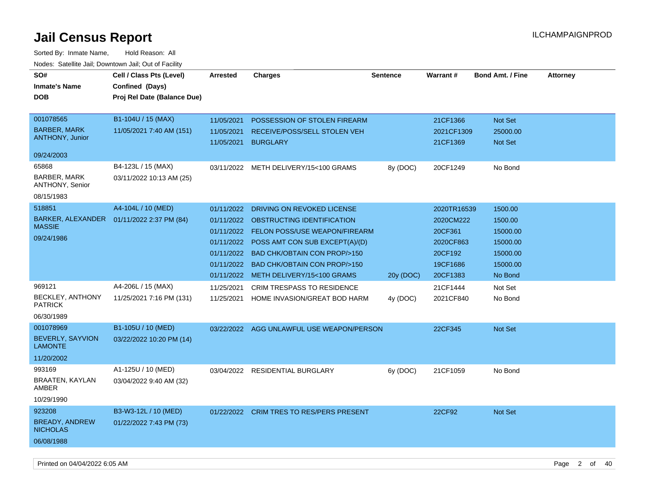| roaco. Oatomto dan, Downtown dan, Oat or Fability |                             |                 |                                           |                 |                 |                         |                 |
|---------------------------------------------------|-----------------------------|-----------------|-------------------------------------------|-----------------|-----------------|-------------------------|-----------------|
| SO#                                               | Cell / Class Pts (Level)    | <b>Arrested</b> | <b>Charges</b>                            | <b>Sentence</b> | <b>Warrant#</b> | <b>Bond Amt. / Fine</b> | <b>Attorney</b> |
| <b>Inmate's Name</b>                              | Confined (Days)             |                 |                                           |                 |                 |                         |                 |
| <b>DOB</b>                                        | Proj Rel Date (Balance Due) |                 |                                           |                 |                 |                         |                 |
|                                                   |                             |                 |                                           |                 |                 |                         |                 |
| 001078565                                         | B1-104U / 15 (MAX)          | 11/05/2021      | POSSESSION OF STOLEN FIREARM              |                 | 21CF1366        | Not Set                 |                 |
| <b>BARBER, MARK</b>                               | 11/05/2021 7:40 AM (151)    | 11/05/2021      | RECEIVE/POSS/SELL STOLEN VEH              |                 | 2021CF1309      | 25000.00                |                 |
| <b>ANTHONY, Junior</b>                            |                             | 11/05/2021      | <b>BURGLARY</b>                           |                 | 21CF1369        | Not Set                 |                 |
| 09/24/2003                                        |                             |                 |                                           |                 |                 |                         |                 |
| 65868                                             | B4-123L / 15 (MAX)          |                 | 03/11/2022 METH DELIVERY/15<100 GRAMS     | 8y (DOC)        | 20CF1249        | No Bond                 |                 |
| BARBER, MARK<br><b>ANTHONY, Senior</b>            | 03/11/2022 10:13 AM (25)    |                 |                                           |                 |                 |                         |                 |
| 08/15/1983                                        |                             |                 |                                           |                 |                 |                         |                 |
| 518851                                            | A4-104L / 10 (MED)          | 01/11/2022      | DRIVING ON REVOKED LICENSE                |                 | 2020TR16539     | 1500.00                 |                 |
| BARKER, ALEXANDER  01/11/2022 2:37 PM (84)        |                             | 01/11/2022      | OBSTRUCTING IDENTIFICATION                |                 | 2020CM222       | 1500.00                 |                 |
| <b>MASSIE</b>                                     |                             | 01/11/2022      | <b>FELON POSS/USE WEAPON/FIREARM</b>      |                 | 20CF361         | 15000.00                |                 |
| 09/24/1986                                        |                             | 01/11/2022      | POSS AMT CON SUB EXCEPT(A)/(D)            |                 | 2020CF863       | 15000.00                |                 |
|                                                   |                             | 01/11/2022      | <b>BAD CHK/OBTAIN CON PROP/&gt;150</b>    |                 | 20CF192         | 15000.00                |                 |
|                                                   |                             | 01/11/2022      | <b>BAD CHK/OBTAIN CON PROP/&gt;150</b>    |                 | 19CF1686        | 15000.00                |                 |
|                                                   |                             | 01/11/2022      | METH DELIVERY/15<100 GRAMS                | 20y (DOC)       | 20CF1383        | No Bond                 |                 |
| 969121                                            | A4-206L / 15 (MAX)          | 11/25/2021      | <b>CRIM TRESPASS TO RESIDENCE</b>         |                 | 21CF1444        | Not Set                 |                 |
| BECKLEY, ANTHONY<br><b>PATRICK</b>                | 11/25/2021 7:16 PM (131)    | 11/25/2021      | HOME INVASION/GREAT BOD HARM              | 4y (DOC)        | 2021CF840       | No Bond                 |                 |
| 06/30/1989                                        |                             |                 |                                           |                 |                 |                         |                 |
| 001078969                                         | B1-105U / 10 (MED)          |                 | 03/22/2022 AGG UNLAWFUL USE WEAPON/PERSON |                 | 22CF345         | Not Set                 |                 |
| BEVERLY, SAYVION<br><b>LAMONTE</b>                | 03/22/2022 10:20 PM (14)    |                 |                                           |                 |                 |                         |                 |
| 11/20/2002                                        |                             |                 |                                           |                 |                 |                         |                 |
| 993169                                            | A1-125U / 10 (MED)          | 03/04/2022      | <b>RESIDENTIAL BURGLARY</b>               | 6y (DOC)        | 21CF1059        | No Bond                 |                 |
| BRAATEN, KAYLAN<br>AMBER                          | 03/04/2022 9:40 AM (32)     |                 |                                           |                 |                 |                         |                 |
| 10/29/1990                                        |                             |                 |                                           |                 |                 |                         |                 |
| 923208                                            | B3-W3-12L / 10 (MED)        |                 | 01/22/2022 CRIM TRES TO RES/PERS PRESENT  |                 | 22CF92          | Not Set                 |                 |
| <b>BREADY, ANDREW</b>                             | 01/22/2022 7:43 PM (73)     |                 |                                           |                 |                 |                         |                 |
| <b>NICHOLAS</b>                                   |                             |                 |                                           |                 |                 |                         |                 |
| 06/08/1988                                        |                             |                 |                                           |                 |                 |                         |                 |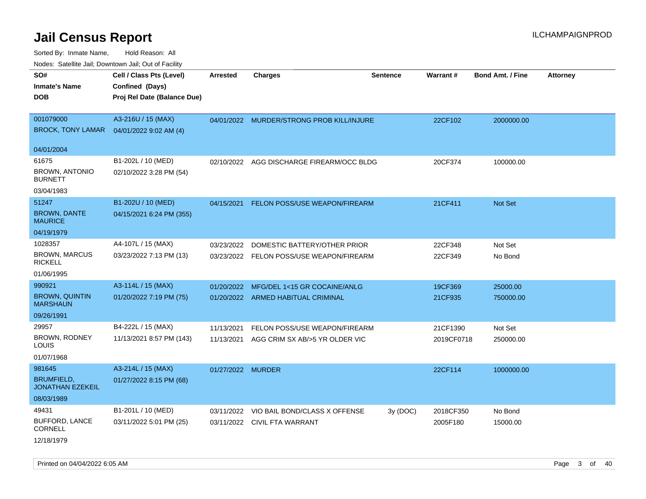| roaco. Odichile Jan, Downtown Jan, Out of Facility             |                                                                            |                   |                                           |                 |                 |                         |                 |
|----------------------------------------------------------------|----------------------------------------------------------------------------|-------------------|-------------------------------------------|-----------------|-----------------|-------------------------|-----------------|
| SO#<br><b>Inmate's Name</b><br><b>DOB</b>                      | Cell / Class Pts (Level)<br>Confined (Days)<br>Proj Rel Date (Balance Due) | <b>Arrested</b>   | <b>Charges</b>                            | <b>Sentence</b> | <b>Warrant#</b> | <b>Bond Amt. / Fine</b> | <b>Attorney</b> |
| 001079000<br><b>BROCK, TONY LAMAR</b>                          | A3-216U / 15 (MAX)<br>04/01/2022 9:02 AM (4)                               |                   | 04/01/2022 MURDER/STRONG PROB KILL/INJURE |                 | 22CF102         | 2000000.00              |                 |
| 04/01/2004                                                     |                                                                            |                   |                                           |                 |                 |                         |                 |
| 61675<br><b>BROWN, ANTONIO</b><br><b>BURNETT</b><br>03/04/1983 | B1-202L / 10 (MED)<br>02/10/2022 3:28 PM (54)                              | 02/10/2022        | AGG DISCHARGE FIREARM/OCC BLDG            |                 | 20CF374         | 100000.00               |                 |
| 51247                                                          | B1-202U / 10 (MED)                                                         | 04/15/2021        |                                           |                 | 21CF411         | <b>Not Set</b>          |                 |
| <b>BROWN, DANTE</b><br><b>MAURICE</b>                          | 04/15/2021 6:24 PM (355)                                                   |                   | <b>FELON POSS/USE WEAPON/FIREARM</b>      |                 |                 |                         |                 |
| 04/19/1979                                                     |                                                                            |                   |                                           |                 |                 |                         |                 |
| 1028357                                                        | A4-107L / 15 (MAX)                                                         | 03/23/2022        | DOMESTIC BATTERY/OTHER PRIOR              |                 | 22CF348         | Not Set                 |                 |
| <b>BROWN, MARCUS</b><br><b>RICKELL</b>                         | 03/23/2022 7:13 PM (13)                                                    |                   | 03/23/2022 FELON POSS/USE WEAPON/FIREARM  |                 | 22CF349         | No Bond                 |                 |
| 01/06/1995                                                     |                                                                            |                   |                                           |                 |                 |                         |                 |
| 990921                                                         | A3-114L / 15 (MAX)                                                         | 01/20/2022        | MFG/DEL 1<15 GR COCAINE/ANLG              |                 | 19CF369         | 25000.00                |                 |
| <b>BROWN, QUINTIN</b><br><b>MARSHAUN</b>                       | 01/20/2022 7:19 PM (75)                                                    |                   | 01/20/2022 ARMED HABITUAL CRIMINAL        |                 | 21CF935         | 750000.00               |                 |
| 09/26/1991                                                     |                                                                            |                   |                                           |                 |                 |                         |                 |
| 29957                                                          | B4-222L / 15 (MAX)                                                         | 11/13/2021        | FELON POSS/USE WEAPON/FIREARM             |                 | 21CF1390        | Not Set                 |                 |
| BROWN, RODNEY<br>LOUIS                                         | 11/13/2021 8:57 PM (143)                                                   | 11/13/2021        | AGG CRIM SX AB/>5 YR OLDER VIC            |                 | 2019CF0718      | 250000.00               |                 |
| 01/07/1968                                                     |                                                                            |                   |                                           |                 |                 |                         |                 |
| 981645                                                         | A3-214L / 15 (MAX)                                                         | 01/27/2022 MURDER |                                           |                 | 22CF114         | 1000000.00              |                 |
| <b>BRUMFIELD,</b><br><b>JONATHAN EZEKEIL</b>                   | 01/27/2022 8:15 PM (68)                                                    |                   |                                           |                 |                 |                         |                 |
| 08/03/1989                                                     |                                                                            |                   |                                           |                 |                 |                         |                 |
| 49431                                                          | B1-201L / 10 (MED)                                                         | 03/11/2022        | VIO BAIL BOND/CLASS X OFFENSE             | 3y(DOC)         | 2018CF350       | No Bond                 |                 |
| <b>BUFFORD, LANCE</b><br><b>CORNELL</b>                        | 03/11/2022 5:01 PM (25)                                                    | 03/11/2022        | CIVIL FTA WARRANT                         |                 | 2005F180        | 15000.00                |                 |
| 12/18/1979                                                     |                                                                            |                   |                                           |                 |                 |                         |                 |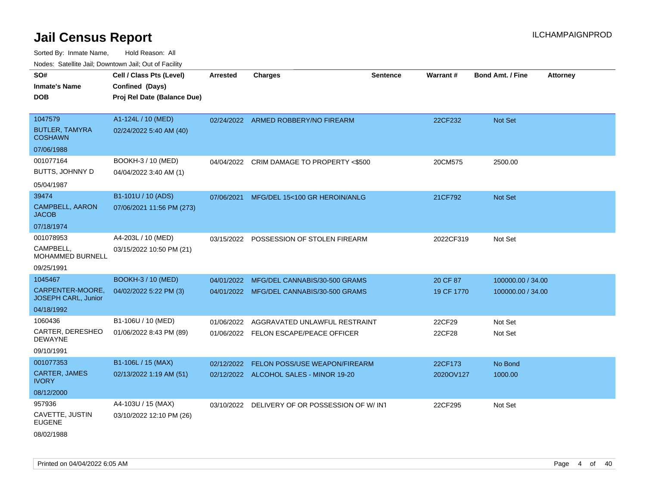Sorted By: Inmate Name, Hold Reason: All Nodes: Satellite Jail; Downtown Jail; Out of Facility

| rougs. Calcinic Jan, Downtown Jan, Out of Facility |                             |                 |                                               |                 |                 |                         |                 |
|----------------------------------------------------|-----------------------------|-----------------|-----------------------------------------------|-----------------|-----------------|-------------------------|-----------------|
| SO#                                                | Cell / Class Pts (Level)    | <b>Arrested</b> | <b>Charges</b>                                | <b>Sentence</b> | <b>Warrant#</b> | <b>Bond Amt. / Fine</b> | <b>Attorney</b> |
| <b>Inmate's Name</b>                               | Confined (Days)             |                 |                                               |                 |                 |                         |                 |
| <b>DOB</b>                                         | Proj Rel Date (Balance Due) |                 |                                               |                 |                 |                         |                 |
|                                                    |                             |                 |                                               |                 |                 |                         |                 |
| 1047579                                            | A1-124L / 10 (MED)          |                 | 02/24/2022 ARMED ROBBERY/NO FIREARM           |                 | 22CF232         | Not Set                 |                 |
| <b>BUTLER, TAMYRA</b><br><b>COSHAWN</b>            | 02/24/2022 5:40 AM (40)     |                 |                                               |                 |                 |                         |                 |
| 07/06/1988                                         |                             |                 |                                               |                 |                 |                         |                 |
| 001077164                                          | BOOKH-3 / 10 (MED)          |                 | 04/04/2022 CRIM DAMAGE TO PROPERTY <\$500     |                 | 20CM575         | 2500.00                 |                 |
| BUTTS, JOHNNY D                                    | 04/04/2022 3:40 AM (1)      |                 |                                               |                 |                 |                         |                 |
| 05/04/1987                                         |                             |                 |                                               |                 |                 |                         |                 |
| 39474                                              | B1-101U / 10 (ADS)          | 07/06/2021      | MFG/DEL 15<100 GR HEROIN/ANLG                 |                 | 21CF792         | Not Set                 |                 |
| <b>CAMPBELL, AARON</b><br><b>JACOB</b>             | 07/06/2021 11:56 PM (273)   |                 |                                               |                 |                 |                         |                 |
| 07/18/1974                                         |                             |                 |                                               |                 |                 |                         |                 |
| 001078953                                          | A4-203L / 10 (MED)          |                 | 03/15/2022 POSSESSION OF STOLEN FIREARM       |                 | 2022CF319       | Not Set                 |                 |
| CAMPBELL,<br>MOHAMMED BURNELL                      | 03/15/2022 10:50 PM (21)    |                 |                                               |                 |                 |                         |                 |
| 09/25/1991                                         |                             |                 |                                               |                 |                 |                         |                 |
| 1045467                                            | <b>BOOKH-3 / 10 (MED)</b>   | 04/01/2022      | MFG/DEL CANNABIS/30-500 GRAMS                 |                 | 20 CF 87        | 100000.00 / 34.00       |                 |
| CARPENTER-MOORE,<br><b>JOSEPH CARL, Junior</b>     | 04/02/2022 5:22 PM (3)      |                 | 04/01/2022 MFG/DEL CANNABIS/30-500 GRAMS      |                 | 19 CF 1770      | 100000.00 / 34.00       |                 |
| 04/18/1992                                         |                             |                 |                                               |                 |                 |                         |                 |
| 1060436                                            | B1-106U / 10 (MED)          | 01/06/2022      | AGGRAVATED UNLAWFUL RESTRAINT                 |                 | 22CF29          | Not Set                 |                 |
| CARTER, DERESHEO<br><b>DEWAYNE</b>                 | 01/06/2022 8:43 PM (89)     |                 | 01/06/2022 FELON ESCAPE/PEACE OFFICER         |                 | 22CF28          | Not Set                 |                 |
| 09/10/1991                                         |                             |                 |                                               |                 |                 |                         |                 |
| 001077353                                          | B1-106L / 15 (MAX)          | 02/12/2022      | FELON POSS/USE WEAPON/FIREARM                 |                 | 22CF173         | No Bond                 |                 |
| <b>CARTER, JAMES</b><br><b>IVORY</b>               | 02/13/2022 1:19 AM (51)     |                 | 02/12/2022 ALCOHOL SALES - MINOR 19-20        |                 | 2020OV127       | 1000.00                 |                 |
| 08/12/2000                                         |                             |                 |                                               |                 |                 |                         |                 |
| 957936                                             | A4-103U / 15 (MAX)          |                 | 03/10/2022 DELIVERY OF OR POSSESSION OF W/IN1 |                 | 22CF295         | Not Set                 |                 |
| CAVETTE, JUSTIN<br><b>EUGENE</b>                   | 03/10/2022 12:10 PM (26)    |                 |                                               |                 |                 |                         |                 |
| 08/02/1988                                         |                             |                 |                                               |                 |                 |                         |                 |

Printed on 04/04/2022 6:05 AM Page 4 of 40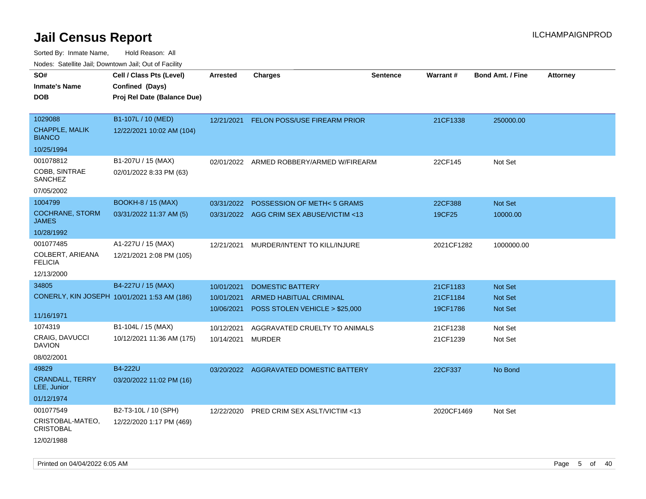| rouco. Calcinic Jan, Downtown Jan, Out of Facility                |                                                                                                                       |                                                                    |                                                                                                                                 |                 |                                                          |                                                                   |                 |
|-------------------------------------------------------------------|-----------------------------------------------------------------------------------------------------------------------|--------------------------------------------------------------------|---------------------------------------------------------------------------------------------------------------------------------|-----------------|----------------------------------------------------------|-------------------------------------------------------------------|-----------------|
| SO#<br><b>Inmate's Name</b><br>DOB                                | Cell / Class Pts (Level)<br>Confined (Days)<br>Proj Rel Date (Balance Due)                                            | Arrested                                                           | <b>Charges</b>                                                                                                                  | <b>Sentence</b> | Warrant#                                                 | <b>Bond Amt. / Fine</b>                                           | <b>Attorney</b> |
| 1029088<br>CHAPPLE, MALIK<br><b>BIANCO</b>                        | B1-107L / 10 (MED)<br>12/22/2021 10:02 AM (104)                                                                       |                                                                    | 12/21/2021 FELON POSS/USE FIREARM PRIOR                                                                                         |                 | 21CF1338                                                 | 250000.00                                                         |                 |
| 10/25/1994<br>001078812<br>COBB, SINTRAE<br>SANCHEZ<br>07/05/2002 | B1-207U / 15 (MAX)<br>02/01/2022 8:33 PM (63)                                                                         | 02/01/2022                                                         | ARMED ROBBERY/ARMED W/FIREARM                                                                                                   |                 | 22CF145                                                  | Not Set                                                           |                 |
| 1004799<br><b>COCHRANE, STORM</b><br>JAMES                        | <b>BOOKH-8 / 15 (MAX)</b><br>03/31/2022 11:37 AM (5)                                                                  | 03/31/2022                                                         | POSSESSION OF METH<5 GRAMS<br>03/31/2022 AGG CRIM SEX ABUSE/VICTIM <13                                                          |                 | 22CF388<br>19CF25                                        | <b>Not Set</b><br>10000.00                                        |                 |
| 10/28/1992<br>001077485<br>COLBERT, ARIEANA<br>FELICIA            | A1-227U / 15 (MAX)<br>12/21/2021 2:08 PM (105)                                                                        | 12/21/2021                                                         | MURDER/INTENT TO KILL/INJURE                                                                                                    |                 | 2021CF1282                                               | 1000000.00                                                        |                 |
| 12/13/2000<br>34805<br>11/16/1971<br>1074319<br>CRAIG, DAVUCCI    | B4-227U / 15 (MAX)<br>CONERLY, KIN JOSEPH 10/01/2021 1:53 AM (186)<br>B1-104L / 15 (MAX)<br>10/12/2021 11:36 AM (175) | 10/01/2021<br>10/01/2021<br>10/06/2021<br>10/12/2021<br>10/14/2021 | <b>DOMESTIC BATTERY</b><br>ARMED HABITUAL CRIMINAL<br>POSS STOLEN VEHICLE > \$25,000<br>AGGRAVATED CRUELTY TO ANIMALS<br>MURDER |                 | 21CF1183<br>21CF1184<br>19CF1786<br>21CF1238<br>21CF1239 | <b>Not Set</b><br>Not Set<br><b>Not Set</b><br>Not Set<br>Not Set |                 |
| DAVION<br>08/02/2001<br>49829                                     | <b>B4-222U</b>                                                                                                        |                                                                    |                                                                                                                                 |                 |                                                          |                                                                   |                 |
| <b>CRANDALL, TERRY</b><br>LEE, Junior<br>01/12/1974               | 03/20/2022 11:02 PM (16)                                                                                              | 03/20/2022                                                         | AGGRAVATED DOMESTIC BATTERY                                                                                                     |                 | 22CF337                                                  | No Bond                                                           |                 |
| 001077549<br>CRISTOBAL-MATEO,<br>CRISTOBAL<br>12/02/1988          | B2-T3-10L / 10 (SPH)<br>12/22/2020 1:17 PM (469)                                                                      | 12/22/2020                                                         | <b>PRED CRIM SEX ASLT/VICTIM &lt;13</b>                                                                                         |                 | 2020CF1469                                               | Not Set                                                           |                 |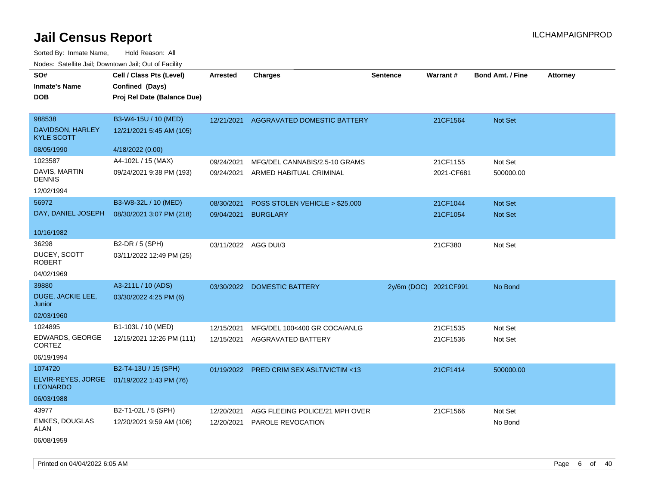Sorted By: Inmate Name, Hold Reason: All Nodes: Satellite Jail; Downtown Jail; Out of Facility

| SO#<br><b>Inmate's Name</b><br><b>DOB</b>                      | Cell / Class Pts (Level)<br>Confined (Days)<br>Proj Rel Date (Balance Due) | <b>Arrested</b>          | <b>Charges</b>                                           | <b>Sentence</b>       | Warrant#               | Bond Amt. / Fine     | <b>Attorney</b> |
|----------------------------------------------------------------|----------------------------------------------------------------------------|--------------------------|----------------------------------------------------------|-----------------------|------------------------|----------------------|-----------------|
| 988538<br>DAVIDSON, HARLEY<br><b>KYLE SCOTT</b><br>08/05/1990  | B3-W4-15U / 10 (MED)<br>12/21/2021 5:45 AM (105)<br>4/18/2022 (0.00)       | 12/21/2021               | AGGRAVATED DOMESTIC BATTERY                              |                       | 21CF1564               | Not Set              |                 |
| 1023587<br>DAVIS, MARTIN<br><b>DENNIS</b><br>12/02/1994        | A4-102L / 15 (MAX)<br>09/24/2021 9:38 PM (193)                             | 09/24/2021<br>09/24/2021 | MFG/DEL CANNABIS/2.5-10 GRAMS<br>ARMED HABITUAL CRIMINAL |                       | 21CF1155<br>2021-CF681 | Not Set<br>500000.00 |                 |
| 56972<br>DAY, DANIEL JOSEPH<br>10/16/1982                      | B3-W8-32L / 10 (MED)<br>08/30/2021 3:07 PM (218)                           | 08/30/2021<br>09/04/2021 | POSS STOLEN VEHICLE > \$25,000<br><b>BURGLARY</b>        |                       | 21CF1044<br>21CF1054   | Not Set<br>Not Set   |                 |
| 36298<br>DUCEY, SCOTT<br><b>ROBERT</b><br>04/02/1969           | B2-DR / 5 (SPH)<br>03/11/2022 12:49 PM (25)                                |                          | 03/11/2022 AGG DUI/3                                     |                       | 21CF380                | Not Set              |                 |
| 39880<br>DUGE, JACKIE LEE,<br>Junior<br>02/03/1960             | A3-211L / 10 (ADS)<br>03/30/2022 4:25 PM (6)                               | 03/30/2022               | <b>DOMESTIC BATTERY</b>                                  | 2y/6m (DOC) 2021CF991 |                        | No Bond              |                 |
| 1024895<br>EDWARDS, GEORGE<br><b>CORTEZ</b><br>06/19/1994      | B1-103L / 10 (MED)<br>12/15/2021 12:26 PM (111)                            | 12/15/2021<br>12/15/2021 | MFG/DEL 100<400 GR COCA/ANLG<br>AGGRAVATED BATTERY       |                       | 21CF1535<br>21CF1536   | Not Set<br>Not Set   |                 |
| 1074720<br>ELVIR-REYES, JORGE<br><b>LEONARDO</b><br>06/03/1988 | B2-T4-13U / 15 (SPH)<br>01/19/2022 1:43 PM (76)                            |                          | 01/19/2022 PRED CRIM SEX ASLT/VICTIM <13                 |                       | 21CF1414               | 500000.00            |                 |
| 43977<br><b>EMKES, DOUGLAS</b><br>ALAN<br>06/08/1959           | B2-T1-02L / 5 (SPH)<br>12/20/2021 9:59 AM (106)                            | 12/20/2021<br>12/20/2021 | AGG FLEEING POLICE/21 MPH OVER<br>PAROLE REVOCATION      |                       | 21CF1566               | Not Set<br>No Bond   |                 |

Printed on 04/04/2022 6:05 AM Page 6 of 40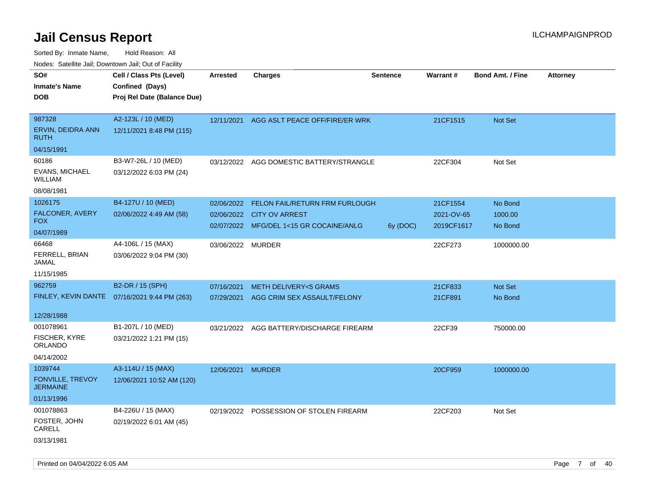| Nodes: Satellite Jail; Downtown Jail; Out of Facility |                             |                   |                                 |                 |            |                         |                 |
|-------------------------------------------------------|-----------------------------|-------------------|---------------------------------|-----------------|------------|-------------------------|-----------------|
| SO#                                                   | Cell / Class Pts (Level)    | <b>Arrested</b>   | <b>Charges</b>                  | <b>Sentence</b> | Warrant#   | <b>Bond Amt. / Fine</b> | <b>Attorney</b> |
| <b>Inmate's Name</b>                                  | Confined (Days)             |                   |                                 |                 |            |                         |                 |
| <b>DOB</b>                                            | Proj Rel Date (Balance Due) |                   |                                 |                 |            |                         |                 |
|                                                       |                             |                   |                                 |                 |            |                         |                 |
| 987328                                                | A2-123L / 10 (MED)          | 12/11/2021        | AGG ASLT PEACE OFF/FIRE/ER WRK  |                 | 21CF1515   | Not Set                 |                 |
| ERVIN, DEIDRA ANN<br><b>RUTH</b>                      | 12/11/2021 8:48 PM (115)    |                   |                                 |                 |            |                         |                 |
| 04/15/1991                                            |                             |                   |                                 |                 |            |                         |                 |
| 60186                                                 | B3-W7-26L / 10 (MED)        | 03/12/2022        | AGG DOMESTIC BATTERY/STRANGLE   |                 | 22CF304    | Not Set                 |                 |
| EVANS, MICHAEL<br><b>WILLIAM</b>                      | 03/12/2022 6:03 PM (24)     |                   |                                 |                 |            |                         |                 |
| 08/08/1981                                            |                             |                   |                                 |                 |            |                         |                 |
| 1026175                                               | B4-127U / 10 (MED)          | 02/06/2022        | FELON FAIL/RETURN FRM FURLOUGH  |                 | 21CF1554   | No Bond                 |                 |
| FALCONER, AVERY                                       | 02/06/2022 4:49 AM (58)     | 02/06/2022        | <b>CITY OV ARREST</b>           |                 | 2021-OV-65 | 1000.00                 |                 |
| <b>FOX</b>                                            |                             | 02/07/2022        | MFG/DEL 1<15 GR COCAINE/ANLG    | 6y (DOC)        | 2019CF1617 | No Bond                 |                 |
| 04/07/1989                                            |                             |                   |                                 |                 |            |                         |                 |
| 66468                                                 | A4-106L / 15 (MAX)          | 03/06/2022 MURDER |                                 |                 | 22CF273    | 1000000.00              |                 |
| FERRELL, BRIAN<br><b>JAMAL</b>                        | 03/06/2022 9:04 PM (30)     |                   |                                 |                 |            |                         |                 |
| 11/15/1985                                            |                             |                   |                                 |                 |            |                         |                 |
| 962759                                                | B2-DR / 15 (SPH)            | 07/16/2021        | <b>METH DELIVERY&lt;5 GRAMS</b> |                 | 21CF833    | Not Set                 |                 |
| FINLEY, KEVIN DANTE                                   | 07/16/2021 9:44 PM (263)    | 07/29/2021        | AGG CRIM SEX ASSAULT/FELONY     |                 | 21CF891    | No Bond                 |                 |
|                                                       |                             |                   |                                 |                 |            |                         |                 |
| 12/28/1988                                            |                             |                   |                                 |                 |            |                         |                 |
| 001078961                                             | B1-207L / 10 (MED)          | 03/21/2022        | AGG BATTERY/DISCHARGE FIREARM   |                 | 22CF39     | 750000.00               |                 |
| <b>FISCHER, KYRE</b><br><b>ORLANDO</b>                | 03/21/2022 1:21 PM (15)     |                   |                                 |                 |            |                         |                 |
| 04/14/2002                                            |                             |                   |                                 |                 |            |                         |                 |
| 1039744                                               | A3-114U / 15 (MAX)          | 12/06/2021        | <b>MURDER</b>                   |                 | 20CF959    | 1000000.00              |                 |
| FONVILLE, TREVOY<br><b>JERMAINE</b>                   | 12/06/2021 10:52 AM (120)   |                   |                                 |                 |            |                         |                 |
| 01/13/1996                                            |                             |                   |                                 |                 |            |                         |                 |
| 001078863                                             | B4-226U / 15 (MAX)          | 02/19/2022        | POSSESSION OF STOLEN FIREARM    |                 | 22CF203    | Not Set                 |                 |
| FOSTER, JOHN<br>CARELL                                | 02/19/2022 6:01 AM (45)     |                   |                                 |                 |            |                         |                 |
| 03/13/1981                                            |                             |                   |                                 |                 |            |                         |                 |
|                                                       |                             |                   |                                 |                 |            |                         |                 |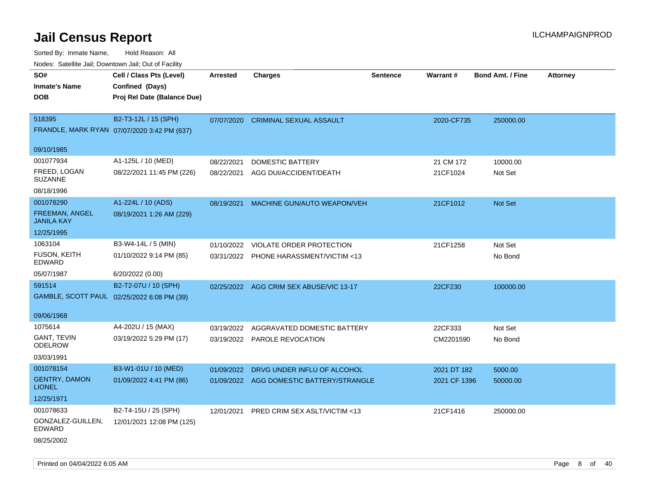Sorted By: Inmate Name, Hold Reason: All Nodes: Satellite Jail; Downtown Jail; Out of Facility

| voues. Saleline Jail, Downtown Jail, Out of Facility |                                             |                 |                                          |                 |              |                         |          |
|------------------------------------------------------|---------------------------------------------|-----------------|------------------------------------------|-----------------|--------------|-------------------------|----------|
| SO#                                                  | Cell / Class Pts (Level)                    | <b>Arrested</b> | <b>Charges</b>                           | <b>Sentence</b> | Warrant#     | <b>Bond Amt. / Fine</b> | Attorney |
| <b>Inmate's Name</b>                                 | Confined (Days)                             |                 |                                          |                 |              |                         |          |
| <b>DOB</b>                                           | Proj Rel Date (Balance Due)                 |                 |                                          |                 |              |                         |          |
|                                                      |                                             |                 |                                          |                 |              |                         |          |
| 518395                                               | B2-T3-12L / 15 (SPH)                        | 07/07/2020      | <b>CRIMINAL SEXUAL ASSAULT</b>           |                 | 2020-CF735   | 250000.00               |          |
|                                                      | FRANDLE, MARK RYAN 07/07/2020 3:42 PM (637) |                 |                                          |                 |              |                         |          |
|                                                      |                                             |                 |                                          |                 |              |                         |          |
| 09/10/1985                                           |                                             |                 |                                          |                 |              |                         |          |
| 001077934                                            | A1-125L / 10 (MED)                          | 08/22/2021      | <b>DOMESTIC BATTERY</b>                  |                 | 21 CM 172    | 10000.00                |          |
| FREED, LOGAN<br><b>SUZANNE</b>                       | 08/22/2021 11:45 PM (226)                   | 08/22/2021      | AGG DUI/ACCIDENT/DEATH                   |                 | 21CF1024     | Not Set                 |          |
| 08/18/1996                                           |                                             |                 |                                          |                 |              |                         |          |
| 001078290                                            | A1-224L / 10 (ADS)                          | 08/19/2021      | MACHINE GUN/AUTO WEAPON/VEH              |                 | 21CF1012     | Not Set                 |          |
| <b>FREEMAN, ANGEL</b>                                | 08/19/2021 1:26 AM (229)                    |                 |                                          |                 |              |                         |          |
| <b>JANILA KAY</b>                                    |                                             |                 |                                          |                 |              |                         |          |
| 12/25/1995                                           |                                             |                 |                                          |                 |              |                         |          |
| 1063104                                              | B3-W4-14L / 5 (MIN)                         | 01/10/2022      | <b>VIOLATE ORDER PROTECTION</b>          |                 | 21CF1258     | Not Set                 |          |
| <b>FUSON, KEITH</b>                                  | 01/10/2022 9:14 PM (85)                     |                 | 03/31/2022 PHONE HARASSMENT/VICTIM <13   |                 |              | No Bond                 |          |
| EDWARD                                               |                                             |                 |                                          |                 |              |                         |          |
| 05/07/1987                                           | 6/20/2022 (0.00)                            |                 |                                          |                 |              |                         |          |
| 591514                                               | B2-T2-07U / 10 (SPH)                        |                 | 02/25/2022 AGG CRIM SEX ABUSE/VIC 13-17  |                 | 22CF230      | 100000.00               |          |
|                                                      | GAMBLE, SCOTT PAUL 02/25/2022 6:08 PM (39)  |                 |                                          |                 |              |                         |          |
|                                                      |                                             |                 |                                          |                 |              |                         |          |
| 09/06/1968                                           |                                             |                 |                                          |                 |              |                         |          |
| 1075614                                              | A4-202U / 15 (MAX)                          | 03/19/2022      | AGGRAVATED DOMESTIC BATTERY              |                 | 22CF333      | Not Set                 |          |
| <b>GANT, TEVIN</b><br><b>ODELROW</b>                 | 03/19/2022 5:29 PM (17)                     |                 | 03/19/2022 PAROLE REVOCATION             |                 | CM2201590    | No Bond                 |          |
|                                                      |                                             |                 |                                          |                 |              |                         |          |
| 03/03/1991                                           |                                             |                 |                                          |                 |              |                         |          |
| 001078154                                            | B3-W1-01U / 10 (MED)                        | 01/09/2022      | DRVG UNDER INFLU OF ALCOHOL              |                 | 2021 DT 182  | 5000.00                 |          |
| <b>GENTRY, DAMON</b><br><b>LIONEL</b>                | 01/09/2022 4:41 PM (86)                     |                 | 01/09/2022 AGG DOMESTIC BATTERY/STRANGLE |                 | 2021 CF 1396 | 50000.00                |          |
| 12/25/1971                                           |                                             |                 |                                          |                 |              |                         |          |
| 001078633                                            | B2-T4-15U / 25 (SPH)                        |                 | 12/01/2021 PRED CRIM SEX ASLT/VICTIM <13 |                 | 21CF1416     | 250000.00               |          |
| GONZALEZ-GUILLEN,<br>EDWARD                          | 12/01/2021 12:08 PM (125)                   |                 |                                          |                 |              |                         |          |
| 08/25/2002                                           |                                             |                 |                                          |                 |              |                         |          |

Printed on 04/04/2022 6:05 AM Page 8 of 40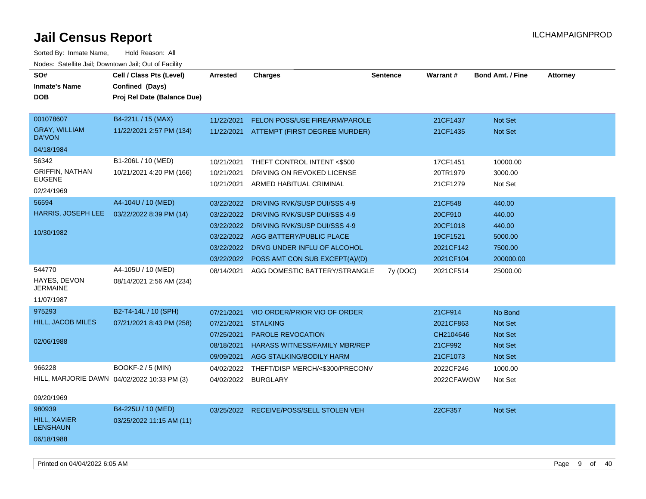| SO#<br><b>Inmate's Name</b><br><b>DOB</b>                      | Cell / Class Pts (Level)<br>Confined (Days)<br>Proj Rel Date (Balance Due) | <b>Arrested</b>                                                    | <b>Charges</b>                                                                                                                                                                                       | <b>Sentence</b> | <b>Warrant#</b>                                                      | <b>Bond Amt. / Fine</b>                                           | <b>Attorney</b> |
|----------------------------------------------------------------|----------------------------------------------------------------------------|--------------------------------------------------------------------|------------------------------------------------------------------------------------------------------------------------------------------------------------------------------------------------------|-----------------|----------------------------------------------------------------------|-------------------------------------------------------------------|-----------------|
| 001078607<br><b>GRAY, WILLIAM</b><br>DA'VON<br>04/18/1984      | B4-221L / 15 (MAX)<br>11/22/2021 2:57 PM (134)                             | 11/22/2021<br>11/22/2021                                           | <b>FELON POSS/USE FIREARM/PAROLE</b><br>ATTEMPT (FIRST DEGREE MURDER)                                                                                                                                |                 | 21CF1437<br>21CF1435                                                 | Not Set<br><b>Not Set</b>                                         |                 |
| 56342<br><b>GRIFFIN, NATHAN</b><br><b>EUGENE</b><br>02/24/1969 | B1-206L / 10 (MED)<br>10/21/2021 4:20 PM (166)                             | 10/21/2021<br>10/21/2021<br>10/21/2021                             | THEFT CONTROL INTENT <\$500<br>DRIVING ON REVOKED LICENSE<br>ARMED HABITUAL CRIMINAL                                                                                                                 |                 | 17CF1451<br>20TR1979<br>21CF1279                                     | 10000.00<br>3000.00<br>Not Set                                    |                 |
| 56594<br>HARRIS, JOSEPH LEE<br>10/30/1982                      | A4-104U / 10 (MED)<br>03/22/2022 8:39 PM (14)                              | 03/22/2022<br>03/22/2022<br>03/22/2022<br>03/22/2022<br>03/22/2022 | DRIVING RVK/SUSP DUI/SSS 4-9<br>DRIVING RVK/SUSP DUI/SSS 4-9<br>DRIVING RVK/SUSP DUI/SSS 4-9<br>AGG BATTERY/PUBLIC PLACE<br>03/22/2022 DRVG UNDER INFLU OF ALCOHOL<br>POSS AMT CON SUB EXCEPT(A)/(D) |                 | 21CF548<br>20CF910<br>20CF1018<br>19CF1521<br>2021CF142<br>2021CF104 | 440.00<br>440.00<br>440.00<br>5000.00<br>7500.00<br>200000.00     |                 |
| 544770<br>HAYES, DEVON<br><b>JERMAINE</b><br>11/07/1987        | A4-105U / 10 (MED)<br>08/14/2021 2:56 AM (234)                             | 08/14/2021                                                         | AGG DOMESTIC BATTERY/STRANGLE                                                                                                                                                                        | 7y (DOC)        | 2021CF514                                                            | 25000.00                                                          |                 |
| 975293<br><b>HILL, JACOB MILES</b><br>02/06/1988               | B2-T4-14L / 10 (SPH)<br>07/21/2021 8:43 PM (258)                           | 07/21/2021<br>07/21/2021<br>07/25/2021<br>08/18/2021<br>09/09/2021 | VIO ORDER/PRIOR VIO OF ORDER<br><b>STALKING</b><br>PAROLE REVOCATION<br><b>HARASS WITNESS/FAMILY MBR/REP</b><br>AGG STALKING/BODILY HARM                                                             |                 | 21CF914<br>2021CF863<br>CH2104646<br>21CF992<br>21CF1073             | No Bond<br><b>Not Set</b><br><b>Not Set</b><br>Not Set<br>Not Set |                 |
| 966228<br>09/20/1969                                           | <b>BOOKF-2 / 5 (MIN)</b><br>HILL, MARJORIE DAWN 04/02/2022 10:33 PM (3)    | 04/02/2022<br>04/02/2022                                           | THEFT/DISP MERCH/<\$300/PRECONV<br><b>BURGLARY</b>                                                                                                                                                   |                 | 2022CF246<br>2022CFAWOW                                              | 1000.00<br>Not Set                                                |                 |
| 980939<br><b>HILL, XAVIER</b><br><b>LENSHAUN</b><br>06/18/1988 | B4-225U / 10 (MED)<br>03/25/2022 11:15 AM (11)                             |                                                                    | 03/25/2022 RECEIVE/POSS/SELL STOLEN VEH                                                                                                                                                              |                 | 22CF357                                                              | Not Set                                                           |                 |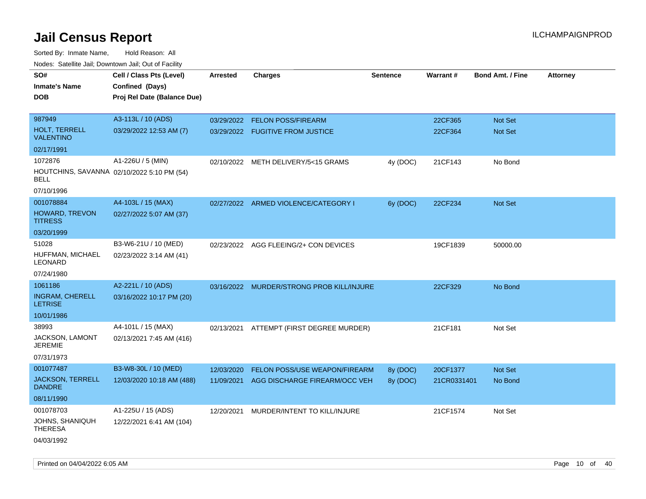Sorted By: Inmate Name, Hold Reason: All Nodes: Satellite Jail; Downtown Jail; Out of Facility

| roacs. Catellite Jall, Downtown Jall, Out of Facility |                             |                 |                                           |                 |             |                         |                 |
|-------------------------------------------------------|-----------------------------|-----------------|-------------------------------------------|-----------------|-------------|-------------------------|-----------------|
| SO#                                                   | Cell / Class Pts (Level)    | <b>Arrested</b> | <b>Charges</b>                            | <b>Sentence</b> | Warrant#    | <b>Bond Amt. / Fine</b> | <b>Attorney</b> |
| <b>Inmate's Name</b>                                  | Confined (Days)             |                 |                                           |                 |             |                         |                 |
| <b>DOB</b>                                            | Proj Rel Date (Balance Due) |                 |                                           |                 |             |                         |                 |
|                                                       |                             |                 |                                           |                 |             |                         |                 |
| 987949                                                | A3-113L / 10 (ADS)          |                 | 03/29/2022 FELON POSS/FIREARM             |                 | 22CF365     | Not Set                 |                 |
| <b>HOLT, TERRELL</b><br><b>VALENTINO</b>              | 03/29/2022 12:53 AM (7)     |                 | 03/29/2022 FUGITIVE FROM JUSTICE          |                 | 22CF364     | <b>Not Set</b>          |                 |
| 02/17/1991                                            |                             |                 |                                           |                 |             |                         |                 |
| 1072876                                               | A1-226U / 5 (MIN)           |                 | 02/10/2022 METH DELIVERY/5<15 GRAMS       | 4y (DOC)        | 21CF143     | No Bond                 |                 |
| HOUTCHINS, SAVANNA 02/10/2022 5:10 PM (54)<br>BELL    |                             |                 |                                           |                 |             |                         |                 |
| 07/10/1996                                            |                             |                 |                                           |                 |             |                         |                 |
| 001078884                                             | A4-103L / 15 (MAX)          |                 | 02/27/2022 ARMED VIOLENCE/CATEGORY I      | 6y (DOC)        | 22CF234     | Not Set                 |                 |
| HOWARD, TREVON<br><b>TITRESS</b>                      | 02/27/2022 5:07 AM (37)     |                 |                                           |                 |             |                         |                 |
| 03/20/1999                                            |                             |                 |                                           |                 |             |                         |                 |
| 51028                                                 | B3-W6-21U / 10 (MED)        |                 | 02/23/2022 AGG FLEEING/2+ CON DEVICES     |                 | 19CF1839    | 50000.00                |                 |
| HUFFMAN, MICHAEL<br>LEONARD                           | 02/23/2022 3:14 AM (41)     |                 |                                           |                 |             |                         |                 |
| 07/24/1980                                            |                             |                 |                                           |                 |             |                         |                 |
| 1061186                                               | A2-221L / 10 (ADS)          |                 | 03/16/2022 MURDER/STRONG PROB KILL/INJURE |                 | 22CF329     | No Bond                 |                 |
| <b>INGRAM, CHERELL</b><br><b>LETRISE</b>              | 03/16/2022 10:17 PM (20)    |                 |                                           |                 |             |                         |                 |
| 10/01/1986                                            |                             |                 |                                           |                 |             |                         |                 |
| 38993                                                 | A4-101L / 15 (MAX)          |                 | 02/13/2021 ATTEMPT (FIRST DEGREE MURDER)  |                 | 21CF181     | Not Set                 |                 |
| JACKSON, LAMONT<br><b>JEREMIE</b>                     | 02/13/2021 7:45 AM (416)    |                 |                                           |                 |             |                         |                 |
| 07/31/1973                                            |                             |                 |                                           |                 |             |                         |                 |
| 001077487                                             | B3-W8-30L / 10 (MED)        | 12/03/2020      | FELON POSS/USE WEAPON/FIREARM             | 8y (DOC)        | 20CF1377    | Not Set                 |                 |
| <b>JACKSON, TERRELL</b><br><b>DANDRE</b>              | 12/03/2020 10:18 AM (488)   | 11/09/2021      | AGG DISCHARGE FIREARM/OCC VEH             | 8y (DOC)        | 21CR0331401 | No Bond                 |                 |
| 08/11/1990                                            |                             |                 |                                           |                 |             |                         |                 |
| 001078703                                             | A1-225U / 15 (ADS)          | 12/20/2021      | MURDER/INTENT TO KILL/INJURE              |                 | 21CF1574    | Not Set                 |                 |
| JOHNS, SHANIQUH<br><b>THERESA</b>                     | 12/22/2021 6:41 AM (104)    |                 |                                           |                 |             |                         |                 |
| 04/03/1992                                            |                             |                 |                                           |                 |             |                         |                 |

Printed on 04/04/2022 6:05 AM Page 10 of 40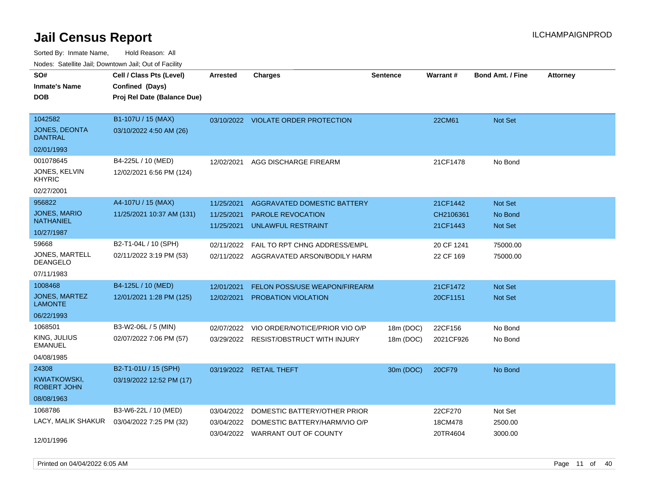Sorted By: Inmate Name, Hold Reason: All Nodes: Satellite Jail; Downtown Jail; Out of Facility

| rouco. Calcinic Jan, Downtown Jan, Out of Facility |                             |                 |                                        |                 |                 |                         |                 |
|----------------------------------------------------|-----------------------------|-----------------|----------------------------------------|-----------------|-----------------|-------------------------|-----------------|
| SO#                                                | Cell / Class Pts (Level)    | <b>Arrested</b> | Charges                                | <b>Sentence</b> | <b>Warrant#</b> | <b>Bond Amt. / Fine</b> | <b>Attorney</b> |
| Inmate's Name                                      | Confined (Days)             |                 |                                        |                 |                 |                         |                 |
| DOB                                                | Proj Rel Date (Balance Due) |                 |                                        |                 |                 |                         |                 |
|                                                    |                             |                 |                                        |                 |                 |                         |                 |
| 1042582                                            | B1-107U / 15 (MAX)          |                 | 03/10/2022 VIOLATE ORDER PROTECTION    |                 | 22CM61          | Not Set                 |                 |
| <b>JONES, DEONTA</b><br>DANTRAL                    | 03/10/2022 4:50 AM (26)     |                 |                                        |                 |                 |                         |                 |
| 02/01/1993                                         |                             |                 |                                        |                 |                 |                         |                 |
| 001078645                                          | B4-225L / 10 (MED)          | 12/02/2021      | AGG DISCHARGE FIREARM                  |                 | 21CF1478        | No Bond                 |                 |
| JONES, KELVIN<br>KHYRIC                            | 12/02/2021 6:56 PM (124)    |                 |                                        |                 |                 |                         |                 |
| 02/27/2001                                         |                             |                 |                                        |                 |                 |                         |                 |
| 956822                                             | A4-107U / 15 (MAX)          | 11/25/2021      | AGGRAVATED DOMESTIC BATTERY            |                 | 21CF1442        | Not Set                 |                 |
| <b>JONES, MARIO</b>                                | 11/25/2021 10:37 AM (131)   | 11/25/2021      | <b>PAROLE REVOCATION</b>               |                 | CH2106361       | No Bond                 |                 |
| NATHANIEL                                          |                             | 11/25/2021      | UNLAWFUL RESTRAINT                     |                 | 21CF1443        | <b>Not Set</b>          |                 |
| 10/27/1987                                         |                             |                 |                                        |                 |                 |                         |                 |
| 59668                                              | B2-T1-04L / 10 (SPH)        | 02/11/2022      | FAIL TO RPT CHNG ADDRESS/EMPL          |                 | 20 CF 1241      | 75000.00                |                 |
| JONES, MARTELL<br>DEANGELO                         | 02/11/2022 3:19 PM (53)     | 02/11/2022      | AGGRAVATED ARSON/BODILY HARM           |                 | 22 CF 169       | 75000.00                |                 |
| 07/11/1983                                         |                             |                 |                                        |                 |                 |                         |                 |
| 1008468                                            | B4-125L / 10 (MED)          | 12/01/2021      | FELON POSS/USE WEAPON/FIREARM          |                 | 21CF1472        | <b>Not Set</b>          |                 |
| JONES, MARTEZ<br>LAMONTE                           | 12/01/2021 1:28 PM (125)    | 12/02/2021      | <b>PROBATION VIOLATION</b>             |                 | 20CF1151        | <b>Not Set</b>          |                 |
| 06/22/1993                                         |                             |                 |                                        |                 |                 |                         |                 |
| 1068501                                            | B3-W2-06L / 5 (MIN)         | 02/07/2022      | VIO ORDER/NOTICE/PRIOR VIO O/P         | 18m (DOC)       | 22CF156         | No Bond                 |                 |
| KING, JULIUS<br>EMANUEL                            | 02/07/2022 7:06 PM (57)     |                 | 03/29/2022 RESIST/OBSTRUCT WITH INJURY | 18m (DOC)       | 2021CF926       | No Bond                 |                 |
| 04/08/1985                                         |                             |                 |                                        |                 |                 |                         |                 |
| 24308                                              | B2-T1-01U / 15 (SPH)        | 03/19/2022      | RETAIL THEFT                           | 30m (DOC)       | 20CF79          | No Bond                 |                 |
| KWIATKOWSKI.<br><b>ROBERT JOHN</b>                 | 03/19/2022 12:52 PM (17)    |                 |                                        |                 |                 |                         |                 |
| 08/08/1963                                         |                             |                 |                                        |                 |                 |                         |                 |
| 1068786                                            | B3-W6-22L / 10 (MED)        | 03/04/2022      | DOMESTIC BATTERY/OTHER PRIOR           |                 | 22CF270         | Not Set                 |                 |
| LACY, MALIK SHAKUR                                 | 03/04/2022 7:25 PM (32)     | 03/04/2022      | DOMESTIC BATTERY/HARM/VIO O/P          |                 | 18CM478         | 2500.00                 |                 |
|                                                    |                             |                 | 03/04/2022 WARRANT OUT OF COUNTY       |                 | 20TR4604        | 3000.00                 |                 |
| 12/01/1996                                         |                             |                 |                                        |                 |                 |                         |                 |

Printed on 04/04/2022 6:05 AM **Page 11** of 40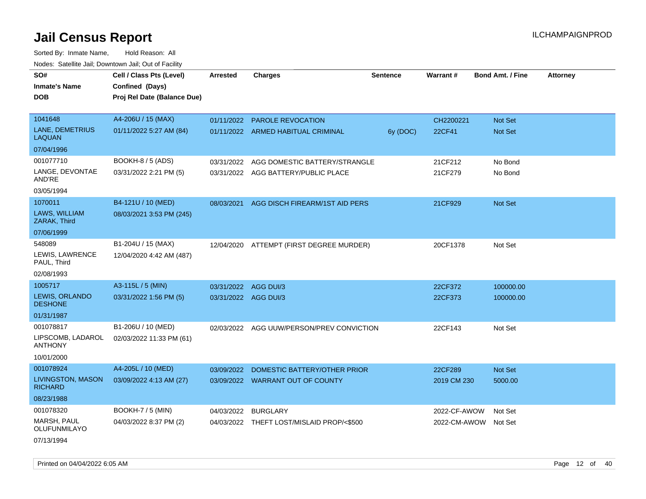Sorted By: Inmate Name, Hold Reason: All Nodes: Satellite Jail; Downtown Jail; Out of Facility

| SO#                                     | Cell / Class Pts (Level)    | <b>Arrested</b>      | <b>Charges</b>                            | <b>Sentence</b> | Warrant#     | <b>Bond Amt. / Fine</b> | Attorney |
|-----------------------------------------|-----------------------------|----------------------|-------------------------------------------|-----------------|--------------|-------------------------|----------|
| <b>Inmate's Name</b>                    | Confined (Days)             |                      |                                           |                 |              |                         |          |
| <b>DOB</b>                              | Proj Rel Date (Balance Due) |                      |                                           |                 |              |                         |          |
|                                         |                             |                      |                                           |                 |              |                         |          |
| 1041648                                 | A4-206U / 15 (MAX)          |                      | 01/11/2022 PAROLE REVOCATION              |                 | CH2200221    | Not Set                 |          |
| LANE, DEMETRIUS<br><b>LAQUAN</b>        | 01/11/2022 5:27 AM (84)     |                      | 01/11/2022 ARMED HABITUAL CRIMINAL        | 6y (DOC)        | 22CF41       | <b>Not Set</b>          |          |
| 07/04/1996                              |                             |                      |                                           |                 |              |                         |          |
| 001077710                               | <b>BOOKH-8 / 5 (ADS)</b>    | 03/31/2022           | AGG DOMESTIC BATTERY/STRANGLE             |                 | 21CF212      | No Bond                 |          |
| LANGE, DEVONTAE<br>AND'RE               | 03/31/2022 2:21 PM (5)      |                      | 03/31/2022 AGG BATTERY/PUBLIC PLACE       |                 | 21CF279      | No Bond                 |          |
| 03/05/1994                              |                             |                      |                                           |                 |              |                         |          |
| 1070011                                 | B4-121U / 10 (MED)          | 08/03/2021           | AGG DISCH FIREARM/1ST AID PERS            |                 | 21CF929      | Not Set                 |          |
| LAWS, WILLIAM<br>ZARAK, Third           | 08/03/2021 3:53 PM (245)    |                      |                                           |                 |              |                         |          |
| 07/06/1999                              |                             |                      |                                           |                 |              |                         |          |
| 548089                                  | B1-204U / 15 (MAX)          |                      | 12/04/2020 ATTEMPT (FIRST DEGREE MURDER)  |                 | 20CF1378     | Not Set                 |          |
| LEWIS, LAWRENCE<br>PAUL, Third          | 12/04/2020 4:42 AM (487)    |                      |                                           |                 |              |                         |          |
| 02/08/1993                              |                             |                      |                                           |                 |              |                         |          |
| 1005717                                 | A3-115L / 5 (MIN)           | 03/31/2022 AGG DUI/3 |                                           |                 | 22CF372      | 100000.00               |          |
| <b>LEWIS, ORLANDO</b><br><b>DESHONE</b> | 03/31/2022 1:56 PM (5)      | 03/31/2022 AGG DUI/3 |                                           |                 | 22CF373      | 100000.00               |          |
| 01/31/1987                              |                             |                      |                                           |                 |              |                         |          |
| 001078817                               | B1-206U / 10 (MED)          | 02/03/2022           | AGG UUW/PERSON/PREV CONVICTION            |                 | 22CF143      | Not Set                 |          |
| LIPSCOMB, LADAROL<br><b>ANTHONY</b>     | 02/03/2022 11:33 PM (61)    |                      |                                           |                 |              |                         |          |
| 10/01/2000                              |                             |                      |                                           |                 |              |                         |          |
| 001078924                               | A4-205L / 10 (MED)          | 03/09/2022           | DOMESTIC BATTERY/OTHER PRIOR              |                 | 22CF289      | Not Set                 |          |
| LIVINGSTON, MASON<br><b>RICHARD</b>     | 03/09/2022 4:13 AM (27)     |                      | 03/09/2022 WARRANT OUT OF COUNTY          |                 | 2019 CM 230  | 5000.00                 |          |
| 08/23/1988                              |                             |                      |                                           |                 |              |                         |          |
| 001078320                               | <b>BOOKH-7 / 5 (MIN)</b>    | 04/03/2022           | <b>BURGLARY</b>                           |                 | 2022-CF-AWOW | Not Set                 |          |
| MARSH, PAUL<br>OLUFUNMILAYO             | 04/03/2022 8:37 PM (2)      |                      | 04/03/2022 THEFT LOST/MISLAID PROP/<\$500 |                 | 2022-CM-AWOW | Not Set                 |          |
| 07/13/1994                              |                             |                      |                                           |                 |              |                         |          |

Printed on 04/04/2022 6:05 AM Page 12 of 40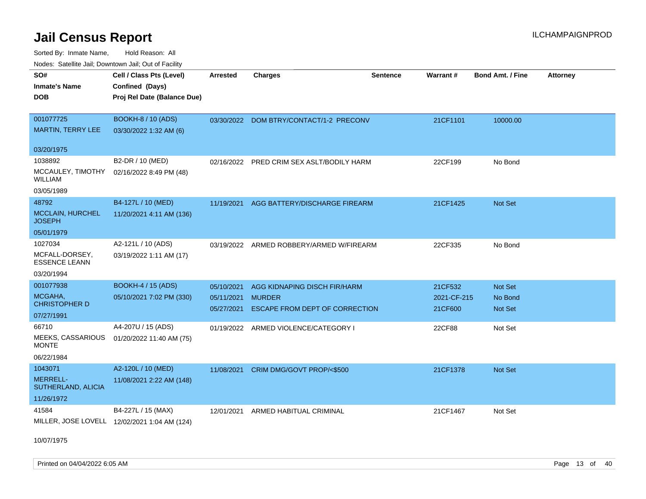Sorted By: Inmate Name, Hold Reason: All Nodes: Satellite Jail; Downtown Jail; Out of Facility

| <b>NOULD:</b> Catoline can, Downtown can, Out of Fability |                                              |                 |                                           |                 |             |                         |                 |
|-----------------------------------------------------------|----------------------------------------------|-----------------|-------------------------------------------|-----------------|-------------|-------------------------|-----------------|
| SO#<br><b>Inmate's Name</b>                               | Cell / Class Pts (Level)<br>Confined (Days)  | <b>Arrested</b> | <b>Charges</b>                            | <b>Sentence</b> | Warrant#    | <b>Bond Amt. / Fine</b> | <b>Attorney</b> |
| <b>DOB</b>                                                | Proj Rel Date (Balance Due)                  |                 |                                           |                 |             |                         |                 |
| 001077725                                                 | <b>BOOKH-8 / 10 (ADS)</b>                    |                 | 03/30/2022 DOM BTRY/CONTACT/1-2 PRECONV   |                 | 21CF1101    | 10000.00                |                 |
| <b>MARTIN, TERRY LEE</b>                                  | 03/30/2022 1:32 AM (6)                       |                 |                                           |                 |             |                         |                 |
| 03/20/1975                                                |                                              |                 |                                           |                 |             |                         |                 |
| 1038892                                                   | B2-DR / 10 (MED)                             |                 | 02/16/2022 PRED CRIM SEX ASLT/BODILY HARM |                 | 22CF199     | No Bond                 |                 |
| MCCAULEY, TIMOTHY<br><b>WILLIAM</b>                       | 02/16/2022 8:49 PM (48)                      |                 |                                           |                 |             |                         |                 |
| 03/05/1989                                                |                                              |                 |                                           |                 |             |                         |                 |
| 48792                                                     | B4-127L / 10 (MED)                           | 11/19/2021      | AGG BATTERY/DISCHARGE FIREARM             |                 | 21CF1425    | <b>Not Set</b>          |                 |
| MCCLAIN, HURCHEL<br><b>JOSEPH</b>                         | 11/20/2021 4:11 AM (136)                     |                 |                                           |                 |             |                         |                 |
| 05/01/1979                                                |                                              |                 |                                           |                 |             |                         |                 |
| 1027034                                                   | A2-121L / 10 (ADS)                           |                 | 03/19/2022 ARMED ROBBERY/ARMED W/FIREARM  |                 | 22CF335     | No Bond                 |                 |
| MCFALL-DORSEY,<br><b>ESSENCE LEANN</b>                    | 03/19/2022 1:11 AM (17)                      |                 |                                           |                 |             |                         |                 |
| 03/20/1994                                                |                                              |                 |                                           |                 |             |                         |                 |
| 001077938                                                 | <b>BOOKH-4 / 15 (ADS)</b>                    | 05/10/2021      | AGG KIDNAPING DISCH FIR/HARM              |                 | 21CF532     | <b>Not Set</b>          |                 |
| MCGAHA,                                                   | 05/10/2021 7:02 PM (330)                     | 05/11/2021      | <b>MURDER</b>                             |                 | 2021-CF-215 | No Bond                 |                 |
| <b>CHRISTOPHER D</b>                                      |                                              | 05/27/2021      | ESCAPE FROM DEPT OF CORRECTION            |                 | 21CF600     | <b>Not Set</b>          |                 |
| 07/27/1991<br>66710                                       | A4-207U / 15 (ADS)                           |                 |                                           |                 |             |                         |                 |
| MEEKS, CASSARIOUS                                         | 01/20/2022 11:40 AM (75)                     |                 | 01/19/2022 ARMED VIOLENCE/CATEGORY I      |                 | 22CF88      | Not Set                 |                 |
| <b>MONTE</b>                                              |                                              |                 |                                           |                 |             |                         |                 |
| 06/22/1984                                                |                                              |                 |                                           |                 |             |                         |                 |
| 1043071                                                   | A2-120L / 10 (MED)                           | 11/08/2021      | CRIM DMG/GOVT PROP/<\$500                 |                 | 21CF1378    | <b>Not Set</b>          |                 |
| <b>MERRELL-</b><br>SUTHERLAND, ALICIA                     | 11/08/2021 2:22 AM (148)                     |                 |                                           |                 |             |                         |                 |
| 11/26/1972                                                |                                              |                 |                                           |                 |             |                         |                 |
| 41584                                                     | B4-227L / 15 (MAX)                           | 12/01/2021      | ARMED HABITUAL CRIMINAL                   |                 | 21CF1467    | Not Set                 |                 |
|                                                           | MILLER, JOSE LOVELL 12/02/2021 1:04 AM (124) |                 |                                           |                 |             |                         |                 |

10/07/1975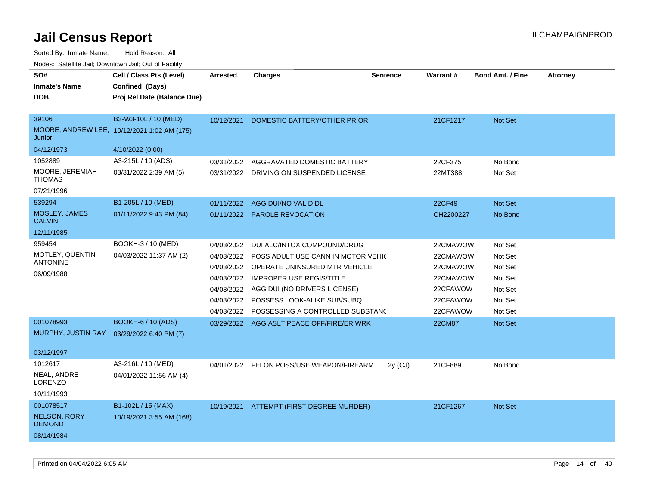| SO#                                   | Cell / Class Pts (Level)                    | Arrested   | <b>Charges</b>                            | <b>Sentence</b> | Warrant#      | <b>Bond Amt. / Fine</b> | <b>Attorney</b> |
|---------------------------------------|---------------------------------------------|------------|-------------------------------------------|-----------------|---------------|-------------------------|-----------------|
| <b>Inmate's Name</b>                  | Confined (Days)                             |            |                                           |                 |               |                         |                 |
| <b>DOB</b>                            | Proj Rel Date (Balance Due)                 |            |                                           |                 |               |                         |                 |
| 39106                                 | B3-W3-10L / 10 (MED)                        | 10/12/2021 | DOMESTIC BATTERY/OTHER PRIOR              |                 | 21CF1217      | <b>Not Set</b>          |                 |
| Junior                                | MOORE, ANDREW LEE, 10/12/2021 1:02 AM (175) |            |                                           |                 |               |                         |                 |
| 04/12/1973                            | 4/10/2022 (0.00)                            |            |                                           |                 |               |                         |                 |
| 1052889                               | A3-215L / 10 (ADS)                          | 03/31/2022 | AGGRAVATED DOMESTIC BATTERY               |                 | 22CF375       | No Bond                 |                 |
| MOORE, JEREMIAH<br><b>THOMAS</b>      | 03/31/2022 2:39 AM (5)                      | 03/31/2022 | DRIVING ON SUSPENDED LICENSE              |                 | 22MT388       | Not Set                 |                 |
| 07/21/1996                            |                                             |            |                                           |                 |               |                         |                 |
| 539294                                | B1-205L / 10 (MED)                          |            | 01/11/2022 AGG DUI/NO VALID DL            |                 | 22CF49        | Not Set                 |                 |
| <b>MOSLEY, JAMES</b><br><b>CALVIN</b> | 01/11/2022 9:43 PM (84)                     |            | 01/11/2022 PAROLE REVOCATION              |                 | CH2200227     | No Bond                 |                 |
| 12/11/1985                            |                                             |            |                                           |                 |               |                         |                 |
| 959454                                | BOOKH-3 / 10 (MED)                          | 04/03/2022 | DUI ALC/INTOX COMPOUND/DRUG               |                 | 22CMAWOW      | Not Set                 |                 |
| MOTLEY, QUENTIN                       | 04/03/2022 11:37 AM (2)                     | 04/03/2022 | POSS ADULT USE CANN IN MOTOR VEHIC        |                 | 22CMAWOW      | Not Set                 |                 |
| <b>ANTONINE</b>                       |                                             |            | 04/03/2022 OPERATE UNINSURED MTR VEHICLE  |                 | 22CMAWOW      | Not Set                 |                 |
| 06/09/1988                            |                                             | 04/03/2022 | <b>IMPROPER USE REGIS/TITLE</b>           |                 | 22CMAWOW      | Not Set                 |                 |
|                                       |                                             | 04/03/2022 | AGG DUI (NO DRIVERS LICENSE)              |                 | 22CFAWOW      | Not Set                 |                 |
|                                       |                                             | 04/03/2022 | POSSESS LOOK-ALIKE SUB/SUBQ               |                 | 22CFAWOW      | Not Set                 |                 |
|                                       |                                             | 04/03/2022 | POSSESSING A CONTROLLED SUBSTAND          |                 | 22CFAWOW      | Not Set                 |                 |
| 001078993                             | <b>BOOKH-6 / 10 (ADS)</b>                   |            | 03/29/2022 AGG ASLT PEACE OFF/FIRE/ER WRK |                 | <b>22CM87</b> | Not Set                 |                 |
| MURPHY, JUSTIN RAY                    | 03/29/2022 6:40 PM (7)                      |            |                                           |                 |               |                         |                 |
|                                       |                                             |            |                                           |                 |               |                         |                 |
| 03/12/1997                            |                                             |            |                                           |                 |               |                         |                 |
| 1012617                               | A3-216L / 10 (MED)                          |            | 04/01/2022 FELON POSS/USE WEAPON/FIREARM  | $2y$ (CJ)       | 21CF889       | No Bond                 |                 |
| NEAL, ANDRE<br><b>LORENZO</b>         | 04/01/2022 11:56 AM (4)                     |            |                                           |                 |               |                         |                 |
| 10/11/1993                            |                                             |            |                                           |                 |               |                         |                 |
| 001078517                             | B1-102L / 15 (MAX)                          |            | 10/19/2021 ATTEMPT (FIRST DEGREE MURDER)  |                 | 21CF1267      | Not Set                 |                 |
| <b>NELSON, RORY</b><br><b>DEMOND</b>  | 10/19/2021 3:55 AM (168)                    |            |                                           |                 |               |                         |                 |
| 08/14/1984                            |                                             |            |                                           |                 |               |                         |                 |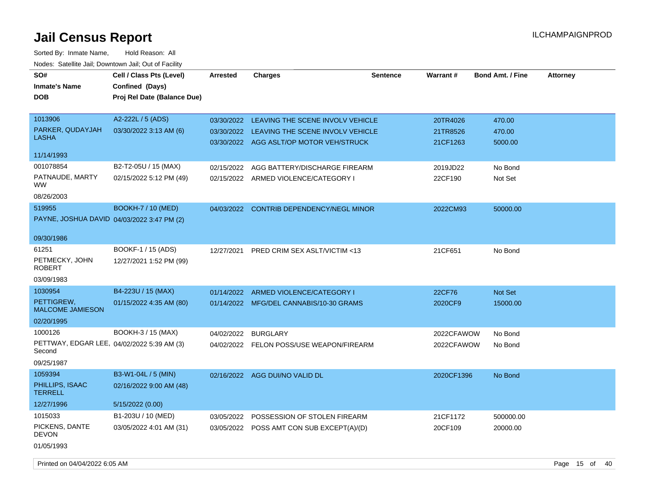| SO#<br><b>Inmate's Name</b><br><b>DOB</b>                                     | Cell / Class Pts (Level)<br>Confined (Days)<br>Proj Rel Date (Balance Due) | <b>Arrested</b>          | <b>Charges</b>                                                                                                  | <b>Sentence</b> | Warrant#                         | <b>Bond Amt. / Fine</b>     | <b>Attorney</b> |
|-------------------------------------------------------------------------------|----------------------------------------------------------------------------|--------------------------|-----------------------------------------------------------------------------------------------------------------|-----------------|----------------------------------|-----------------------------|-----------------|
| 1013906<br>PARKER, QUDAYJAH<br>LASHA                                          | A2-222L / 5 (ADS)<br>03/30/2022 3:13 AM (6)                                | 03/30/2022<br>03/30/2022 | LEAVING THE SCENE INVOLV VEHICLE<br>LEAVING THE SCENE INVOLV VEHICLE<br>03/30/2022 AGG ASLT/OP MOTOR VEH/STRUCK |                 | 20TR4026<br>21TR8526<br>21CF1263 | 470.00<br>470.00<br>5000.00 |                 |
| 11/14/1993                                                                    |                                                                            |                          |                                                                                                                 |                 |                                  |                             |                 |
| 001078854<br>PATNAUDE, MARTY<br>WW.<br>08/26/2003                             | B2-T2-05U / 15 (MAX)<br>02/15/2022 5:12 PM (49)                            | 02/15/2022               | AGG BATTERY/DISCHARGE FIREARM<br>02/15/2022 ARMED VIOLENCE/CATEGORY I                                           |                 | 2019JD22<br>22CF190              | No Bond<br>Not Set          |                 |
| 519955<br>PAYNE, JOSHUA DAVID 04/03/2022 3:47 PM (2)                          | <b>BOOKH-7 / 10 (MED)</b>                                                  |                          | 04/03/2022 CONTRIB DEPENDENCY/NEGL MINOR                                                                        |                 | 2022CM93                         | 50000.00                    |                 |
| 09/30/1986                                                                    |                                                                            |                          |                                                                                                                 |                 |                                  |                             |                 |
| 61251<br>PETMECKY, JOHN<br>ROBERT                                             | BOOKF-1 / 15 (ADS)<br>12/27/2021 1:52 PM (99)                              | 12/27/2021               | PRED CRIM SEX ASLT/VICTIM <13                                                                                   |                 | 21CF651                          | No Bond                     |                 |
| 03/09/1983                                                                    |                                                                            |                          |                                                                                                                 |                 |                                  |                             |                 |
| 1030954<br>PETTIGREW,<br><b>MALCOME JAMIESON</b>                              | B4-223U / 15 (MAX)<br>01/15/2022 4:35 AM (80)                              | 01/14/2022               | ARMED VIOLENCE/CATEGORY I<br>01/14/2022 MFG/DEL CANNABIS/10-30 GRAMS                                            |                 | 22CF76<br>2020CF9                | <b>Not Set</b><br>15000.00  |                 |
| 02/20/1995                                                                    |                                                                            |                          |                                                                                                                 |                 |                                  |                             |                 |
| 1000126<br>PETTWAY, EDGAR LEE, 04/02/2022 5:39 AM (3)<br>Second<br>09/25/1987 | BOOKH-3 / 15 (MAX)                                                         | 04/02/2022               | <b>BURGLARY</b><br>04/02/2022 FELON POSS/USE WEAPON/FIREARM                                                     |                 | 2022CFAWOW<br>2022CFAWOW         | No Bond<br>No Bond          |                 |
| 1059394<br>PHILLIPS, ISAAC<br><b>TERRELL</b>                                  | B3-W1-04L / 5 (MIN)<br>02/16/2022 9:00 AM (48)                             |                          | 02/16/2022 AGG DUI/NO VALID DL                                                                                  |                 | 2020CF1396                       | No Bond                     |                 |
| 12/27/1996                                                                    | 5/15/2022 (0.00)                                                           |                          |                                                                                                                 |                 |                                  |                             |                 |
| 1015033<br>PICKENS, DANTE<br>DEVON<br>01/05/1993                              | B1-203U / 10 (MED)<br>03/05/2022 4:01 AM (31)                              | 03/05/2022               | POSSESSION OF STOLEN FIREARM<br>03/05/2022 POSS AMT CON SUB EXCEPT(A)/(D)                                       |                 | 21CF1172<br>20CF109              | 500000.00<br>20000.00       |                 |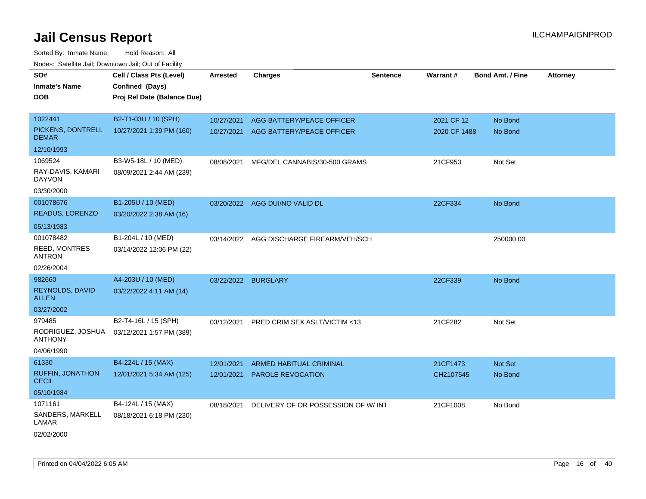| SO#                                     | Cell / Class Pts (Level)    | <b>Arrested</b>     | <b>Charges</b>                       | <b>Sentence</b> | Warrant#     | <b>Bond Amt. / Fine</b> | <b>Attorney</b> |
|-----------------------------------------|-----------------------------|---------------------|--------------------------------------|-----------------|--------------|-------------------------|-----------------|
| <b>Inmate's Name</b>                    | Confined (Days)             |                     |                                      |                 |              |                         |                 |
| <b>DOB</b>                              | Proj Rel Date (Balance Due) |                     |                                      |                 |              |                         |                 |
|                                         |                             |                     |                                      |                 |              |                         |                 |
| 1022441                                 | B2-T1-03U / 10 (SPH)        | 10/27/2021          | AGG BATTERY/PEACE OFFICER            |                 | 2021 CF 12   | No Bond                 |                 |
| PICKENS, DONTRELL<br><b>DEMAR</b>       | 10/27/2021 1:39 PM (160)    |                     | 10/27/2021 AGG BATTERY/PEACE OFFICER |                 | 2020 CF 1488 | No Bond                 |                 |
| 12/10/1993                              |                             |                     |                                      |                 |              |                         |                 |
| 1069524                                 | B3-W5-18L / 10 (MED)        | 08/08/2021          | MFG/DEL CANNABIS/30-500 GRAMS        |                 | 21CF953      | Not Set                 |                 |
| RAY-DAVIS, KAMARI<br><b>DAYVON</b>      | 08/09/2021 2:44 AM (239)    |                     |                                      |                 |              |                         |                 |
| 03/30/2000                              |                             |                     |                                      |                 |              |                         |                 |
| 001078676                               | B1-205U / 10 (MED)          |                     | 03/20/2022 AGG DUI/NO VALID DL       |                 | 22CF334      | No Bond                 |                 |
| READUS, LORENZO                         | 03/20/2022 2:38 AM (16)     |                     |                                      |                 |              |                         |                 |
| 05/13/1983                              |                             |                     |                                      |                 |              |                         |                 |
| 001078482                               | B1-204L / 10 (MED)          | 03/14/2022          | AGG DISCHARGE FIREARM/VEH/SCH        |                 |              | 250000.00               |                 |
| REED, MONTRES<br>ANTRON                 | 03/14/2022 12:06 PM (22)    |                     |                                      |                 |              |                         |                 |
| 02/26/2004                              |                             |                     |                                      |                 |              |                         |                 |
| 982660                                  | A4-203U / 10 (MED)          | 03/22/2022 BURGLARY |                                      |                 | 22CF339      | No Bond                 |                 |
| REYNOLDS, DAVID<br><b>ALLEN</b>         | 03/22/2022 4:11 AM (14)     |                     |                                      |                 |              |                         |                 |
| 03/27/2002                              |                             |                     |                                      |                 |              |                         |                 |
| 979485                                  | B2-T4-16L / 15 (SPH)        | 03/12/2021          | PRED CRIM SEX ASLT/VICTIM <13        |                 | 21CF282      | Not Set                 |                 |
| RODRIGUEZ, JOSHUA<br><b>ANTHONY</b>     | 03/12/2021 1:57 PM (389)    |                     |                                      |                 |              |                         |                 |
| 04/06/1990                              |                             |                     |                                      |                 |              |                         |                 |
| 61330                                   | B4-224L / 15 (MAX)          | 12/01/2021          | ARMED HABITUAL CRIMINAL              |                 | 21CF1473     | Not Set                 |                 |
| <b>RUFFIN, JONATHON</b><br><b>CECIL</b> | 12/01/2021 5:34 AM (125)    | 12/01/2021          | <b>PAROLE REVOCATION</b>             |                 | CH2107545    | No Bond                 |                 |
| 05/10/1984                              |                             |                     |                                      |                 |              |                         |                 |
| 1071161                                 | B4-124L / 15 (MAX)          | 08/18/2021          | DELIVERY OF OR POSSESSION OF W/INT   |                 | 21CF1008     | No Bond                 |                 |
| SANDERS, MARKELL<br>LAMAR               | 08/18/2021 6:18 PM (230)    |                     |                                      |                 |              |                         |                 |
| 02/02/2000                              |                             |                     |                                      |                 |              |                         |                 |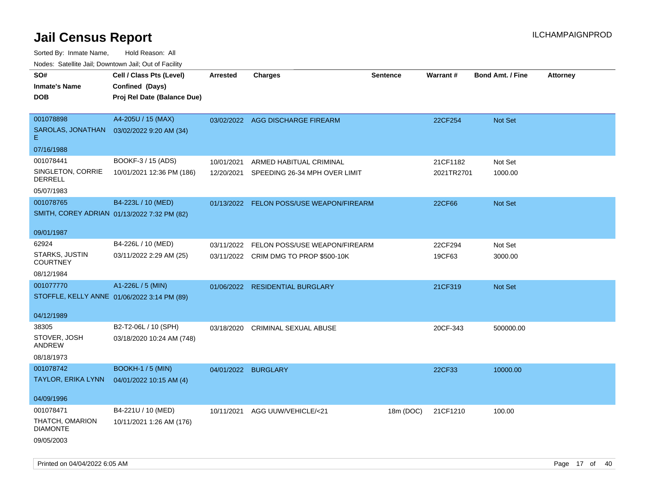| roaco. Calcinio dan, Downtown dan, Out or Fability |                             |                     |                                          |                 |            |                         |                 |
|----------------------------------------------------|-----------------------------|---------------------|------------------------------------------|-----------------|------------|-------------------------|-----------------|
| SO#                                                | Cell / Class Pts (Level)    | <b>Arrested</b>     | <b>Charges</b>                           | <b>Sentence</b> | Warrant#   | <b>Bond Amt. / Fine</b> | <b>Attorney</b> |
| <b>Inmate's Name</b>                               | Confined (Days)             |                     |                                          |                 |            |                         |                 |
| DOB                                                | Proj Rel Date (Balance Due) |                     |                                          |                 |            |                         |                 |
|                                                    |                             |                     |                                          |                 |            |                         |                 |
| 001078898                                          | A4-205U / 15 (MAX)          |                     | 03/02/2022 AGG DISCHARGE FIREARM         |                 | 22CF254    | Not Set                 |                 |
| SAROLAS, JONATHAN<br>Е.                            | 03/02/2022 9:20 AM (34)     |                     |                                          |                 |            |                         |                 |
| 07/16/1988                                         |                             |                     |                                          |                 |            |                         |                 |
| 001078441                                          | BOOKF-3 / 15 (ADS)          | 10/01/2021          | ARMED HABITUAL CRIMINAL                  |                 | 21CF1182   | Not Set                 |                 |
| SINGLETON, CORRIE<br><b>DERRELL</b>                | 10/01/2021 12:36 PM (186)   | 12/20/2021          | SPEEDING 26-34 MPH OVER LIMIT            |                 | 2021TR2701 | 1000.00                 |                 |
| 05/07/1983                                         |                             |                     |                                          |                 |            |                         |                 |
| 001078765                                          | B4-223L / 10 (MED)          |                     | 01/13/2022 FELON POSS/USE WEAPON/FIREARM |                 | 22CF66     | Not Set                 |                 |
| SMITH, COREY ADRIAN 01/13/2022 7:32 PM (82)        |                             |                     |                                          |                 |            |                         |                 |
|                                                    |                             |                     |                                          |                 |            |                         |                 |
| 09/01/1987                                         |                             |                     |                                          |                 |            |                         |                 |
| 62924                                              | B4-226L / 10 (MED)          | 03/11/2022          | FELON POSS/USE WEAPON/FIREARM            |                 | 22CF294    | Not Set                 |                 |
| STARKS, JUSTIN<br><b>COURTNEY</b>                  | 03/11/2022 2:29 AM (25)     |                     | 03/11/2022 CRIM DMG TO PROP \$500-10K    |                 | 19CF63     | 3000.00                 |                 |
| 08/12/1984                                         |                             |                     |                                          |                 |            |                         |                 |
| 001077770                                          | A1-226L / 5 (MIN)           |                     | 01/06/2022 RESIDENTIAL BURGLARY          |                 | 21CF319    | Not Set                 |                 |
| STOFFLE, KELLY ANNE 01/06/2022 3:14 PM (89)        |                             |                     |                                          |                 |            |                         |                 |
|                                                    |                             |                     |                                          |                 |            |                         |                 |
| 04/12/1989                                         |                             |                     |                                          |                 |            |                         |                 |
| 38305                                              | B2-T2-06L / 10 (SPH)        |                     | 03/18/2020 CRIMINAL SEXUAL ABUSE         |                 | 20CF-343   | 500000.00               |                 |
| STOVER, JOSH<br>ANDREW                             | 03/18/2020 10:24 AM (748)   |                     |                                          |                 |            |                         |                 |
| 08/18/1973                                         |                             |                     |                                          |                 |            |                         |                 |
| 001078742                                          | <b>BOOKH-1 / 5 (MIN)</b>    | 04/01/2022 BURGLARY |                                          |                 | 22CF33     | 10000.00                |                 |
| TAYLOR, ERIKA LYNN                                 | 04/01/2022 10:15 AM (4)     |                     |                                          |                 |            |                         |                 |
|                                                    |                             |                     |                                          |                 |            |                         |                 |
| 04/09/1996                                         |                             |                     |                                          |                 |            |                         |                 |
| 001078471                                          | B4-221U / 10 (MED)          | 10/11/2021          | AGG UUW/VEHICLE/<21                      | 18m (DOC)       | 21CF1210   | 100.00                  |                 |
| THATCH, OMARION<br><b>DIAMONTE</b>                 | 10/11/2021 1:26 AM (176)    |                     |                                          |                 |            |                         |                 |
| 09/05/2003                                         |                             |                     |                                          |                 |            |                         |                 |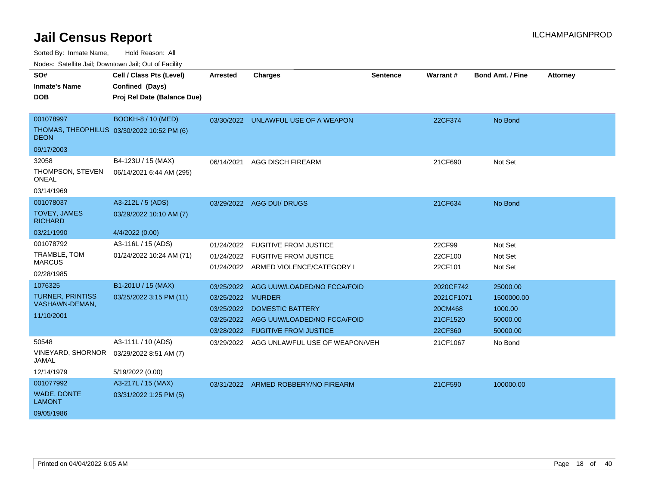Sorted By: Inmate Name, Hold Reason: All

Nodes: Satellite Jail; Downtown Jail; Out of Facility

| SO#<br><b>Inmate's Name</b><br><b>DOB</b>                                            | Cell / Class Pts (Level)<br>Confined (Days)<br>Proj Rel Date (Balance Due) | <b>Arrested</b>                                             | <b>Charges</b>                                                                                                            | <b>Sentence</b> | Warrant#                                                  | <b>Bond Amt. / Fine</b>                                   | <b>Attorney</b> |
|--------------------------------------------------------------------------------------|----------------------------------------------------------------------------|-------------------------------------------------------------|---------------------------------------------------------------------------------------------------------------------------|-----------------|-----------------------------------------------------------|-----------------------------------------------------------|-----------------|
| 001078997<br>THOMAS, THEOPHILUS 03/30/2022 10:52 PM (6)<br><b>DEON</b><br>09/17/2003 | <b>BOOKH-8 / 10 (MED)</b>                                                  |                                                             | 03/30/2022 UNLAWFUL USE OF A WEAPON                                                                                       |                 | 22CF374                                                   | No Bond                                                   |                 |
| 32058<br>THOMPSON, STEVEN<br><b>ONEAL</b><br>03/14/1969                              | B4-123U / 15 (MAX)<br>06/14/2021 6:44 AM (295)                             | 06/14/2021                                                  | <b>AGG DISCH FIREARM</b>                                                                                                  |                 | 21CF690                                                   | Not Set                                                   |                 |
| 001078037<br><b>TOVEY, JAMES</b><br><b>RICHARD</b><br>03/21/1990                     | A3-212L / 5 (ADS)<br>03/29/2022 10:10 AM (7)<br>4/4/2022 (0.00)            |                                                             | 03/29/2022 AGG DUI/ DRUGS                                                                                                 |                 | 21CF634                                                   | No Bond                                                   |                 |
| 001078792<br>TRAMBLE, TOM<br><b>MARCUS</b><br>02/28/1985                             | A3-116L / 15 (ADS)<br>01/24/2022 10:24 AM (71)                             | 01/24/2022<br>01/24/2022                                    | <b>FUGITIVE FROM JUSTICE</b><br><b>FUGITIVE FROM JUSTICE</b><br>01/24/2022 ARMED VIOLENCE/CATEGORY I                      |                 | 22CF99<br>22CF100<br>22CF101                              | Not Set<br>Not Set<br>Not Set                             |                 |
| 1076325<br><b>TURNER, PRINTISS</b><br>VASHAWN-DEMAN,<br>11/10/2001                   | B1-201U / 15 (MAX)<br>03/25/2022 3:15 PM (11)                              | 03/25/2022<br>03/25/2022 MURDER<br>03/25/2022<br>03/25/2022 | AGG UUW/LOADED/NO FCCA/FOID<br><b>DOMESTIC BATTERY</b><br>AGG UUW/LOADED/NO FCCA/FOID<br>03/28/2022 FUGITIVE FROM JUSTICE |                 | 2020CF742<br>2021CF1071<br>20CM468<br>21CF1520<br>22CF360 | 25000.00<br>1500000.00<br>1000.00<br>50000.00<br>50000.00 |                 |
| 50548<br><b>VINEYARD, SHORNOR</b><br><b>JAMAL</b><br>12/14/1979                      | A3-111L / 10 (ADS)<br>03/29/2022 8:51 AM (7)<br>5/19/2022 (0.00)           | 03/29/2022                                                  | AGG UNLAWFUL USE OF WEAPON/VEH                                                                                            |                 | 21CF1067                                                  | No Bond                                                   |                 |
| 001077992<br>WADE, DONTE<br><b>LAMONT</b><br>09/05/1986                              | A3-217L / 15 (MAX)<br>03/31/2022 1:25 PM (5)                               |                                                             | 03/31/2022 ARMED ROBBERY/NO FIREARM                                                                                       |                 | 21CF590                                                   | 100000.00                                                 |                 |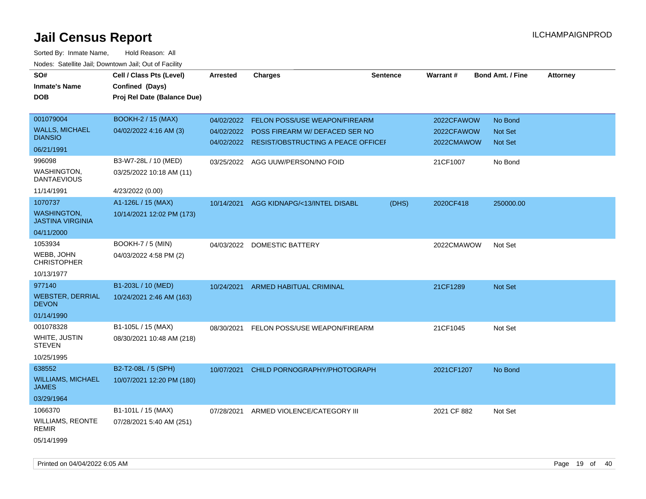| SO#<br><b>Inmate's Name</b><br><b>DOB</b>     | Cell / Class Pts (Level)<br>Confined (Days)<br>Proj Rel Date (Balance Due) | <b>Arrested</b> | <b>Charges</b>                                                                  | <b>Sentence</b> | Warrant#                 | <b>Bond Amt. / Fine</b>          | <b>Attorney</b> |
|-----------------------------------------------|----------------------------------------------------------------------------|-----------------|---------------------------------------------------------------------------------|-----------------|--------------------------|----------------------------------|-----------------|
| 001079004                                     | <b>BOOKH-2 / 15 (MAX)</b>                                                  | 04/02/2022      | FELON POSS/USE WEAPON/FIREARM                                                   |                 | 2022CFAWOW               | No Bond                          |                 |
| <b>WALLS, MICHAEL</b><br><b>DIANSIO</b>       | 04/02/2022 4:16 AM (3)                                                     | 04/02/2022      | POSS FIREARM W/ DEFACED SER NO<br>04/02/2022 RESIST/OBSTRUCTING A PEACE OFFICEH |                 | 2022CFAWOW<br>2022CMAWOW | <b>Not Set</b><br><b>Not Set</b> |                 |
| 06/21/1991                                    |                                                                            |                 |                                                                                 |                 |                          |                                  |                 |
| 996098                                        | B3-W7-28L / 10 (MED)                                                       |                 | 03/25/2022 AGG UUW/PERSON/NO FOID                                               |                 | 21CF1007                 | No Bond                          |                 |
| WASHINGTON,<br><b>DANTAEVIOUS</b>             | 03/25/2022 10:18 AM (11)                                                   |                 |                                                                                 |                 |                          |                                  |                 |
| 11/14/1991                                    | 4/23/2022 (0.00)                                                           |                 |                                                                                 |                 |                          |                                  |                 |
| 1070737                                       | A1-126L / 15 (MAX)                                                         | 10/14/2021      | AGG KIDNAPG/<13/INTEL DISABL                                                    | (DHS)           | 2020CF418                | 250000.00                        |                 |
| <b>WASHINGTON,</b><br><b>JASTINA VIRGINIA</b> | 10/14/2021 12:02 PM (173)                                                  |                 |                                                                                 |                 |                          |                                  |                 |
| 04/11/2000                                    |                                                                            |                 |                                                                                 |                 |                          |                                  |                 |
| 1053934                                       | <b>BOOKH-7 / 5 (MIN)</b>                                                   |                 | 04/03/2022 DOMESTIC BATTERY                                                     |                 | 2022CMAWOW               | Not Set                          |                 |
| WEBB, JOHN<br><b>CHRISTOPHER</b>              | 04/03/2022 4:58 PM (2)                                                     |                 |                                                                                 |                 |                          |                                  |                 |
| 10/13/1977                                    |                                                                            |                 |                                                                                 |                 |                          |                                  |                 |
| 977140                                        | B1-203L / 10 (MED)                                                         | 10/24/2021      | <b>ARMED HABITUAL CRIMINAL</b>                                                  |                 | 21CF1289                 | <b>Not Set</b>                   |                 |
| <b>WEBSTER, DERRIAL</b><br><b>DEVON</b>       | 10/24/2021 2:46 AM (163)                                                   |                 |                                                                                 |                 |                          |                                  |                 |
| 01/14/1990                                    |                                                                            |                 |                                                                                 |                 |                          |                                  |                 |
| 001078328                                     | B1-105L / 15 (MAX)                                                         | 08/30/2021      | FELON POSS/USE WEAPON/FIREARM                                                   |                 | 21CF1045                 | Not Set                          |                 |
| WHITE, JUSTIN<br><b>STEVEN</b>                | 08/30/2021 10:48 AM (218)                                                  |                 |                                                                                 |                 |                          |                                  |                 |
| 10/25/1995                                    |                                                                            |                 |                                                                                 |                 |                          |                                  |                 |
| 638552                                        | B2-T2-08L / 5 (SPH)                                                        | 10/07/2021      | CHILD PORNOGRAPHY/PHOTOGRAPH                                                    |                 | 2021CF1207               | No Bond                          |                 |
| <b>WILLIAMS, MICHAEL</b><br>JAMES             | 10/07/2021 12:20 PM (180)                                                  |                 |                                                                                 |                 |                          |                                  |                 |
| 03/29/1964                                    |                                                                            |                 |                                                                                 |                 |                          |                                  |                 |
| 1066370                                       | B1-101L / 15 (MAX)                                                         | 07/28/2021      | ARMED VIOLENCE/CATEGORY III                                                     |                 | 2021 CF 882              | Not Set                          |                 |
| WILLIAMS, REONTE<br><b>REMIR</b>              | 07/28/2021 5:40 AM (251)                                                   |                 |                                                                                 |                 |                          |                                  |                 |
| 05/14/1999                                    |                                                                            |                 |                                                                                 |                 |                          |                                  |                 |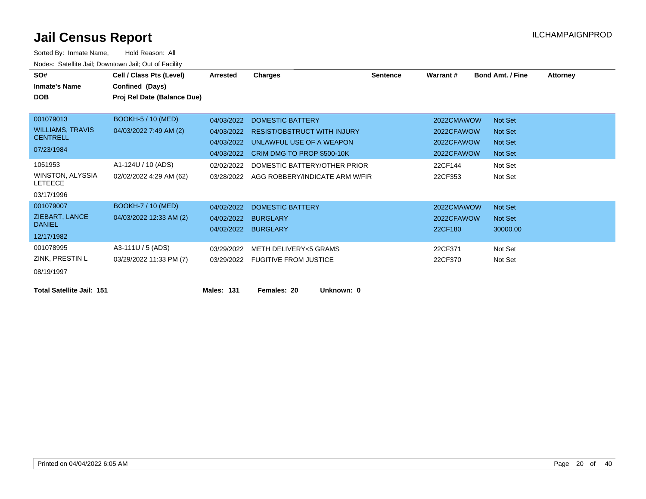| SO#<br><b>Inmate's Name</b><br><b>DOB</b>                             | Cell / Class Pts (Level)<br>Confined (Days)<br>Proj Rel Date (Balance Due) | <b>Arrested</b>                                      | Charges                                                                                                                 | <b>Sentence</b> | Warrant#                                             | <b>Bond Amt. / Fine</b>                                              | <b>Attorney</b> |
|-----------------------------------------------------------------------|----------------------------------------------------------------------------|------------------------------------------------------|-------------------------------------------------------------------------------------------------------------------------|-----------------|------------------------------------------------------|----------------------------------------------------------------------|-----------------|
| 001079013<br><b>WILLIAMS, TRAVIS</b><br><b>CENTRELL</b><br>07/23/1984 | <b>BOOKH-5 / 10 (MED)</b><br>04/03/2022 7:49 AM (2)                        | 04/03/2022<br>04/03/2022<br>04/03/2022<br>04/03/2022 | <b>DOMESTIC BATTERY</b><br><b>RESIST/OBSTRUCT WITH INJURY</b><br>UNLAWFUL USE OF A WEAPON<br>CRIM DMG TO PROP \$500-10K |                 | 2022CMAWOW<br>2022CFAWOW<br>2022CFAWOW<br>2022CFAWOW | <b>Not Set</b><br><b>Not Set</b><br><b>Not Set</b><br><b>Not Set</b> |                 |
| 1051953<br><b>WINSTON, ALYSSIA</b><br><b>LETEECE</b><br>03/17/1996    | A1-124U / 10 (ADS)<br>02/02/2022 4:29 AM (62)                              | 02/02/2022<br>03/28/2022                             | DOMESTIC BATTERY/OTHER PRIOR<br>AGG ROBBERY/INDICATE ARM W/FIR                                                          |                 | 22CF144<br>22CF353                                   | Not Set<br>Not Set                                                   |                 |
| 001079007<br>ZIEBART, LANCE<br><b>DANIEL</b><br>12/17/1982            | <b>BOOKH-7 / 10 (MED)</b><br>04/03/2022 12:33 AM (2)                       | 04/02/2022<br>04/02/2022<br>04/02/2022               | <b>DOMESTIC BATTERY</b><br><b>BURGLARY</b><br><b>BURGLARY</b>                                                           |                 | 2022CMAWOW<br>2022CFAWOW<br>22CF180                  | <b>Not Set</b><br><b>Not Set</b><br>30000.00                         |                 |
| 001078995<br>ZINK, PRESTIN L<br>08/19/1997                            | A3-111U / 5 (ADS)<br>03/29/2022 11:33 PM (7)                               | 03/29/2022<br>03/29/2022                             | <b>METH DELIVERY&lt;5 GRAMS</b><br><b>FUGITIVE FROM JUSTICE</b>                                                         |                 | 22CF371<br>22CF370                                   | Not Set<br>Not Set                                                   |                 |
| <b>Total Satellite Jail: 151</b>                                      |                                                                            | <b>Males: 131</b>                                    | Females: 20<br>Unknown: 0                                                                                               |                 |                                                      |                                                                      |                 |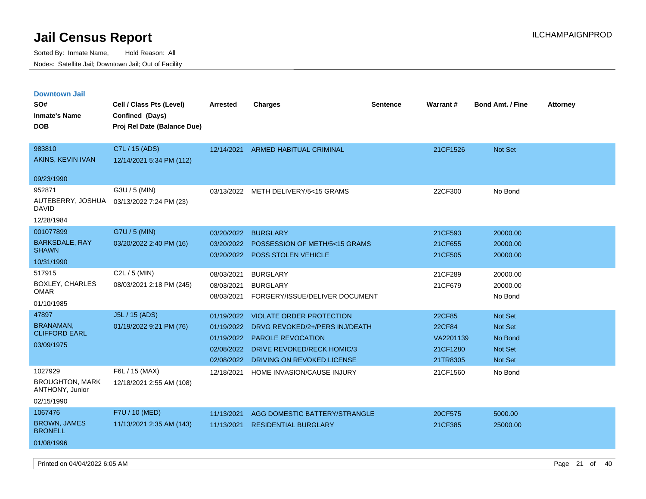Sorted By: Inmate Name, Hold Reason: All Nodes: Satellite Jail; Downtown Jail; Out of Facility

| <b>Downtown Jail</b><br>SO#<br><b>Inmate's Name</b><br><b>DOB</b>  | Cell / Class Pts (Level)<br>Confined (Days)<br>Proj Rel Date (Balance Due) | <b>Arrested</b>                                                    | <b>Charges</b>                                                                                                                                            | <b>Sentence</b> | Warrant#                                              | <b>Bond Amt. / Fine</b>                                                         | <b>Attorney</b> |
|--------------------------------------------------------------------|----------------------------------------------------------------------------|--------------------------------------------------------------------|-----------------------------------------------------------------------------------------------------------------------------------------------------------|-----------------|-------------------------------------------------------|---------------------------------------------------------------------------------|-----------------|
| 983810<br>AKINS, KEVIN IVAN<br>09/23/1990                          | C7L / 15 (ADS)<br>12/14/2021 5:34 PM (112)                                 | 12/14/2021                                                         | <b>ARMED HABITUAL CRIMINAL</b>                                                                                                                            |                 | 21CF1526                                              | Not Set                                                                         |                 |
| 952871<br>AUTEBERRY, JOSHUA<br><b>DAVID</b><br>12/28/1984          | G3U / 5 (MIN)<br>03/13/2022 7:24 PM (23)                                   |                                                                    | 03/13/2022 METH DELIVERY/5<15 GRAMS                                                                                                                       |                 | 22CF300                                               | No Bond                                                                         |                 |
| 001077899<br><b>BARKSDALE, RAY</b><br><b>SHAWN</b><br>10/31/1990   | G7U / 5 (MIN)<br>03/20/2022 2:40 PM (16)                                   | 03/20/2022<br>03/20/2022<br>03/20/2022                             | <b>BURGLARY</b><br>POSSESSION OF METH/5<15 GRAMS<br>POSS STOLEN VEHICLE                                                                                   |                 | 21CF593<br>21CF655<br>21CF505                         | 20000.00<br>20000.00<br>20000.00                                                |                 |
| 517915<br><b>BOXLEY, CHARLES</b><br><b>OMAR</b><br>01/10/1985      | C2L / 5 (MIN)<br>08/03/2021 2:18 PM (245)                                  | 08/03/2021<br>08/03/2021<br>08/03/2021                             | <b>BURGLARY</b><br><b>BURGLARY</b><br>FORGERY/ISSUE/DELIVER DOCUMENT                                                                                      |                 | 21CF289<br>21CF679                                    | 20000.00<br>20000.00<br>No Bond                                                 |                 |
| 47897<br>BRANAMAN,<br><b>CLIFFORD EARL</b><br>03/09/1975           | J5L / 15 (ADS)<br>01/19/2022 9:21 PM (76)                                  | 01/19/2022<br>01/19/2022<br>01/19/2022<br>02/08/2022<br>02/08/2022 | VIOLATE ORDER PROTECTION<br>DRVG REVOKED/2+/PERS INJ/DEATH<br><b>PAROLE REVOCATION</b><br><b>DRIVE REVOKED/RECK HOMIC/3</b><br>DRIVING ON REVOKED LICENSE |                 | 22CF85<br>22CF84<br>VA2201139<br>21CF1280<br>21TR8305 | <b>Not Set</b><br><b>Not Set</b><br>No Bond<br><b>Not Set</b><br><b>Not Set</b> |                 |
| 1027929<br><b>BROUGHTON, MARK</b><br>ANTHONY, Junior<br>02/15/1990 | F6L / 15 (MAX)<br>12/18/2021 2:55 AM (108)                                 | 12/18/2021                                                         | HOME INVASION/CAUSE INJURY                                                                                                                                |                 | 21CF1560                                              | No Bond                                                                         |                 |
| 1067476<br><b>BROWN, JAMES</b><br><b>BRONELL</b><br>01/08/1996     | F7U / 10 (MED)<br>11/13/2021 2:35 AM (143)                                 | 11/13/2021<br>11/13/2021                                           | AGG DOMESTIC BATTERY/STRANGLE<br><b>RESIDENTIAL BURGLARY</b>                                                                                              |                 | 20CF575<br>21CF385                                    | 5000.00<br>25000.00                                                             |                 |

Printed on 04/04/2022 6:05 AM Page 21 of 40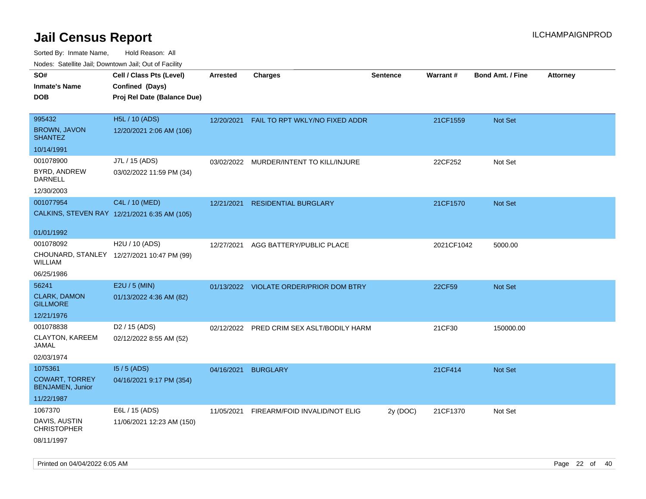| rouco. Calcillo Jali, Downtown Jali, Out of Facility |                                                                            |                 |                                         |                 |            |                         |                 |
|------------------------------------------------------|----------------------------------------------------------------------------|-----------------|-----------------------------------------|-----------------|------------|-------------------------|-----------------|
| SO#<br>Inmate's Name<br><b>DOB</b>                   | Cell / Class Pts (Level)<br>Confined (Days)<br>Proj Rel Date (Balance Due) | <b>Arrested</b> | <b>Charges</b>                          | <b>Sentence</b> | Warrant#   | <b>Bond Amt. / Fine</b> | <b>Attorney</b> |
|                                                      |                                                                            |                 |                                         |                 |            |                         |                 |
| 995432                                               | H5L / 10 (ADS)                                                             | 12/20/2021      | FAIL TO RPT WKLY/NO FIXED ADDR          |                 | 21CF1559   | Not Set                 |                 |
| <b>BROWN, JAVON</b><br><b>SHANTEZ</b>                | 12/20/2021 2:06 AM (106)                                                   |                 |                                         |                 |            |                         |                 |
| 10/14/1991                                           |                                                                            |                 |                                         |                 |            |                         |                 |
| 001078900                                            | J7L / 15 (ADS)                                                             |                 | 03/02/2022 MURDER/INTENT TO KILL/INJURE |                 | 22CF252    | Not Set                 |                 |
| BYRD, ANDREW<br>DARNELL                              | 03/02/2022 11:59 PM (34)                                                   |                 |                                         |                 |            |                         |                 |
| 12/30/2003                                           |                                                                            |                 |                                         |                 |            |                         |                 |
| 001077954                                            | C4L / 10 (MED)                                                             | 12/21/2021      | <b>RESIDENTIAL BURGLARY</b>             |                 | 21CF1570   | <b>Not Set</b>          |                 |
|                                                      | CALKINS, STEVEN RAY 12/21/2021 6:35 AM (105)                               |                 |                                         |                 |            |                         |                 |
| 01/01/1992                                           |                                                                            |                 |                                         |                 |            |                         |                 |
| 001078092                                            | H2U / 10 (ADS)                                                             | 12/27/2021      | AGG BATTERY/PUBLIC PLACE                |                 | 2021CF1042 | 5000.00                 |                 |
| WILLIAM                                              | CHOUNARD, STANLEY 12/27/2021 10:47 PM (99)                                 |                 |                                         |                 |            |                         |                 |
| 06/25/1986                                           |                                                                            |                 |                                         |                 |            |                         |                 |
| 56241                                                | E2U / 5 (MIN)                                                              |                 | 01/13/2022 VIOLATE ORDER/PRIOR DOM BTRY |                 | 22CF59     | Not Set                 |                 |
| <b>CLARK, DAMON</b><br><b>GILLMORE</b>               | 01/13/2022 4:36 AM (82)                                                    |                 |                                         |                 |            |                         |                 |
| 12/21/1976                                           |                                                                            |                 |                                         |                 |            |                         |                 |
| 001078838                                            | D <sub>2</sub> / 15 (ADS)                                                  | 02/12/2022      | PRED CRIM SEX ASLT/BODILY HARM          |                 | 21CF30     | 150000.00               |                 |
| CLAYTON, KAREEM<br>JAMAL                             | 02/12/2022 8:55 AM (52)                                                    |                 |                                         |                 |            |                         |                 |
| 02/03/1974                                           |                                                                            |                 |                                         |                 |            |                         |                 |
| 1075361                                              | $15/5$ (ADS)                                                               | 04/16/2021      | <b>BURGLARY</b>                         |                 | 21CF414    | <b>Not Set</b>          |                 |
| <b>COWART, TORREY</b><br><b>BENJAMEN, Junior</b>     | 04/16/2021 9:17 PM (354)                                                   |                 |                                         |                 |            |                         |                 |
| 11/22/1987                                           |                                                                            |                 |                                         |                 |            |                         |                 |
| 1067370                                              | E6L / 15 (ADS)                                                             | 11/05/2021      | FIREARM/FOID INVALID/NOT ELIG           | 2y (DOC)        | 21CF1370   | Not Set                 |                 |
| DAVIS, AUSTIN<br><b>CHRISTOPHER</b>                  | 11/06/2021 12:23 AM (150)                                                  |                 |                                         |                 |            |                         |                 |
| 08/11/1997                                           |                                                                            |                 |                                         |                 |            |                         |                 |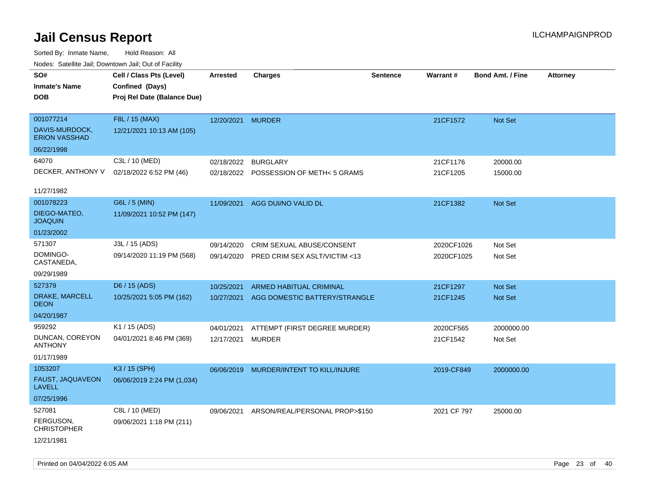| rouce. Calcinic Jan, Downtown Jan, Out or Facility |                             |                   |                                         |                 |             |                         |                 |
|----------------------------------------------------|-----------------------------|-------------------|-----------------------------------------|-----------------|-------------|-------------------------|-----------------|
| SO#                                                | Cell / Class Pts (Level)    | <b>Arrested</b>   | <b>Charges</b>                          | <b>Sentence</b> | Warrant#    | <b>Bond Amt. / Fine</b> | <b>Attorney</b> |
| <b>Inmate's Name</b>                               | Confined (Days)             |                   |                                         |                 |             |                         |                 |
| <b>DOB</b>                                         | Proj Rel Date (Balance Due) |                   |                                         |                 |             |                         |                 |
|                                                    |                             |                   |                                         |                 |             |                         |                 |
| 001077214                                          | F8L / 15 (MAX)              | 12/20/2021 MURDER |                                         |                 | 21CF1572    | Not Set                 |                 |
| DAVIS-MURDOCK,<br><b>ERION VASSHAD</b>             | 12/21/2021 10:13 AM (105)   |                   |                                         |                 |             |                         |                 |
| 06/22/1998                                         |                             |                   |                                         |                 |             |                         |                 |
| 64070                                              | C3L / 10 (MED)              | 02/18/2022        | <b>BURGLARY</b>                         |                 | 21CF1176    | 20000.00                |                 |
| DECKER, ANTHONY V                                  | 02/18/2022 6:52 PM (46)     |                   | 02/18/2022 POSSESSION OF METH<5 GRAMS   |                 | 21CF1205    | 15000.00                |                 |
|                                                    |                             |                   |                                         |                 |             |                         |                 |
| 11/27/1982                                         |                             |                   |                                         |                 |             |                         |                 |
| 001078223                                          | G6L / 5 (MIN)               | 11/09/2021        | AGG DUI/NO VALID DL                     |                 | 21CF1382    | Not Set                 |                 |
| DIEGO-MATEO,<br><b>JOAQUIN</b>                     | 11/09/2021 10:52 PM (147)   |                   |                                         |                 |             |                         |                 |
| 01/23/2002                                         |                             |                   |                                         |                 |             |                         |                 |
| 571307                                             | J3L / 15 (ADS)              | 09/14/2020        | CRIM SEXUAL ABUSE/CONSENT               |                 | 2020CF1026  | Not Set                 |                 |
| DOMINGO-<br>CASTANEDA,                             | 09/14/2020 11:19 PM (568)   | 09/14/2020        | PRED CRIM SEX ASLT/VICTIM <13           |                 | 2020CF1025  | Not Set                 |                 |
| 09/29/1989                                         |                             |                   |                                         |                 |             |                         |                 |
|                                                    |                             |                   |                                         |                 |             |                         |                 |
| 527379                                             | D6 / 15 (ADS)               | 10/25/2021        | <b>ARMED HABITUAL CRIMINAL</b>          |                 | 21CF1297    | <b>Not Set</b>          |                 |
| DRAKE, MARCELL<br><b>DEON</b>                      | 10/25/2021 5:05 PM (162)    | 10/27/2021        | AGG DOMESTIC BATTERY/STRANGLE           |                 | 21CF1245    | Not Set                 |                 |
| 04/20/1987                                         |                             |                   |                                         |                 |             |                         |                 |
| 959292                                             | K1 / 15 (ADS)               | 04/01/2021        | ATTEMPT (FIRST DEGREE MURDER)           |                 | 2020CF565   | 2000000.00              |                 |
| DUNCAN, COREYON<br><b>ANTHONY</b>                  | 04/01/2021 8:46 PM (369)    | 12/17/2021        | <b>MURDER</b>                           |                 | 21CF1542    | Not Set                 |                 |
| 01/17/1989                                         |                             |                   |                                         |                 |             |                         |                 |
| 1053207                                            | K3 / 15 (SPH)               |                   | 06/06/2019 MURDER/INTENT TO KILL/INJURE |                 | 2019-CF849  | 2000000.00              |                 |
| FAUST, JAQUAVEON<br>LAVELL                         | 06/06/2019 2:24 PM (1,034)  |                   |                                         |                 |             |                         |                 |
| 07/25/1996                                         |                             |                   |                                         |                 |             |                         |                 |
| 527081                                             | C8L / 10 (MED)              | 09/06/2021        | ARSON/REAL/PERSONAL PROP>\$150          |                 | 2021 CF 797 | 25000.00                |                 |
| FERGUSON,<br><b>CHRISTOPHER</b>                    | 09/06/2021 1:18 PM (211)    |                   |                                         |                 |             |                         |                 |
| 12/21/1981                                         |                             |                   |                                         |                 |             |                         |                 |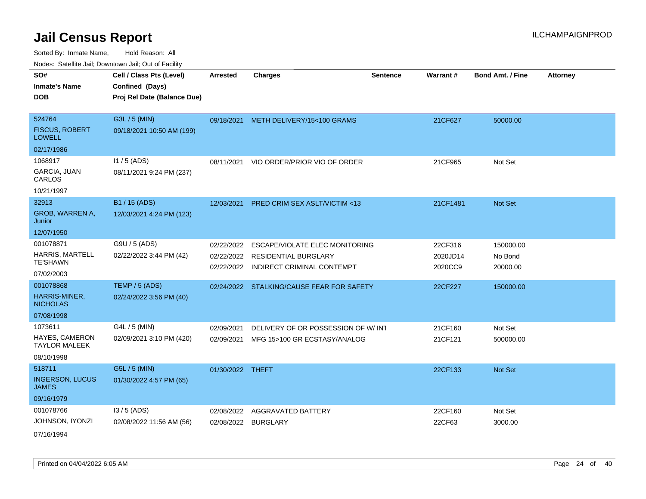Sorted By: Inmate Name, Hold Reason: All Nodes: Satellite Jail; Downtown Jail; Out of Facility

| ivouss. Saleling Jali, Downlown Jali, Out of Facility |                             |                     |                                           |                 |          |                         |                 |
|-------------------------------------------------------|-----------------------------|---------------------|-------------------------------------------|-----------------|----------|-------------------------|-----------------|
| SO#                                                   | Cell / Class Pts (Level)    | <b>Arrested</b>     | <b>Charges</b>                            | <b>Sentence</b> | Warrant# | <b>Bond Amt. / Fine</b> | <b>Attorney</b> |
| <b>Inmate's Name</b>                                  | Confined (Days)             |                     |                                           |                 |          |                         |                 |
| <b>DOB</b>                                            | Proj Rel Date (Balance Due) |                     |                                           |                 |          |                         |                 |
|                                                       |                             |                     |                                           |                 |          |                         |                 |
| 524764                                                | G3L / 5 (MIN)               |                     | 09/18/2021 METH DELIVERY/15<100 GRAMS     |                 | 21CF627  | 50000.00                |                 |
| <b>FISCUS, ROBERT</b><br><b>LOWELL</b>                | 09/18/2021 10:50 AM (199)   |                     |                                           |                 |          |                         |                 |
| 02/17/1986                                            |                             |                     |                                           |                 |          |                         |                 |
| 1068917                                               | $11/5$ (ADS)                | 08/11/2021          | VIO ORDER/PRIOR VIO OF ORDER              |                 | 21CF965  | Not Set                 |                 |
| GARCIA, JUAN<br>CARLOS                                | 08/11/2021 9:24 PM (237)    |                     |                                           |                 |          |                         |                 |
| 10/21/1997                                            |                             |                     |                                           |                 |          |                         |                 |
| 32913                                                 | B1 / 15 (ADS)               |                     | 12/03/2021 PRED CRIM SEX ASLT/VICTIM <13  |                 | 21CF1481 | Not Set                 |                 |
| GROB, WARREN A,<br>Junior                             | 12/03/2021 4:24 PM (123)    |                     |                                           |                 |          |                         |                 |
| 12/07/1950                                            |                             |                     |                                           |                 |          |                         |                 |
| 001078871                                             | G9U / 5 (ADS)               | 02/22/2022          | ESCAPE/VIOLATE ELEC MONITORING            |                 | 22CF316  | 150000.00               |                 |
| <b>HARRIS, MARTELL</b>                                | 02/22/2022 3:44 PM (42)     |                     | 02/22/2022 RESIDENTIAL BURGLARY           |                 | 2020JD14 | No Bond                 |                 |
| <b>TE'SHAWN</b>                                       |                             |                     | 02/22/2022 INDIRECT CRIMINAL CONTEMPT     |                 | 2020CC9  | 20000.00                |                 |
| 07/02/2003                                            |                             |                     |                                           |                 |          |                         |                 |
| 001078868                                             | TEMP / 5 (ADS)              |                     | 02/24/2022 STALKING/CAUSE FEAR FOR SAFETY |                 | 22CF227  | 150000.00               |                 |
| HARRIS-MINER,<br><b>NICHOLAS</b>                      | 02/24/2022 3:56 PM (40)     |                     |                                           |                 |          |                         |                 |
| 07/08/1998                                            |                             |                     |                                           |                 |          |                         |                 |
| 1073611                                               | G4L / 5 (MIN)               | 02/09/2021          | DELIVERY OF OR POSSESSION OF W/INT        |                 | 21CF160  | Not Set                 |                 |
| HAYES, CAMERON<br><b>TAYLOR MALEEK</b>                | 02/09/2021 3:10 PM (420)    | 02/09/2021          | MFG 15>100 GR ECSTASY/ANALOG              |                 | 21CF121  | 500000.00               |                 |
| 08/10/1998                                            |                             |                     |                                           |                 |          |                         |                 |
| 518711                                                | G5L / 5 (MIN)               | 01/30/2022 THEFT    |                                           |                 | 22CF133  | Not Set                 |                 |
| <b>INGERSON, LUCUS</b><br><b>JAMES</b>                | 01/30/2022 4:57 PM (65)     |                     |                                           |                 |          |                         |                 |
| 09/16/1979                                            |                             |                     |                                           |                 |          |                         |                 |
| 001078766                                             | $13/5$ (ADS)                | 02/08/2022          | <b>AGGRAVATED BATTERY</b>                 |                 | 22CF160  | Not Set                 |                 |
| JOHNSON, IYONZI                                       | 02/08/2022 11:56 AM (56)    | 02/08/2022 BURGLARY |                                           |                 | 22CF63   | 3000.00                 |                 |
| 07/16/1994                                            |                             |                     |                                           |                 |          |                         |                 |

Printed on 04/04/2022 6:05 AM Page 24 of 40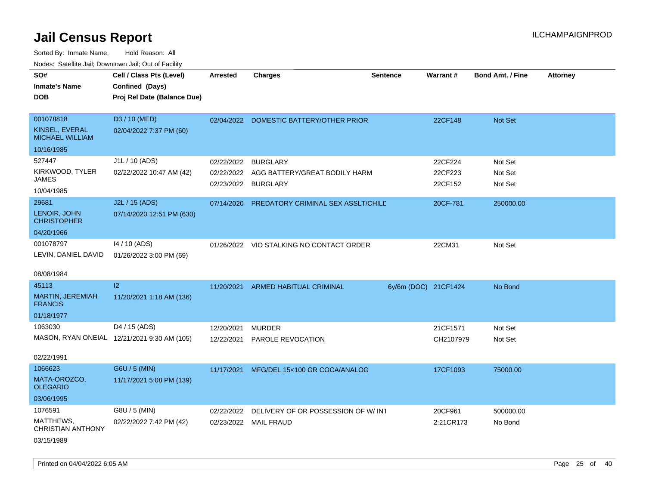Sorted By: Inmate Name, Hold Reason: All

| Nodes: Satellite Jail; Downtown Jail; Out of Facility |                                             |                 |                                           |                      |                 |                  |                 |
|-------------------------------------------------------|---------------------------------------------|-----------------|-------------------------------------------|----------------------|-----------------|------------------|-----------------|
| SO#                                                   | Cell / Class Pts (Level)                    | <b>Arrested</b> | <b>Charges</b>                            | <b>Sentence</b>      | <b>Warrant#</b> | Bond Amt. / Fine | <b>Attorney</b> |
| <b>Inmate's Name</b>                                  | Confined (Days)                             |                 |                                           |                      |                 |                  |                 |
| <b>DOB</b>                                            | Proj Rel Date (Balance Due)                 |                 |                                           |                      |                 |                  |                 |
|                                                       |                                             |                 |                                           |                      |                 |                  |                 |
| 001078818                                             | D3 / 10 (MED)                               |                 | 02/04/2022 DOMESTIC BATTERY/OTHER PRIOR   |                      | 22CF148         | Not Set          |                 |
| KINSEL, EVERAL<br><b>MICHAEL WILLIAM</b>              | 02/04/2022 7:37 PM (60)                     |                 |                                           |                      |                 |                  |                 |
| 10/16/1985                                            |                                             |                 |                                           |                      |                 |                  |                 |
| 527447                                                | J1L / 10 (ADS)                              | 02/22/2022      | <b>BURGLARY</b>                           |                      | 22CF224         | Not Set          |                 |
| KIRKWOOD, TYLER                                       | 02/22/2022 10:47 AM (42)                    |                 | 02/22/2022 AGG BATTERY/GREAT BODILY HARM  |                      | 22CF223         | Not Set          |                 |
| <b>JAMES</b>                                          |                                             | 02/23/2022      | <b>BURGLARY</b>                           |                      | 22CF152         | Not Set          |                 |
| 10/04/1985                                            |                                             |                 |                                           |                      |                 |                  |                 |
| 29681                                                 | J2L / 15 (ADS)                              | 07/14/2020      | <b>PREDATORY CRIMINAL SEX ASSLT/CHILE</b> |                      | 20CF-781        | 250000.00        |                 |
| LENOIR, JOHN<br><b>CHRISTOPHER</b>                    | 07/14/2020 12:51 PM (630)                   |                 |                                           |                      |                 |                  |                 |
| 04/20/1966                                            |                                             |                 |                                           |                      |                 |                  |                 |
| 001078797                                             | 14 / 10 (ADS)                               |                 | 01/26/2022 VIO STALKING NO CONTACT ORDER  |                      | 22CM31          | Not Set          |                 |
| LEVIN, DANIEL DAVID                                   | 01/26/2022 3:00 PM (69)                     |                 |                                           |                      |                 |                  |                 |
|                                                       |                                             |                 |                                           |                      |                 |                  |                 |
| 08/08/1984                                            |                                             |                 |                                           |                      |                 |                  |                 |
| 45113                                                 | $ 2\rangle$                                 | 11/20/2021      | ARMED HABITUAL CRIMINAL                   | 6y/6m (DOC) 21CF1424 |                 | No Bond          |                 |
| MARTIN, JEREMIAH<br><b>FRANCIS</b>                    | 11/20/2021 1:18 AM (136)                    |                 |                                           |                      |                 |                  |                 |
| 01/18/1977                                            |                                             |                 |                                           |                      |                 |                  |                 |
| 1063030                                               | D4 / 15 (ADS)                               | 12/20/2021      | <b>MURDER</b>                             |                      | 21CF1571        | Not Set          |                 |
|                                                       | MASON, RYAN ONEIAL 12/21/2021 9:30 AM (105) | 12/22/2021      | PAROLE REVOCATION                         |                      | CH2107979       | Not Set          |                 |
|                                                       |                                             |                 |                                           |                      |                 |                  |                 |
| 02/22/1991                                            |                                             |                 |                                           |                      |                 |                  |                 |
| 1066623                                               | G6U / 5 (MIN)                               | 11/17/2021      | MFG/DEL 15<100 GR COCA/ANALOG             |                      | 17CF1093        | 75000.00         |                 |
| MATA-OROZCO,<br><b>OLEGARIO</b>                       | 11/17/2021 5:08 PM (139)                    |                 |                                           |                      |                 |                  |                 |
| 03/06/1995                                            |                                             |                 |                                           |                      |                 |                  |                 |
| 1076591                                               | G8U / 5 (MIN)                               | 02/22/2022      | DELIVERY OF OR POSSESSION OF W/INT        |                      | 20CF961         | 500000.00        |                 |
| MATTHEWS,<br>CHRISTIAN ANTHONY                        | 02/22/2022 7:42 PM (42)                     | 02/23/2022      | <b>MAIL FRAUD</b>                         |                      | 2:21CR173       | No Bond          |                 |
| 03/15/1989                                            |                                             |                 |                                           |                      |                 |                  |                 |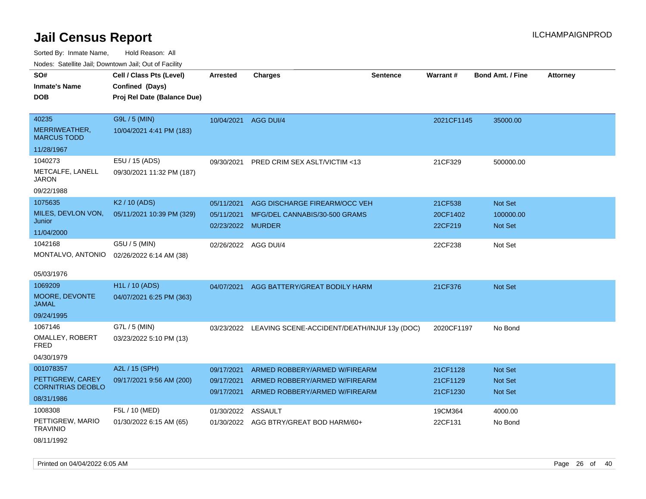Sorted By: Inmate Name, Hold Reason: All

| Nodes: Satellite Jail; Downtown Jail; Out of Facility |  |
|-------------------------------------------------------|--|
|                                                       |  |

| SO#                                 | Cell / Class Pts (Level)    | <b>Arrested</b>   | <b>Charges</b>                                          | <b>Sentence</b> | Warrant#   | <b>Bond Amt. / Fine</b> | <b>Attorney</b> |
|-------------------------------------|-----------------------------|-------------------|---------------------------------------------------------|-----------------|------------|-------------------------|-----------------|
| <b>Inmate's Name</b>                | Confined (Days)             |                   |                                                         |                 |            |                         |                 |
| <b>DOB</b>                          |                             |                   |                                                         |                 |            |                         |                 |
|                                     | Proj Rel Date (Balance Due) |                   |                                                         |                 |            |                         |                 |
| 40235                               | G9L / 5 (MIN)               |                   | 10/04/2021 AGG DUI/4                                    |                 | 2021CF1145 | 35000.00                |                 |
| MERRIWEATHER,<br><b>MARCUS TODD</b> | 10/04/2021 4:41 PM (183)    |                   |                                                         |                 |            |                         |                 |
| 11/28/1967                          |                             |                   |                                                         |                 |            |                         |                 |
| 1040273                             | E5U / 15 (ADS)              | 09/30/2021        | PRED CRIM SEX ASLT/VICTIM <13                           |                 | 21CF329    | 500000.00               |                 |
| METCALFE, LANELL<br><b>JARON</b>    | 09/30/2021 11:32 PM (187)   |                   |                                                         |                 |            |                         |                 |
| 09/22/1988                          |                             |                   |                                                         |                 |            |                         |                 |
| 1075635                             | K <sub>2</sub> / 10 (ADS)   | 05/11/2021        | AGG DISCHARGE FIREARM/OCC VEH                           |                 | 21CF538    | <b>Not Set</b>          |                 |
| MILES, DEVLON VON,                  | 05/11/2021 10:39 PM (329)   | 05/11/2021        | MFG/DEL CANNABIS/30-500 GRAMS                           |                 | 20CF1402   | 100000.00               |                 |
| Junior                              |                             | 02/23/2022 MURDER |                                                         |                 | 22CF219    | <b>Not Set</b>          |                 |
| 11/04/2000                          |                             |                   |                                                         |                 |            |                         |                 |
| 1042168                             | G5U / 5 (MIN)               |                   | 02/26/2022 AGG DUI/4                                    |                 | 22CF238    | Not Set                 |                 |
| MONTALVO, ANTONIO                   | 02/26/2022 6:14 AM (38)     |                   |                                                         |                 |            |                         |                 |
| 05/03/1976                          |                             |                   |                                                         |                 |            |                         |                 |
| 1069209                             | H1L / 10 (ADS)              | 04/07/2021        | AGG BATTERY/GREAT BODILY HARM                           |                 | 21CF376    | <b>Not Set</b>          |                 |
| MOORE, DEVONTE<br><b>JAMAL</b>      | 04/07/2021 6:25 PM (363)    |                   |                                                         |                 |            |                         |                 |
| 09/24/1995                          |                             |                   |                                                         |                 |            |                         |                 |
| 1067146                             | G7L / 5 (MIN)               |                   | 03/23/2022 LEAVING SCENE-ACCIDENT/DEATH/INJUF 13y (DOC) |                 | 2020CF1197 | No Bond                 |                 |
| OMALLEY, ROBERT<br><b>FRED</b>      | 03/23/2022 5:10 PM (13)     |                   |                                                         |                 |            |                         |                 |
| 04/30/1979                          |                             |                   |                                                         |                 |            |                         |                 |
| 001078357                           | A2L / 15 (SPH)              | 09/17/2021        | ARMED ROBBERY/ARMED W/FIREARM                           |                 | 21CF1128   | <b>Not Set</b>          |                 |
| PETTIGREW, CAREY                    | 09/17/2021 9:56 AM (200)    | 09/17/2021        | ARMED ROBBERY/ARMED W/FIREARM                           |                 | 21CF1129   | <b>Not Set</b>          |                 |
| <b>CORNITRIAS DEOBLO</b>            |                             | 09/17/2021        | ARMED ROBBERY/ARMED W/FIREARM                           |                 | 21CF1230   | <b>Not Set</b>          |                 |
| 08/31/1986                          |                             |                   |                                                         |                 |            |                         |                 |
| 1008308                             | F5L / 10 (MED)              | 01/30/2022        | <b>ASSAULT</b>                                          |                 | 19CM364    | 4000.00                 |                 |
| PETTIGREW, MARIO<br><b>TRAVINIO</b> | 01/30/2022 6:15 AM (65)     |                   | 01/30/2022 AGG BTRY/GREAT BOD HARM/60+                  |                 | 22CF131    | No Bond                 |                 |

08/11/1992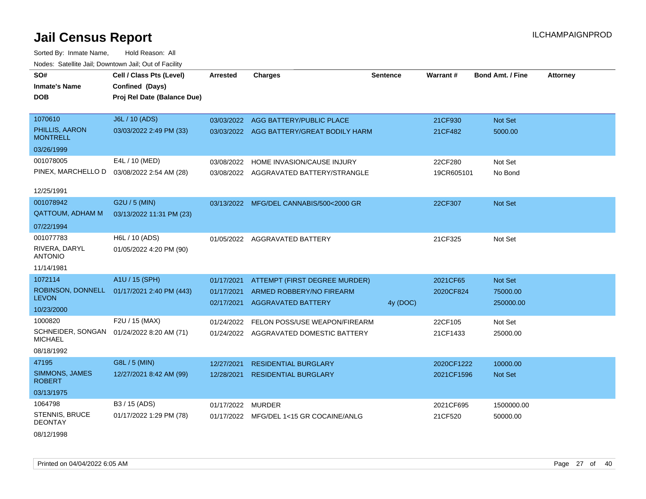Sorted By: Inmate Name, Hold Reason: All Nodes: Satellite Jail; Downtown Jail; Out of Facility

| SO#                                 | Cell / Class Pts (Level)    | <b>Arrested</b> | <b>Charges</b>                           | <b>Sentence</b> | Warrant #  | <b>Bond Amt. / Fine</b> | <b>Attorney</b> |
|-------------------------------------|-----------------------------|-----------------|------------------------------------------|-----------------|------------|-------------------------|-----------------|
| <b>Inmate's Name</b>                | Confined (Days)             |                 |                                          |                 |            |                         |                 |
| <b>DOB</b>                          | Proj Rel Date (Balance Due) |                 |                                          |                 |            |                         |                 |
|                                     |                             |                 |                                          |                 |            |                         |                 |
| 1070610                             | J6L / 10 (ADS)              |                 | 03/03/2022 AGG BATTERY/PUBLIC PLACE      |                 | 21CF930    | Not Set                 |                 |
| PHILLIS, AARON<br><b>MONTRELL</b>   | 03/03/2022 2:49 PM (33)     |                 | 03/03/2022 AGG BATTERY/GREAT BODILY HARM |                 | 21CF482    | 5000.00                 |                 |
| 03/26/1999                          |                             |                 |                                          |                 |            |                         |                 |
| 001078005                           | E4L / 10 (MED)              | 03/08/2022      | HOME INVASION/CAUSE INJURY               |                 | 22CF280    | Not Set                 |                 |
| PINEX, MARCHELLO D                  | 03/08/2022 2:54 AM (28)     |                 | 03/08/2022 AGGRAVATED BATTERY/STRANGLE   |                 | 19CR605101 | No Bond                 |                 |
| 12/25/1991                          |                             |                 |                                          |                 |            |                         |                 |
| 001078942                           | G2U / 5 (MIN)               |                 | 03/13/2022 MFG/DEL CANNABIS/500<2000 GR  |                 | 22CF307    | Not Set                 |                 |
| <b>QATTOUM, ADHAM M</b>             | 03/13/2022 11:31 PM (23)    |                 |                                          |                 |            |                         |                 |
| 07/22/1994                          |                             |                 |                                          |                 |            |                         |                 |
| 001077783                           | H6L / 10 (ADS)              |                 | 01/05/2022 AGGRAVATED BATTERY            |                 | 21CF325    | Not Set                 |                 |
| RIVERA, DARYL<br><b>ANTONIO</b>     | 01/05/2022 4:20 PM (90)     |                 |                                          |                 |            |                         |                 |
| 11/14/1981                          |                             |                 |                                          |                 |            |                         |                 |
| 1072114                             | A1U / 15 (SPH)              | 01/17/2021      | ATTEMPT (FIRST DEGREE MURDER)            |                 | 2021CF65   | Not Set                 |                 |
| ROBINSON, DONNELL                   | 01/17/2021 2:40 PM (443)    | 01/17/2021      | ARMED ROBBERY/NO FIREARM                 |                 | 2020CF824  | 75000.00                |                 |
| <b>LEVON</b>                        |                             | 02/17/2021      | <b>AGGRAVATED BATTERY</b>                | 4y (DOC)        |            | 250000.00               |                 |
| 10/23/2000                          |                             |                 |                                          |                 |            |                         |                 |
| 1000820                             | F2U / 15 (MAX)              | 01/24/2022      | FELON POSS/USE WEAPON/FIREARM            |                 | 22CF105    | Not Set                 |                 |
| SCHNEIDER, SONGAN<br><b>MICHAEL</b> | 01/24/2022 8:20 AM (71)     |                 | 01/24/2022 AGGRAVATED DOMESTIC BATTERY   |                 | 21CF1433   | 25000.00                |                 |
| 08/18/1992                          |                             |                 |                                          |                 |            |                         |                 |
| 47195                               | G8L / 5 (MIN)               | 12/27/2021      | <b>RESIDENTIAL BURGLARY</b>              |                 | 2020CF1222 | 10000.00                |                 |
| SIMMONS, JAMES<br><b>ROBERT</b>     | 12/27/2021 8:42 AM (99)     | 12/28/2021      | <b>RESIDENTIAL BURGLARY</b>              |                 | 2021CF1596 | Not Set                 |                 |
| 03/13/1975                          |                             |                 |                                          |                 |            |                         |                 |
| 1064798                             | B3 / 15 (ADS)               | 01/17/2022      | <b>MURDER</b>                            |                 | 2021CF695  | 1500000.00              |                 |
| STENNIS, BRUCE<br><b>DEONTAY</b>    | 01/17/2022 1:29 PM (78)     | 01/17/2022      | MFG/DEL 1<15 GR COCAINE/ANLG             |                 | 21CF520    | 50000.00                |                 |

08/12/1998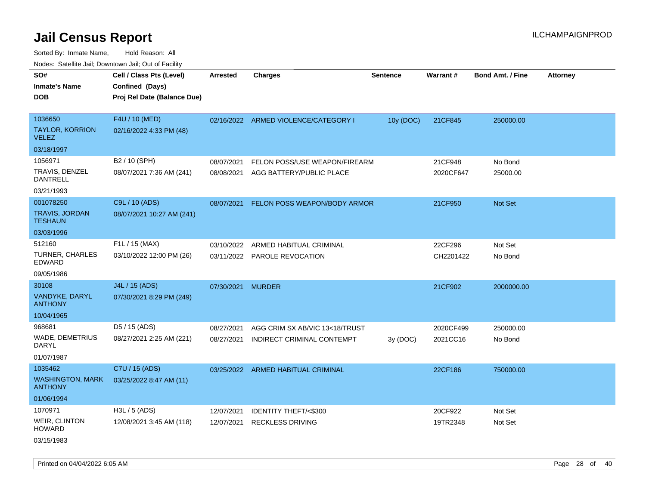Sorted By: Inmate Name, Hold Reason: All Nodes: Satellite Jail; Downtown Jail; Out of Facility

| rougs. Calcing Jan, Downtown Jan, Out of Facility |                                                                            |                   |                                      |                 |                 |                         |                 |
|---------------------------------------------------|----------------------------------------------------------------------------|-------------------|--------------------------------------|-----------------|-----------------|-------------------------|-----------------|
| SO#<br><b>Inmate's Name</b><br><b>DOB</b>         | Cell / Class Pts (Level)<br>Confined (Days)<br>Proj Rel Date (Balance Due) | <b>Arrested</b>   | <b>Charges</b>                       | <b>Sentence</b> | <b>Warrant#</b> | <b>Bond Amt. / Fine</b> | <b>Attorney</b> |
| 1036650                                           | F4U / 10 (MED)                                                             |                   | 02/16/2022 ARMED VIOLENCE/CATEGORY I | 10y (DOC)       | 21CF845         | 250000.00               |                 |
| <b>TAYLOR, KORRION</b><br><b>VELEZ</b>            | 02/16/2022 4:33 PM (48)                                                    |                   |                                      |                 |                 |                         |                 |
| 03/18/1997                                        |                                                                            |                   |                                      |                 |                 |                         |                 |
| 1056971                                           | B2 / 10 (SPH)                                                              | 08/07/2021        | FELON POSS/USE WEAPON/FIREARM        |                 | 21CF948         | No Bond                 |                 |
| TRAVIS, DENZEL<br>DANTRELL                        | 08/07/2021 7:36 AM (241)                                                   | 08/08/2021        | AGG BATTERY/PUBLIC PLACE             |                 | 2020CF647       | 25000.00                |                 |
| 03/21/1993                                        |                                                                            |                   |                                      |                 |                 |                         |                 |
| 001078250                                         | C9L / 10 (ADS)                                                             | 08/07/2021        | FELON POSS WEAPON/BODY ARMOR         |                 | 21CF950         | <b>Not Set</b>          |                 |
| <b>TRAVIS, JORDAN</b><br><b>TESHAUN</b>           | 08/07/2021 10:27 AM (241)                                                  |                   |                                      |                 |                 |                         |                 |
| 03/03/1996                                        |                                                                            |                   |                                      |                 |                 |                         |                 |
| 512160                                            | F1L / 15 (MAX)                                                             | 03/10/2022        | ARMED HABITUAL CRIMINAL              |                 | 22CF296         | Not Set                 |                 |
| <b>TURNER, CHARLES</b><br><b>EDWARD</b>           | 03/10/2022 12:00 PM (26)                                                   |                   | 03/11/2022 PAROLE REVOCATION         |                 | CH2201422       | No Bond                 |                 |
| 09/05/1986                                        |                                                                            |                   |                                      |                 |                 |                         |                 |
| 30108                                             | J4L / 15 (ADS)                                                             | 07/30/2021 MURDER |                                      |                 | 21CF902         | 2000000.00              |                 |
| VANDYKE, DARYL<br><b>ANTHONY</b>                  | 07/30/2021 8:29 PM (249)                                                   |                   |                                      |                 |                 |                         |                 |
| 10/04/1965                                        |                                                                            |                   |                                      |                 |                 |                         |                 |
| 968681                                            | D5 / 15 (ADS)                                                              | 08/27/2021        | AGG CRIM SX AB/VIC 13<18/TRUST       |                 | 2020CF499       | 250000.00               |                 |
| WADE, DEMETRIUS<br>DARYL                          | 08/27/2021 2:25 AM (221)                                                   | 08/27/2021        | INDIRECT CRIMINAL CONTEMPT           | 3y (DOC)        | 2021CC16        | No Bond                 |                 |
| 01/07/1987                                        |                                                                            |                   |                                      |                 |                 |                         |                 |
| 1035462                                           | C7U / 15 (ADS)                                                             |                   | 03/25/2022 ARMED HABITUAL CRIMINAL   |                 | 22CF186         | 750000.00               |                 |
| <b>WASHINGTON, MARK</b><br><b>ANTHONY</b>         | 03/25/2022 8:47 AM (11)                                                    |                   |                                      |                 |                 |                         |                 |
| 01/06/1994                                        |                                                                            |                   |                                      |                 |                 |                         |                 |
| 1070971                                           | H3L / 5 (ADS)                                                              | 12/07/2021        | IDENTITY THEFT/<\$300                |                 | 20CF922         | Not Set                 |                 |
| <b>WEIR, CLINTON</b><br>HOWARD                    | 12/08/2021 3:45 AM (118)                                                   | 12/07/2021        | <b>RECKLESS DRIVING</b>              |                 | 19TR2348        | Not Set                 |                 |
| $0.011 - 11000$                                   |                                                                            |                   |                                      |                 |                 |                         |                 |

03/15/1983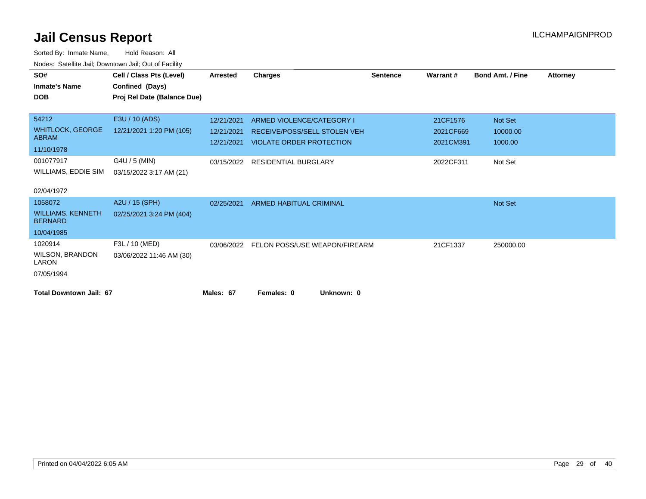| SO#<br><b>Inmate's Name</b>                | Cell / Class Pts (Level)<br>Confined (Days) | <b>Arrested</b> | <b>Charges</b>                  | <b>Sentence</b> | Warrant#  | <b>Bond Amt. / Fine</b> | <b>Attorney</b> |
|--------------------------------------------|---------------------------------------------|-----------------|---------------------------------|-----------------|-----------|-------------------------|-----------------|
| <b>DOB</b>                                 | Proj Rel Date (Balance Due)                 |                 |                                 |                 |           |                         |                 |
| 54212                                      | E3U / 10 (ADS)                              | 12/21/2021      | ARMED VIOLENCE/CATEGORY I       |                 | 21CF1576  | Not Set                 |                 |
| <b>WHITLOCK, GEORGE</b>                    | 12/21/2021 1:20 PM (105)                    | 12/21/2021      | RECEIVE/POSS/SELL STOLEN VEH    |                 | 2021CF669 | 10000.00                |                 |
| <b>ABRAM</b><br>11/10/1978                 |                                             | 12/21/2021      | <b>VIOLATE ORDER PROTECTION</b> |                 | 2021CM391 | 1000.00                 |                 |
| 001077917                                  | G4U / 5 (MIN)                               | 03/15/2022      | <b>RESIDENTIAL BURGLARY</b>     |                 | 2022CF311 | Not Set                 |                 |
| WILLIAMS, EDDIE SIM                        | 03/15/2022 3:17 AM (21)                     |                 |                                 |                 |           |                         |                 |
| 02/04/1972                                 |                                             |                 |                                 |                 |           |                         |                 |
| 1058072                                    | A2U / 15 (SPH)                              | 02/25/2021      | ARMED HABITUAL CRIMINAL         |                 |           | Not Set                 |                 |
| <b>WILLIAMS, KENNETH</b><br><b>BERNARD</b> | 02/25/2021 3:24 PM (404)                    |                 |                                 |                 |           |                         |                 |
| 10/04/1985                                 |                                             |                 |                                 |                 |           |                         |                 |
| 1020914                                    | F3L / 10 (MED)                              | 03/06/2022      | FELON POSS/USE WEAPON/FIREARM   |                 | 21CF1337  | 250000.00               |                 |
| <b>WILSON, BRANDON</b><br>LARON            | 03/06/2022 11:46 AM (30)                    |                 |                                 |                 |           |                         |                 |
| 07/05/1994                                 |                                             |                 |                                 |                 |           |                         |                 |
| <b>Total Downtown Jail: 67</b>             |                                             | Males: 67       | Females: 0                      | Unknown: 0      |           |                         |                 |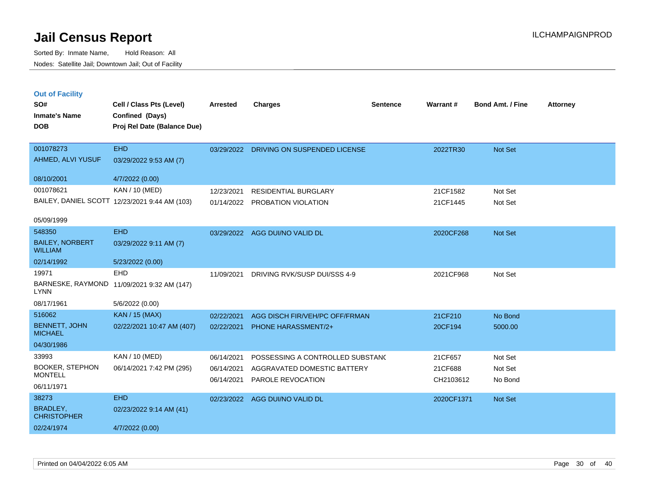Sorted By: Inmate Name, Hold Reason: All Nodes: Satellite Jail; Downtown Jail; Out of Facility

| <b>Out of Facility</b><br>SO#<br><b>Inmate's Name</b><br><b>DOB</b> | Cell / Class Pts (Level)<br>Confined (Days)<br>Proj Rel Date (Balance Due) | <b>Arrested</b> | <b>Charges</b>                   | <b>Sentence</b> | Warrant#   | <b>Bond Amt. / Fine</b> | <b>Attorney</b> |
|---------------------------------------------------------------------|----------------------------------------------------------------------------|-----------------|----------------------------------|-----------------|------------|-------------------------|-----------------|
|                                                                     |                                                                            |                 |                                  |                 |            |                         |                 |
| 001078273                                                           | <b>EHD</b>                                                                 | 03/29/2022      | DRIVING ON SUSPENDED LICENSE     |                 | 2022TR30   | <b>Not Set</b>          |                 |
| AHMED, ALVI YUSUF                                                   | 03/29/2022 9:53 AM (7)                                                     |                 |                                  |                 |            |                         |                 |
| 08/10/2001                                                          | 4/7/2022 (0.00)                                                            |                 |                                  |                 |            |                         |                 |
| 001078621                                                           | KAN / 10 (MED)                                                             | 12/23/2021      | <b>RESIDENTIAL BURGLARY</b>      |                 | 21CF1582   | Not Set                 |                 |
|                                                                     | BAILEY, DANIEL SCOTT 12/23/2021 9:44 AM (103)                              | 01/14/2022      | PROBATION VIOLATION              |                 | 21CF1445   | Not Set                 |                 |
| 05/09/1999                                                          |                                                                            |                 |                                  |                 |            |                         |                 |
| 548350                                                              | <b>EHD</b>                                                                 | 03/29/2022      | AGG DUI/NO VALID DL              |                 | 2020CF268  | <b>Not Set</b>          |                 |
| <b>BAILEY, NORBERT</b><br><b>WILLIAM</b>                            | 03/29/2022 9:11 AM (7)                                                     |                 |                                  |                 |            |                         |                 |
| 02/14/1992                                                          | 5/23/2022 (0.00)                                                           |                 |                                  |                 |            |                         |                 |
| 19971                                                               | <b>EHD</b>                                                                 | 11/09/2021      | DRIVING RVK/SUSP DUI/SSS 4-9     |                 | 2021CF968  | Not Set                 |                 |
| <b>LYNN</b>                                                         | BARNESKE, RAYMOND 11/09/2021 9:32 AM (147)                                 |                 |                                  |                 |            |                         |                 |
| 08/17/1961                                                          | 5/6/2022 (0.00)                                                            |                 |                                  |                 |            |                         |                 |
| 516062                                                              | <b>KAN / 15 (MAX)</b>                                                      | 02/22/2021      | AGG DISCH FIR/VEH/PC OFF/FRMAN   |                 | 21CF210    | No Bond                 |                 |
| <b>BENNETT, JOHN</b><br><b>MICHAEL</b>                              | 02/22/2021 10:47 AM (407)                                                  | 02/22/2021      | <b>PHONE HARASSMENT/2+</b>       |                 | 20CF194    | 5000.00                 |                 |
| 04/30/1986                                                          |                                                                            |                 |                                  |                 |            |                         |                 |
| 33993                                                               | KAN / 10 (MED)                                                             | 06/14/2021      | POSSESSING A CONTROLLED SUBSTANC |                 | 21CF657    | Not Set                 |                 |
| <b>BOOKER, STEPHON</b>                                              | 06/14/2021 7:42 PM (295)                                                   | 06/14/2021      | AGGRAVATED DOMESTIC BATTERY      |                 | 21CF688    | Not Set                 |                 |
| <b>MONTELL</b>                                                      |                                                                            | 06/14/2021      | PAROLE REVOCATION                |                 | CH2103612  | No Bond                 |                 |
| 06/11/1971                                                          |                                                                            |                 |                                  |                 |            |                         |                 |
| 38273                                                               | <b>EHD</b>                                                                 | 02/23/2022      | AGG DUI/NO VALID DL              |                 | 2020CF1371 | <b>Not Set</b>          |                 |

02/24/1974 4/7/2022 (0.00)

BRADLEY, CHRISTOPHER

02/23/2022 9:14 AM (41)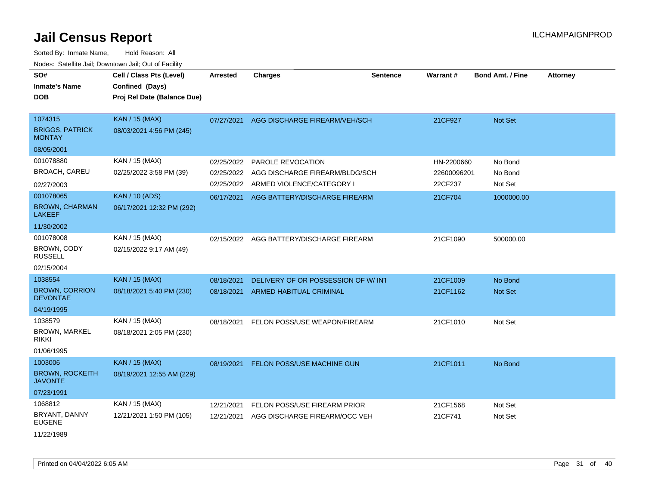| SO#<br><b>Inmate's Name</b><br>DOB                 | Cell / Class Pts (Level)<br>Confined (Days)<br>Proj Rel Date (Balance Due) | <b>Arrested</b> | <b>Charges</b>                           | <b>Sentence</b> | <b>Warrant#</b> | <b>Bond Amt. / Fine</b> | <b>Attorney</b> |
|----------------------------------------------------|----------------------------------------------------------------------------|-----------------|------------------------------------------|-----------------|-----------------|-------------------------|-----------------|
| 1074315<br><b>BRIGGS, PATRICK</b><br><b>MONTAY</b> | KAN / 15 (MAX)<br>08/03/2021 4:56 PM (245)                                 | 07/27/2021      | AGG DISCHARGE FIREARM/VEH/SCH            |                 | 21CF927         | Not Set                 |                 |
| 08/05/2001                                         |                                                                            |                 |                                          |                 |                 |                         |                 |
| 001078880                                          | KAN / 15 (MAX)                                                             | 02/25/2022      | PAROLE REVOCATION                        |                 | HN-2200660      | No Bond                 |                 |
| <b>BROACH, CAREU</b>                               | 02/25/2022 3:58 PM (39)                                                    | 02/25/2022      | AGG DISCHARGE FIREARM/BLDG/SCH           |                 | 22600096201     | No Bond                 |                 |
| 02/27/2003                                         |                                                                            | 02/25/2022      | ARMED VIOLENCE/CATEGORY I                |                 | 22CF237         | Not Set                 |                 |
| 001078065<br><b>BROWN, CHARMAN</b>                 | <b>KAN / 10 (ADS)</b><br>06/17/2021 12:32 PM (292)                         |                 | 06/17/2021 AGG BATTERY/DISCHARGE FIREARM |                 | 21CF704         | 1000000.00              |                 |
| <b>LAKEEF</b>                                      |                                                                            |                 |                                          |                 |                 |                         |                 |
| 11/30/2002                                         |                                                                            |                 |                                          |                 |                 |                         |                 |
| 001078008                                          | KAN / 15 (MAX)                                                             | 02/15/2022      | AGG BATTERY/DISCHARGE FIREARM            |                 | 21CF1090        | 500000.00               |                 |
| BROWN, CODY<br><b>RUSSELL</b>                      | 02/15/2022 9:17 AM (49)                                                    |                 |                                          |                 |                 |                         |                 |
| 02/15/2004                                         |                                                                            |                 |                                          |                 |                 |                         |                 |
| 1038554                                            | <b>KAN / 15 (MAX)</b>                                                      | 08/18/2021      | DELIVERY OF OR POSSESSION OF W/INT       |                 | 21CF1009        | No Bond                 |                 |
| <b>BROWN, CORRION</b><br><b>DEVONTAE</b>           | 08/18/2021 5:40 PM (230)                                                   | 08/18/2021      | ARMED HABITUAL CRIMINAL                  |                 | 21CF1162        | <b>Not Set</b>          |                 |
| 04/19/1995                                         |                                                                            |                 |                                          |                 |                 |                         |                 |
| 1038579                                            | KAN / 15 (MAX)                                                             | 08/18/2021      | FELON POSS/USE WEAPON/FIREARM            |                 | 21CF1010        | Not Set                 |                 |
| <b>BROWN, MARKEL</b><br><b>RIKKI</b>               | 08/18/2021 2:05 PM (230)                                                   |                 |                                          |                 |                 |                         |                 |
| 01/06/1995                                         |                                                                            |                 |                                          |                 |                 |                         |                 |
| 1003006                                            | <b>KAN / 15 (MAX)</b>                                                      | 08/19/2021      | <b>FELON POSS/USE MACHINE GUN</b>        |                 | 21CF1011        | No Bond                 |                 |
| <b>BROWN, ROCKEITH</b><br><b>JAVONTE</b>           | 08/19/2021 12:55 AM (229)                                                  |                 |                                          |                 |                 |                         |                 |
| 07/23/1991                                         |                                                                            |                 |                                          |                 |                 |                         |                 |
| 1068812                                            | KAN / 15 (MAX)                                                             | 12/21/2021      | FELON POSS/USE FIREARM PRIOR             |                 | 21CF1568        | Not Set                 |                 |
| BRYANT, DANNY<br><b>EUGENE</b>                     | 12/21/2021 1:50 PM (105)                                                   | 12/21/2021      | AGG DISCHARGE FIREARM/OCC VEH            |                 | 21CF741         | Not Set                 |                 |
| 11/22/1989                                         |                                                                            |                 |                                          |                 |                 |                         |                 |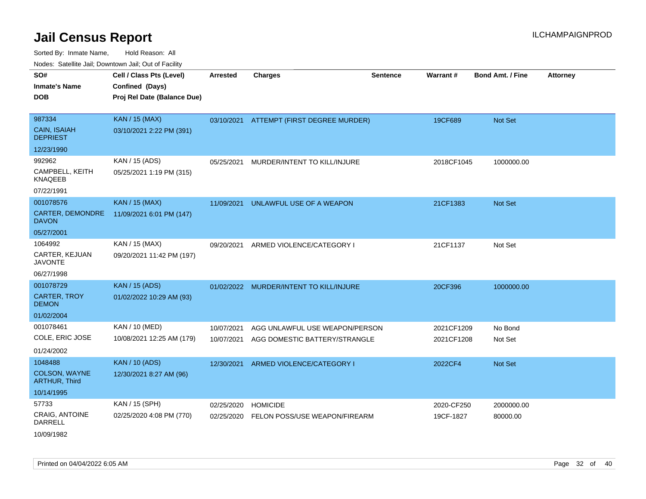Sorted By: Inmate Name, Hold Reason: All Nodes: Satellite Jail; Downtown Jail; Out of Facility

| SO#                                          | Cell / Class Pts (Level)    | <b>Arrested</b> | <b>Charges</b>                           | <b>Sentence</b> | <b>Warrant#</b> | <b>Bond Amt. / Fine</b> | <b>Attorney</b> |
|----------------------------------------------|-----------------------------|-----------------|------------------------------------------|-----------------|-----------------|-------------------------|-----------------|
| <b>Inmate's Name</b>                         | Confined (Days)             |                 |                                          |                 |                 |                         |                 |
| <b>DOB</b>                                   | Proj Rel Date (Balance Due) |                 |                                          |                 |                 |                         |                 |
|                                              |                             |                 |                                          |                 |                 |                         |                 |
| 987334                                       | <b>KAN / 15 (MAX)</b>       |                 | 03/10/2021 ATTEMPT (FIRST DEGREE MURDER) |                 | 19CF689         | Not Set                 |                 |
| <b>CAIN, ISAIAH</b><br><b>DEPRIEST</b>       | 03/10/2021 2:22 PM (391)    |                 |                                          |                 |                 |                         |                 |
| 12/23/1990                                   |                             |                 |                                          |                 |                 |                         |                 |
| 992962                                       | KAN / 15 (ADS)              | 05/25/2021      | MURDER/INTENT TO KILL/INJURE             |                 | 2018CF1045      | 1000000.00              |                 |
| CAMPBELL, KEITH<br><b>KNAQEEB</b>            | 05/25/2021 1:19 PM (315)    |                 |                                          |                 |                 |                         |                 |
| 07/22/1991                                   |                             |                 |                                          |                 |                 |                         |                 |
| 001078576                                    | <b>KAN / 15 (MAX)</b>       | 11/09/2021      | UNLAWFUL USE OF A WEAPON                 |                 | 21CF1383        | <b>Not Set</b>          |                 |
| CARTER, DEMONDRE<br><b>DAVON</b>             | 11/09/2021 6:01 PM (147)    |                 |                                          |                 |                 |                         |                 |
| 05/27/2001                                   |                             |                 |                                          |                 |                 |                         |                 |
| 1064992                                      | KAN / 15 (MAX)              | 09/20/2021      | ARMED VIOLENCE/CATEGORY I                |                 | 21CF1137        | Not Set                 |                 |
| CARTER, KEJUAN<br><b>JAVONTE</b>             | 09/20/2021 11:42 PM (197)   |                 |                                          |                 |                 |                         |                 |
| 06/27/1998                                   |                             |                 |                                          |                 |                 |                         |                 |
| 001078729                                    | <b>KAN / 15 (ADS)</b>       |                 | 01/02/2022 MURDER/INTENT TO KILL/INJURE  |                 | 20CF396         | 1000000.00              |                 |
| <b>CARTER, TROY</b><br><b>DEMON</b>          | 01/02/2022 10:29 AM (93)    |                 |                                          |                 |                 |                         |                 |
| 01/02/2004                                   |                             |                 |                                          |                 |                 |                         |                 |
| 001078461                                    | KAN / 10 (MED)              | 10/07/2021      | AGG UNLAWFUL USE WEAPON/PERSON           |                 | 2021CF1209      | No Bond                 |                 |
| COLE, ERIC JOSE                              | 10/08/2021 12:25 AM (179)   | 10/07/2021      | AGG DOMESTIC BATTERY/STRANGLE            |                 | 2021CF1208      | Not Set                 |                 |
| 01/24/2002                                   |                             |                 |                                          |                 |                 |                         |                 |
| 1048488                                      | <b>KAN / 10 (ADS)</b>       | 12/30/2021      | ARMED VIOLENCE/CATEGORY I                |                 | 2022CF4         | <b>Not Set</b>          |                 |
| <b>COLSON, WAYNE</b><br><b>ARTHUR, Third</b> | 12/30/2021 8:27 AM (96)     |                 |                                          |                 |                 |                         |                 |
| 10/14/1995                                   |                             |                 |                                          |                 |                 |                         |                 |
| 57733                                        | KAN / 15 (SPH)              | 02/25/2020      | <b>HOMICIDE</b>                          |                 | 2020-CF250      | 2000000.00              |                 |
| <b>CRAIG, ANTOINE</b><br>DARRELL             | 02/25/2020 4:08 PM (770)    | 02/25/2020      | FELON POSS/USE WEAPON/FIREARM            |                 | 19CF-1827       | 80000.00                |                 |

10/09/1982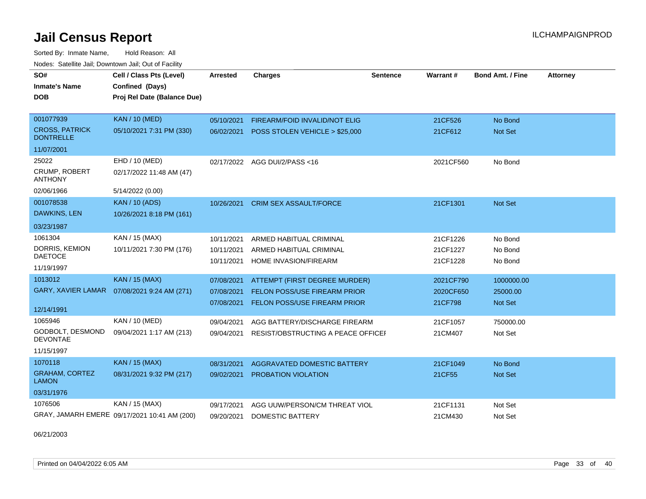Sorted By: Inmate Name, Hold Reason: All Nodes: Satellite Jail; Downtown Jail; Out of Facility

| SO#<br><b>Inmate's Name</b><br><b>DOB</b> | Cell / Class Pts (Level)<br>Confined (Days)<br>Proj Rel Date (Balance Due) | Arrested   | <b>Charges</b>                      | Sentence | <b>Warrant#</b> | <b>Bond Amt. / Fine</b> | <b>Attorney</b> |
|-------------------------------------------|----------------------------------------------------------------------------|------------|-------------------------------------|----------|-----------------|-------------------------|-----------------|
| 001077939                                 | <b>KAN / 10 (MED)</b>                                                      | 05/10/2021 | FIREARM/FOID INVALID/NOT ELIG       |          | 21CF526         | No Bond                 |                 |
| <b>CROSS, PATRICK</b><br><b>DONTRELLE</b> | 05/10/2021 7:31 PM (330)                                                   | 06/02/2021 | POSS STOLEN VEHICLE > \$25,000      |          | 21CF612         | <b>Not Set</b>          |                 |
| 11/07/2001                                |                                                                            |            |                                     |          |                 |                         |                 |
| 25022                                     | EHD / 10 (MED)                                                             | 02/17/2022 | AGG DUI/2/PASS <16                  |          | 2021CF560       | No Bond                 |                 |
| <b>CRUMP, ROBERT</b><br><b>ANTHONY</b>    | 02/17/2022 11:48 AM (47)                                                   |            |                                     |          |                 |                         |                 |
| 02/06/1966                                | 5/14/2022 (0.00)                                                           |            |                                     |          |                 |                         |                 |
| 001078538                                 | <b>KAN / 10 (ADS)</b>                                                      | 10/26/2021 | <b>CRIM SEX ASSAULT/FORCE</b>       |          | 21CF1301        | <b>Not Set</b>          |                 |
| DAWKINS, LEN                              | 10/26/2021 8:18 PM (161)                                                   |            |                                     |          |                 |                         |                 |
| 03/23/1987                                |                                                                            |            |                                     |          |                 |                         |                 |
| 1061304                                   | KAN / 15 (MAX)                                                             | 10/11/2021 | ARMED HABITUAL CRIMINAL             |          | 21CF1226        | No Bond                 |                 |
| DORRIS, KEMION                            | 10/11/2021 7:30 PM (176)                                                   | 10/11/2021 | ARMED HABITUAL CRIMINAL             |          | 21CF1227        | No Bond                 |                 |
| <b>DAETOCE</b><br>11/19/1997              |                                                                            | 10/11/2021 | HOME INVASION/FIREARM               |          | 21CF1228        | No Bond                 |                 |
| 1013012                                   | <b>KAN / 15 (MAX)</b>                                                      | 07/08/2021 | ATTEMPT (FIRST DEGREE MURDER)       |          | 2021CF790       | 1000000.00              |                 |
|                                           | GARY, XAVIER LAMAR  07/08/2021 9:24 AM (271)                               | 07/08/2021 | <b>FELON POSS/USE FIREARM PRIOR</b> |          | 2020CF650       | 25000.00                |                 |
|                                           |                                                                            | 07/08/2021 | FELON POSS/USE FIREARM PRIOR        |          | 21CF798         | <b>Not Set</b>          |                 |
| 12/14/1991                                |                                                                            |            |                                     |          |                 |                         |                 |
| 1065946                                   | KAN / 10 (MED)                                                             | 09/04/2021 | AGG BATTERY/DISCHARGE FIREARM       |          | 21CF1057        | 750000.00               |                 |
| GODBOLT, DESMOND<br><b>DEVONTAE</b>       | 09/04/2021 1:17 AM (213)                                                   | 09/04/2021 | RESIST/OBSTRUCTING A PEACE OFFICEF  |          | 21CM407         | Not Set                 |                 |
| 11/15/1997                                |                                                                            |            |                                     |          |                 |                         |                 |
| 1070118                                   | <b>KAN / 15 (MAX)</b>                                                      | 08/31/2021 | <b>AGGRAVATED DOMESTIC BATTERY</b>  |          | 21CF1049        | No Bond                 |                 |
| <b>GRAHAM, CORTEZ</b><br><b>LAMON</b>     | 08/31/2021 9:32 PM (217)                                                   | 09/02/2021 | PROBATION VIOLATION                 |          | 21CF55          | Not Set                 |                 |
| 03/31/1976                                |                                                                            |            |                                     |          |                 |                         |                 |
| 1076506                                   | KAN / 15 (MAX)                                                             | 09/17/2021 | AGG UUW/PERSON/CM THREAT VIOL       |          | 21CF1131        | Not Set                 |                 |
|                                           | GRAY, JAMARH EMERE 09/17/2021 10:41 AM (200)                               | 09/20/2021 | <b>DOMESTIC BATTERY</b>             |          | 21CM430         | Not Set                 |                 |

06/21/2003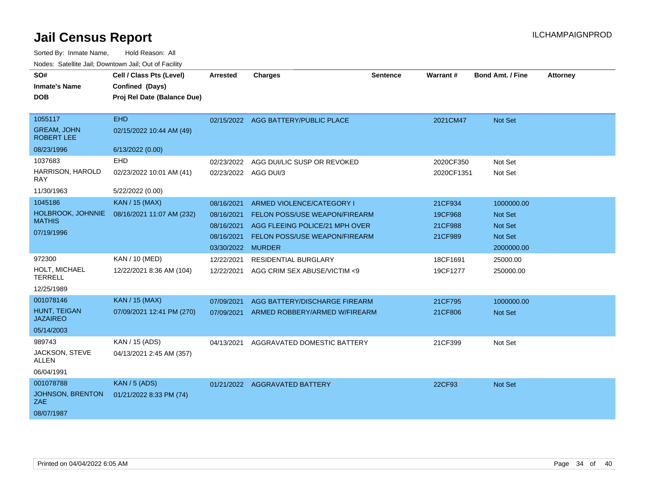| SO#<br><b>Inmate's Name</b>             | Cell / Class Pts (Level)<br>Confined (Days) | <b>Arrested</b>   | <b>Charges</b>                       | Sentence | Warrant#   | <b>Bond Amt. / Fine</b> | <b>Attorney</b> |
|-----------------------------------------|---------------------------------------------|-------------------|--------------------------------------|----------|------------|-------------------------|-----------------|
| <b>DOB</b>                              | Proj Rel Date (Balance Due)                 |                   |                                      |          |            |                         |                 |
|                                         |                                             |                   |                                      |          |            |                         |                 |
| 1055117                                 | <b>EHD</b>                                  |                   | 02/15/2022 AGG BATTERY/PUBLIC PLACE  |          | 2021CM47   | Not Set                 |                 |
| <b>GREAM, JOHN</b><br><b>ROBERT LEE</b> | 02/15/2022 10:44 AM (49)                    |                   |                                      |          |            |                         |                 |
| 08/23/1996                              | 6/13/2022 (0.00)                            |                   |                                      |          |            |                         |                 |
| 1037683                                 | EHD                                         | 02/23/2022        | AGG DUI/LIC SUSP OR REVOKED          |          | 2020CF350  | Not Set                 |                 |
| HARRISON, HAROLD<br>RAY                 | 02/23/2022 10:01 AM (41)                    |                   | 02/23/2022 AGG DUI/3                 |          | 2020CF1351 | Not Set                 |                 |
| 11/30/1963                              | 5/22/2022 (0.00)                            |                   |                                      |          |            |                         |                 |
| 1045186                                 | <b>KAN / 15 (MAX)</b>                       | 08/16/2021        | ARMED VIOLENCE/CATEGORY I            |          | 21CF934    | 1000000.00              |                 |
| HOLBROOK, JOHNNIE<br><b>MATHIS</b>      | 08/16/2021 11:07 AM (232)                   | 08/16/2021        | FELON POSS/USE WEAPON/FIREARM        |          | 19CF968    | <b>Not Set</b>          |                 |
|                                         |                                             | 08/16/2021        | AGG FLEEING POLICE/21 MPH OVER       |          | 21CF988    | <b>Not Set</b>          |                 |
| 07/19/1996                              |                                             | 08/16/2021        | <b>FELON POSS/USE WEAPON/FIREARM</b> |          | 21CF989    | <b>Not Set</b>          |                 |
|                                         |                                             | 03/30/2022 MURDER |                                      |          |            | 2000000.00              |                 |
| 972300                                  | KAN / 10 (MED)                              | 12/22/2021        | <b>RESIDENTIAL BURGLARY</b>          |          | 18CF1691   | 25000.00                |                 |
| <b>HOLT. MICHAEL</b><br><b>TERRELL</b>  | 12/22/2021 8:36 AM (104)                    | 12/22/2021        | AGG CRIM SEX ABUSE/VICTIM <9         |          | 19CF1277   | 250000.00               |                 |
| 12/25/1989                              |                                             |                   |                                      |          |            |                         |                 |
| 001078146                               | <b>KAN / 15 (MAX)</b>                       | 07/09/2021        | AGG BATTERY/DISCHARGE FIREARM        |          | 21CF795    | 1000000.00              |                 |
| <b>HUNT. TEIGAN</b><br><b>JAZAIREO</b>  | 07/09/2021 12:41 PM (270)                   | 07/09/2021        | ARMED ROBBERY/ARMED W/FIREARM        |          | 21CF806    | <b>Not Set</b>          |                 |
| 05/14/2003                              |                                             |                   |                                      |          |            |                         |                 |
| 989743                                  | KAN / 15 (ADS)                              | 04/13/2021        | AGGRAVATED DOMESTIC BATTERY          |          | 21CF399    | Not Set                 |                 |
| JACKSON, STEVE<br><b>ALLEN</b>          | 04/13/2021 2:45 AM (357)                    |                   |                                      |          |            |                         |                 |
| 06/04/1991                              |                                             |                   |                                      |          |            |                         |                 |
| 001078788                               | <b>KAN / 5 (ADS)</b>                        | 01/21/2022        | <b>AGGRAVATED BATTERY</b>            |          | 22CF93     | Not Set                 |                 |
| JOHNSON, BRENTON<br>ZAE.                | 01/21/2022 8:33 PM (74)                     |                   |                                      |          |            |                         |                 |
| 08/07/1987                              |                                             |                   |                                      |          |            |                         |                 |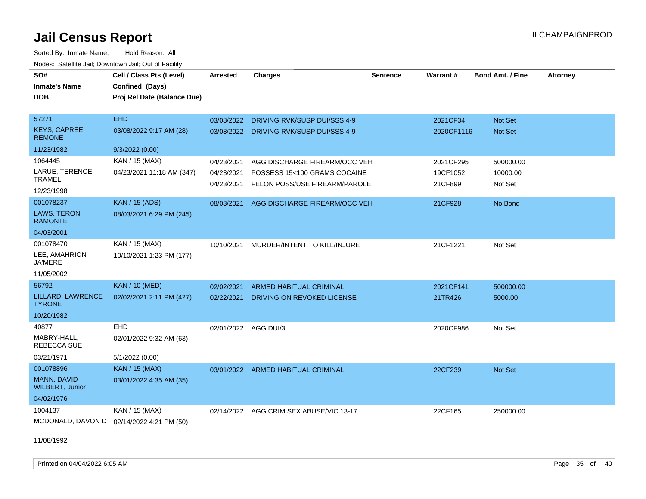Sorted By: Inmate Name, Hold Reason: All Nodes: Satellite Jail; Downtown Jail; Out of Facility

| SO#<br><b>Inmate's Name</b><br><b>DOB</b> | Cell / Class Pts (Level)<br>Confined (Days)<br>Proj Rel Date (Balance Due) | <b>Arrested</b>      | <b>Charges</b>                 | <b>Sentence</b> | Warrant#   | <b>Bond Amt. / Fine</b> | <b>Attorney</b> |
|-------------------------------------------|----------------------------------------------------------------------------|----------------------|--------------------------------|-----------------|------------|-------------------------|-----------------|
| 57271                                     | <b>EHD</b>                                                                 | 03/08/2022           | DRIVING RVK/SUSP DUI/SSS 4-9   |                 | 2021CF34   | Not Set                 |                 |
| <b>KEYS, CAPREE</b><br><b>REMONE</b>      | 03/08/2022 9:17 AM (28)                                                    | 03/08/2022           | DRIVING RVK/SUSP DUI/SSS 4-9   |                 | 2020CF1116 | <b>Not Set</b>          |                 |
| 11/23/1982                                | 9/3/2022(0.00)                                                             |                      |                                |                 |            |                         |                 |
| 1064445                                   | KAN / 15 (MAX)                                                             | 04/23/2021           | AGG DISCHARGE FIREARM/OCC VEH  |                 | 2021CF295  | 500000.00               |                 |
| LARUE, TERENCE                            | 04/23/2021 11:18 AM (347)                                                  | 04/23/2021           | POSSESS 15<100 GRAMS COCAINE   |                 | 19CF1052   | 10000.00                |                 |
| <b>TRAMEL</b>                             |                                                                            | 04/23/2021           | FELON POSS/USE FIREARM/PAROLE  |                 | 21CF899    | Not Set                 |                 |
| 12/23/1998                                |                                                                            |                      |                                |                 |            |                         |                 |
| 001078237                                 | <b>KAN / 15 (ADS)</b>                                                      | 08/03/2021           | AGG DISCHARGE FIREARM/OCC VEH  |                 | 21CF928    | No Bond                 |                 |
| <b>LAWS, TERON</b><br><b>RAMONTE</b>      | 08/03/2021 6:29 PM (245)                                                   |                      |                                |                 |            |                         |                 |
| 04/03/2001                                |                                                                            |                      |                                |                 |            |                         |                 |
| 001078470                                 | KAN / 15 (MAX)                                                             | 10/10/2021           | MURDER/INTENT TO KILL/INJURE   |                 | 21CF1221   | Not Set                 |                 |
| LEE, AMAHRION<br><b>JA'MERE</b>           | 10/10/2021 1:23 PM (177)                                                   |                      |                                |                 |            |                         |                 |
| 11/05/2002                                |                                                                            |                      |                                |                 |            |                         |                 |
| 56792                                     | KAN / 10 (MED)                                                             | 02/02/2021           | <b>ARMED HABITUAL CRIMINAL</b> |                 | 2021CF141  | 500000.00               |                 |
| LILLARD, LAWRENCE<br><b>TYRONE</b>        | 02/02/2021 2:11 PM (427)                                                   | 02/22/2021           | DRIVING ON REVOKED LICENSE     |                 | 21TR426    | 5000.00                 |                 |
| 10/20/1982                                |                                                                            |                      |                                |                 |            |                         |                 |
| 40877                                     | <b>EHD</b>                                                                 | 02/01/2022 AGG DUI/3 |                                |                 | 2020CF986  | Not Set                 |                 |
| MABRY-HALL,<br>REBECCA SUE                | 02/01/2022 9:32 AM (63)                                                    |                      |                                |                 |            |                         |                 |
| 03/21/1971                                | 5/1/2022 (0.00)                                                            |                      |                                |                 |            |                         |                 |
| 001078896                                 | KAN / 15 (MAX)                                                             | 03/01/2022           | ARMED HABITUAL CRIMINAL        |                 | 22CF239    | Not Set                 |                 |
| MANN, DAVID<br><b>WILBERT, Junior</b>     | 03/01/2022 4:35 AM (35)                                                    |                      |                                |                 |            |                         |                 |
| 04/02/1976                                |                                                                            |                      |                                |                 |            |                         |                 |
| 1004137                                   | KAN / 15 (MAX)                                                             | 02/14/2022           | AGG CRIM SEX ABUSE/VIC 13-17   |                 | 22CF165    | 250000.00               |                 |
| MCDONALD, DAVON D 02/14/2022 4:21 PM (50) |                                                                            |                      |                                |                 |            |                         |                 |

11/08/1992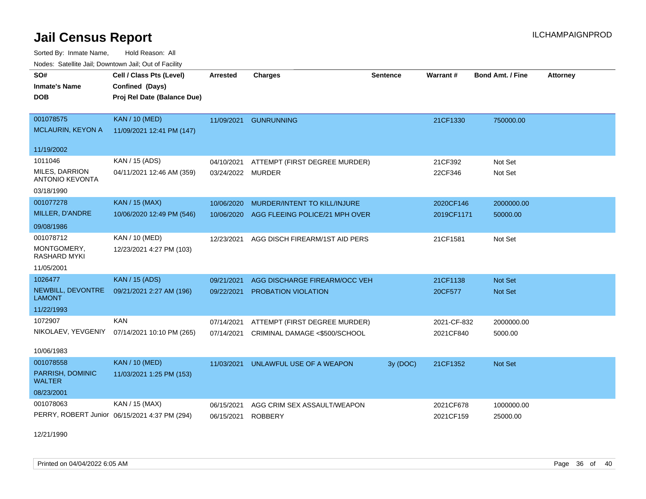Sorted By: Inmate Name, Hold Reason: All Nodes: Satellite Jail; Downtown Jail; Out of Facility

| voues. Salemie Jan, Downlown Jan, Out of Facility |                                               |                 |                                |                 |             |                         |                 |
|---------------------------------------------------|-----------------------------------------------|-----------------|--------------------------------|-----------------|-------------|-------------------------|-----------------|
| SO#                                               | Cell / Class Pts (Level)                      | <b>Arrested</b> | <b>Charges</b>                 | <b>Sentence</b> | Warrant#    | <b>Bond Amt. / Fine</b> | <b>Attorney</b> |
| <b>Inmate's Name</b>                              | Confined (Days)                               |                 |                                |                 |             |                         |                 |
| DOB                                               | Proj Rel Date (Balance Due)                   |                 |                                |                 |             |                         |                 |
|                                                   |                                               |                 |                                |                 |             |                         |                 |
| 001078575                                         | <b>KAN / 10 (MED)</b>                         | 11/09/2021      | <b>GUNRUNNING</b>              |                 | 21CF1330    | 750000.00               |                 |
| <b>MCLAURIN, KEYON A</b>                          | 11/09/2021 12:41 PM (147)                     |                 |                                |                 |             |                         |                 |
| 11/19/2002                                        |                                               |                 |                                |                 |             |                         |                 |
| 1011046                                           | KAN / 15 (ADS)                                | 04/10/2021      | ATTEMPT (FIRST DEGREE MURDER)  |                 | 21CF392     | Not Set                 |                 |
| MILES, DARRION                                    | 04/11/2021 12:46 AM (359)                     | 03/24/2022      | <b>MURDER</b>                  |                 | 22CF346     | Not Set                 |                 |
| <b>ANTONIO KEVONTA</b>                            |                                               |                 |                                |                 |             |                         |                 |
| 03/18/1990                                        |                                               |                 |                                |                 |             |                         |                 |
| 001077278                                         | <b>KAN / 15 (MAX)</b>                         | 10/06/2020      | MURDER/INTENT TO KILL/INJURE   |                 | 2020CF146   | 2000000.00              |                 |
| MILLER, D'ANDRE                                   | 10/06/2020 12:49 PM (546)                     | 10/06/2020      | AGG FLEEING POLICE/21 MPH OVER |                 | 2019CF1171  | 50000.00                |                 |
| 09/08/1986                                        |                                               |                 |                                |                 |             |                         |                 |
| 001078712                                         | KAN / 10 (MED)                                | 12/23/2021      | AGG DISCH FIREARM/1ST AID PERS |                 | 21CF1581    | Not Set                 |                 |
| MONTGOMERY,<br>RASHARD MYKI                       | 12/23/2021 4:27 PM (103)                      |                 |                                |                 |             |                         |                 |
| 11/05/2001                                        |                                               |                 |                                |                 |             |                         |                 |
| 1026477                                           | <b>KAN / 15 (ADS)</b>                         | 09/21/2021      | AGG DISCHARGE FIREARM/OCC VEH  |                 | 21CF1138    | Not Set                 |                 |
| NEWBILL, DEVONTRE<br><b>LAMONT</b>                | 09/21/2021 2:27 AM (196)                      | 09/22/2021      | PROBATION VIOLATION            |                 | 20CF577     | <b>Not Set</b>          |                 |
| 11/22/1993                                        |                                               |                 |                                |                 |             |                         |                 |
| 1072907                                           | <b>KAN</b>                                    | 07/14/2021      | ATTEMPT (FIRST DEGREE MURDER)  |                 | 2021-CF-832 | 2000000.00              |                 |
|                                                   | NIKOLAEV, YEVGENIY 07/14/2021 10:10 PM (265)  | 07/14/2021      | CRIMINAL DAMAGE <\$500/SCHOOL  |                 | 2021CF840   | 5000.00                 |                 |
|                                                   |                                               |                 |                                |                 |             |                         |                 |
| 10/06/1983                                        |                                               |                 |                                |                 |             |                         |                 |
| 001078558                                         | <b>KAN / 10 (MED)</b>                         | 11/03/2021      | UNLAWFUL USE OF A WEAPON       | 3y (DOC)        | 21CF1352    | Not Set                 |                 |
| PARRISH, DOMINIC<br><b>WALTER</b>                 | 11/03/2021 1:25 PM (153)                      |                 |                                |                 |             |                         |                 |
| 08/23/2001                                        |                                               |                 |                                |                 |             |                         |                 |
| 001078063                                         | KAN / 15 (MAX)                                | 06/15/2021      | AGG CRIM SEX ASSAULT/WEAPON    |                 | 2021CF678   | 1000000.00              |                 |
|                                                   | PERRY, ROBERT Junior 06/15/2021 4:37 PM (294) | 06/15/2021      | <b>ROBBERY</b>                 |                 | 2021CF159   | 25000.00                |                 |

12/21/1990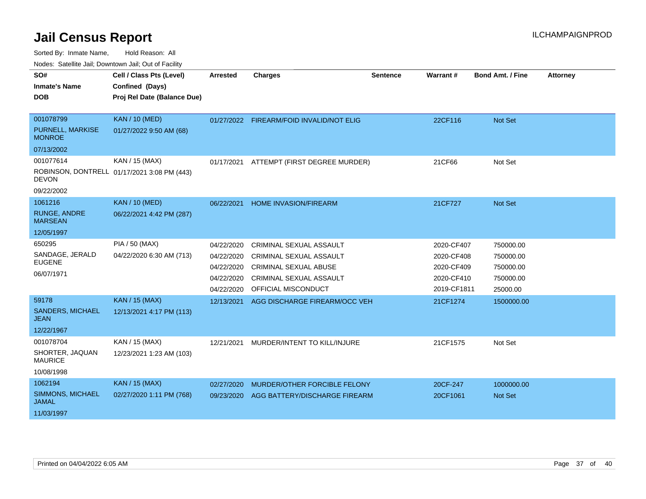Sorted By: Inmate Name, Hold Reason: All

Nodes: Satellite Jail; Downtown Jail; Out of Facility

| SO#                                    | Cell / Class Pts (Level)                    | <b>Arrested</b> | <b>Charges</b>                           | <b>Sentence</b> | Warrant#    | <b>Bond Amt. / Fine</b> | <b>Attorney</b> |
|----------------------------------------|---------------------------------------------|-----------------|------------------------------------------|-----------------|-------------|-------------------------|-----------------|
| <b>Inmate's Name</b>                   | Confined (Days)                             |                 |                                          |                 |             |                         |                 |
| <b>DOB</b>                             | Proj Rel Date (Balance Due)                 |                 |                                          |                 |             |                         |                 |
|                                        |                                             |                 |                                          |                 |             |                         |                 |
| 001078799                              | <b>KAN / 10 (MED)</b>                       |                 | 01/27/2022 FIREARM/FOID INVALID/NOT ELIG |                 | 22CF116     | Not Set                 |                 |
| PURNELL, MARKISE<br><b>MONROE</b>      | 01/27/2022 9:50 AM (68)                     |                 |                                          |                 |             |                         |                 |
| 07/13/2002                             |                                             |                 |                                          |                 |             |                         |                 |
| 001077614                              | KAN / 15 (MAX)                              | 01/17/2021      | ATTEMPT (FIRST DEGREE MURDER)            |                 | 21CF66      | Not Set                 |                 |
| <b>DEVON</b>                           | ROBINSON, DONTRELL 01/17/2021 3:08 PM (443) |                 |                                          |                 |             |                         |                 |
| 09/22/2002                             |                                             |                 |                                          |                 |             |                         |                 |
| 1061216                                | <b>KAN / 10 (MED)</b>                       | 06/22/2021      | <b>HOME INVASION/FIREARM</b>             |                 | 21CF727     | <b>Not Set</b>          |                 |
| <b>RUNGE, ANDRE</b><br><b>MARSEAN</b>  | 06/22/2021 4:42 PM (287)                    |                 |                                          |                 |             |                         |                 |
| 12/05/1997                             |                                             |                 |                                          |                 |             |                         |                 |
| 650295                                 | PIA / 50 (MAX)                              | 04/22/2020      | CRIMINAL SEXUAL ASSAULT                  |                 | 2020-CF407  | 750000.00               |                 |
| SANDAGE, JERALD                        | 04/22/2020 6:30 AM (713)                    | 04/22/2020      | <b>CRIMINAL SEXUAL ASSAULT</b>           |                 | 2020-CF408  | 750000.00               |                 |
| <b>EUGENE</b>                          |                                             | 04/22/2020      | <b>CRIMINAL SEXUAL ABUSE</b>             |                 | 2020-CF409  | 750000.00               |                 |
| 06/07/1971                             |                                             | 04/22/2020      | <b>CRIMINAL SEXUAL ASSAULT</b>           |                 | 2020-CF410  | 750000.00               |                 |
|                                        |                                             | 04/22/2020      | OFFICIAL MISCONDUCT                      |                 | 2019-CF1811 | 25000.00                |                 |
| 59178                                  | <b>KAN / 15 (MAX)</b>                       | 12/13/2021      | AGG DISCHARGE FIREARM/OCC VEH            |                 | 21CF1274    | 1500000.00              |                 |
| <b>SANDERS, MICHAEL</b><br><b>JEAN</b> | 12/13/2021 4:17 PM (113)                    |                 |                                          |                 |             |                         |                 |
| 12/22/1967                             |                                             |                 |                                          |                 |             |                         |                 |
|                                        |                                             |                 |                                          |                 |             |                         |                 |
| 001078704                              | KAN / 15 (MAX)                              | 12/21/2021      | MURDER/INTENT TO KILL/INJURE             |                 | 21CF1575    | Not Set                 |                 |
| SHORTER, JAQUAN<br><b>MAURICE</b>      | 12/23/2021 1:23 AM (103)                    |                 |                                          |                 |             |                         |                 |
| 10/08/1998                             |                                             |                 |                                          |                 |             |                         |                 |
| 1062194                                | <b>KAN / 15 (MAX)</b>                       | 02/27/2020      | MURDER/OTHER FORCIBLE FELONY             |                 | 20CF-247    | 1000000.00              |                 |
| SIMMONS, MICHAEL<br><b>JAMAL</b>       | 02/27/2020 1:11 PM (768)                    | 09/23/2020      | AGG BATTERY/DISCHARGE FIREARM            |                 | 20CF1061    | <b>Not Set</b>          |                 |
| 11/03/1997                             |                                             |                 |                                          |                 |             |                         |                 |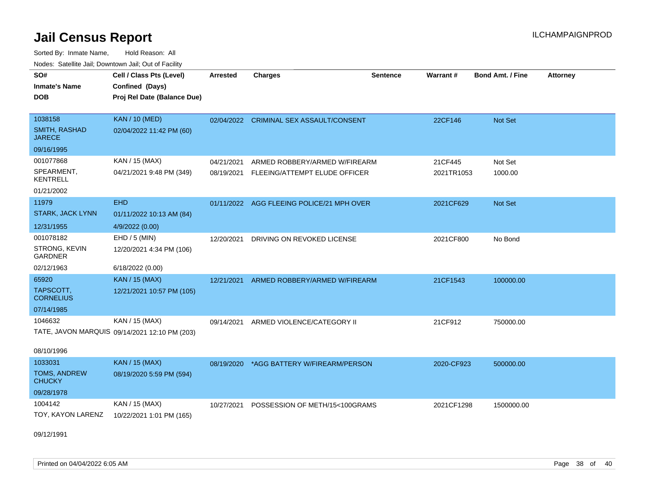Sorted By: Inmate Name, Hold Reason: All Nodes: Satellite Jail; Downtown Jail; Out of Facility

| Noucs. Catchitic sail, Downtown sail, Out of Facility |                                               |                 |                                           |                 |            |                         |                 |  |
|-------------------------------------------------------|-----------------------------------------------|-----------------|-------------------------------------------|-----------------|------------|-------------------------|-----------------|--|
| SO#                                                   | Cell / Class Pts (Level)                      | <b>Arrested</b> | <b>Charges</b>                            | <b>Sentence</b> | Warrant#   | <b>Bond Amt. / Fine</b> | <b>Attorney</b> |  |
| <b>Inmate's Name</b>                                  | Confined (Days)                               |                 |                                           |                 |            |                         |                 |  |
| <b>DOB</b>                                            | Proj Rel Date (Balance Due)                   |                 |                                           |                 |            |                         |                 |  |
|                                                       |                                               |                 |                                           |                 |            |                         |                 |  |
| 1038158                                               | <b>KAN / 10 (MED)</b>                         |                 | 02/04/2022 CRIMINAL SEX ASSAULT/CONSENT   |                 | 22CF146    | Not Set                 |                 |  |
| SMITH, RASHAD<br><b>JARECE</b>                        | 02/04/2022 11:42 PM (60)                      |                 |                                           |                 |            |                         |                 |  |
| 09/16/1995                                            |                                               |                 |                                           |                 |            |                         |                 |  |
| 001077868                                             | KAN / 15 (MAX)                                | 04/21/2021      | ARMED ROBBERY/ARMED W/FIREARM             |                 | 21CF445    | Not Set                 |                 |  |
| SPEARMENT,<br><b>KENTRELL</b>                         | 04/21/2021 9:48 PM (349)                      | 08/19/2021      | FLEEING/ATTEMPT ELUDE OFFICER             |                 | 2021TR1053 | 1000.00                 |                 |  |
| 01/21/2002                                            |                                               |                 |                                           |                 |            |                         |                 |  |
| 11979                                                 | <b>EHD</b>                                    |                 | 01/11/2022 AGG FLEEING POLICE/21 MPH OVER |                 | 2021CF629  | Not Set                 |                 |  |
| <b>STARK, JACK LYNN</b>                               | 01/11/2022 10:13 AM (84)                      |                 |                                           |                 |            |                         |                 |  |
| 12/31/1955                                            | 4/9/2022 (0.00)                               |                 |                                           |                 |            |                         |                 |  |
| 001078182                                             | $EHD / 5$ (MIN)                               | 12/20/2021      | DRIVING ON REVOKED LICENSE                |                 | 2021CF800  | No Bond                 |                 |  |
| STRONG, KEVIN<br><b>GARDNER</b>                       | 12/20/2021 4:34 PM (106)                      |                 |                                           |                 |            |                         |                 |  |
| 02/12/1963                                            | 6/18/2022 (0.00)                              |                 |                                           |                 |            |                         |                 |  |
| 65920                                                 | KAN / 15 (MAX)                                | 12/21/2021      | ARMED ROBBERY/ARMED W/FIREARM             |                 | 21CF1543   | 100000.00               |                 |  |
| TAPSCOTT,<br><b>CORNELIUS</b>                         | 12/21/2021 10:57 PM (105)                     |                 |                                           |                 |            |                         |                 |  |
| 07/14/1985                                            |                                               |                 |                                           |                 |            |                         |                 |  |
| 1046632                                               | KAN / 15 (MAX)                                | 09/14/2021      | ARMED VIOLENCE/CATEGORY II                |                 | 21CF912    | 750000.00               |                 |  |
|                                                       | TATE, JAVON MARQUIS 09/14/2021 12:10 PM (203) |                 |                                           |                 |            |                         |                 |  |
| 08/10/1996                                            |                                               |                 |                                           |                 |            |                         |                 |  |
| 1033031                                               | KAN / 15 (MAX)                                | 08/19/2020      | *AGG BATTERY W/FIREARM/PERSON             |                 | 2020-CF923 | 500000.00               |                 |  |
| TOMS, ANDREW<br><b>CHUCKY</b>                         | 08/19/2020 5:59 PM (594)                      |                 |                                           |                 |            |                         |                 |  |
| 09/28/1978                                            |                                               |                 |                                           |                 |            |                         |                 |  |
| 1004142                                               | KAN / 15 (MAX)                                | 10/27/2021      | POSSESSION OF METH/15<100GRAMS            |                 | 2021CF1298 | 1500000.00              |                 |  |
| TOY, KAYON LARENZ                                     | 10/22/2021 1:01 PM (165)                      |                 |                                           |                 |            |                         |                 |  |
|                                                       |                                               |                 |                                           |                 |            |                         |                 |  |

09/12/1991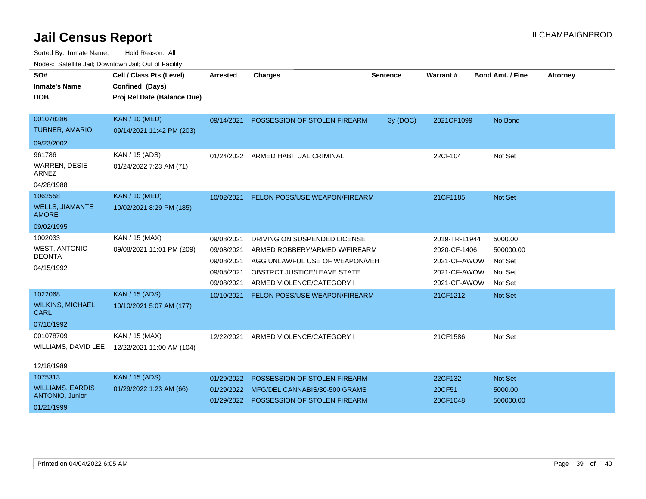| SO#<br><b>Inmate's Name</b><br><b>DOB</b> | Cell / Class Pts (Level)<br>Confined (Days)<br>Proj Rel Date (Balance Due) | <b>Arrested</b> | <b>Charges</b>                          | <b>Sentence</b> | Warrant #     | <b>Bond Amt. / Fine</b> | <b>Attorney</b> |
|-------------------------------------------|----------------------------------------------------------------------------|-----------------|-----------------------------------------|-----------------|---------------|-------------------------|-----------------|
| 001078386                                 | <b>KAN / 10 (MED)</b>                                                      | 09/14/2021      | POSSESSION OF STOLEN FIREARM            | 3y (DOC)        | 2021CF1099    | No Bond                 |                 |
| <b>TURNER, AMARIO</b>                     | 09/14/2021 11:42 PM (203)                                                  |                 |                                         |                 |               |                         |                 |
| 09/23/2002                                |                                                                            |                 |                                         |                 |               |                         |                 |
| 961786                                    | KAN / 15 (ADS)                                                             | 01/24/2022      | ARMED HABITUAL CRIMINAL                 |                 | 22CF104       | Not Set                 |                 |
| WARREN, DESIE<br><b>ARNEZ</b>             | 01/24/2022 7:23 AM (71)                                                    |                 |                                         |                 |               |                         |                 |
| 04/28/1988                                |                                                                            |                 |                                         |                 |               |                         |                 |
| 1062558                                   | <b>KAN / 10 (MED)</b>                                                      | 10/02/2021      | FELON POSS/USE WEAPON/FIREARM           |                 | 21CF1185      | Not Set                 |                 |
| <b>WELLS, JIAMANTE</b><br><b>AMORE</b>    | 10/02/2021 8:29 PM (185)                                                   |                 |                                         |                 |               |                         |                 |
| 09/02/1995                                |                                                                            |                 |                                         |                 |               |                         |                 |
| 1002033                                   | KAN / 15 (MAX)                                                             | 09/08/2021      | DRIVING ON SUSPENDED LICENSE            |                 | 2019-TR-11944 | 5000.00                 |                 |
| <b>WEST, ANTONIO</b>                      | 09/08/2021 11:01 PM (209)                                                  | 09/08/2021      | ARMED ROBBERY/ARMED W/FIREARM           |                 | 2020-CF-1406  | 500000.00               |                 |
| <b>DEONTA</b>                             |                                                                            | 09/08/2021      | AGG UNLAWFUL USE OF WEAPON/VEH          |                 | 2021-CF-AWOW  | Not Set                 |                 |
| 04/15/1992                                |                                                                            | 09/08/2021      | OBSTRCT JUSTICE/LEAVE STATE             |                 | 2021-CF-AWOW  | Not Set                 |                 |
|                                           |                                                                            | 09/08/2021      | ARMED VIOLENCE/CATEGORY I               |                 | 2021-CF-AWOW  | Not Set                 |                 |
| 1022068                                   | <b>KAN / 15 (ADS)</b>                                                      | 10/10/2021      | FELON POSS/USE WEAPON/FIREARM           |                 | 21CF1212      | Not Set                 |                 |
| <b>WILKINS, MICHAEL</b><br><b>CARL</b>    | 10/10/2021 5:07 AM (177)                                                   |                 |                                         |                 |               |                         |                 |
| 07/10/1992                                |                                                                            |                 |                                         |                 |               |                         |                 |
| 001078709                                 | KAN / 15 (MAX)                                                             | 12/22/2021      | ARMED VIOLENCE/CATEGORY I               |                 | 21CF1586      | Not Set                 |                 |
| WILLIAMS, DAVID LEE                       | 12/22/2021 11:00 AM (104)                                                  |                 |                                         |                 |               |                         |                 |
| 12/18/1989                                |                                                                            |                 |                                         |                 |               |                         |                 |
| 1075313                                   | <b>KAN / 15 (ADS)</b>                                                      | 01/29/2022      | POSSESSION OF STOLEN FIREARM            |                 | 22CF132       | Not Set                 |                 |
| <b>WILLIAMS, EARDIS</b>                   | 01/29/2022 1:23 AM (66)                                                    | 01/29/2022      | MFG/DEL CANNABIS/30-500 GRAMS           |                 | 20CF51        | 5000.00                 |                 |
| ANTONIO, Junior<br>01/21/1999             |                                                                            |                 | 01/29/2022 POSSESSION OF STOLEN FIREARM |                 | 20CF1048      | 500000.00               |                 |